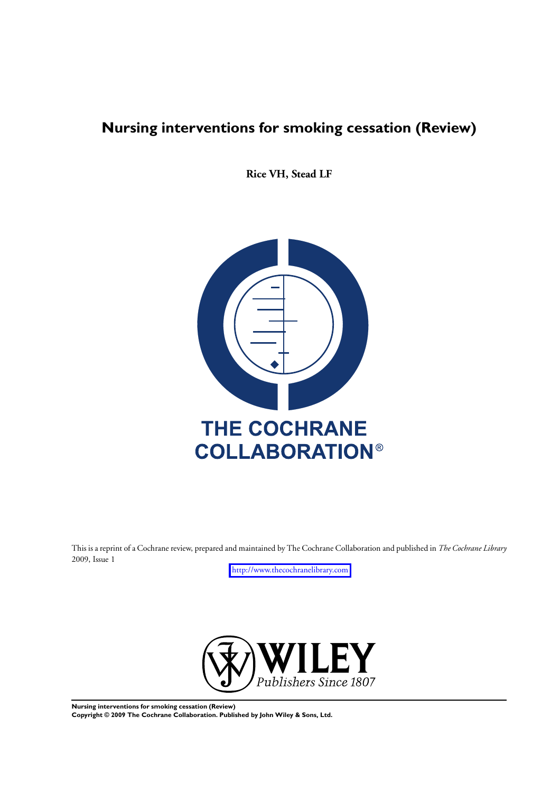# **Nursing interventions for smoking cessation (Review)**

**Rice VH, Stead LF**



This is a reprint of a Cochrane review, prepared and maintained by The Cochrane Collaboration and published in *The Cochrane Library* 2009, Issue 1

<http://www.thecochranelibrary.com>



**Nursing interventions for smoking cessation (Review)**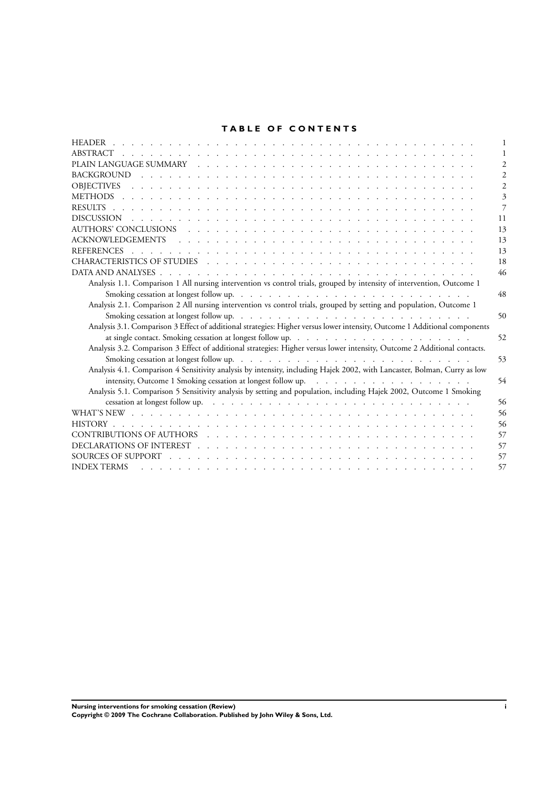# **TABLE OF CONTENTS**

|                                                                                                                                                                                                                                | C  |
|--------------------------------------------------------------------------------------------------------------------------------------------------------------------------------------------------------------------------------|----|
|                                                                                                                                                                                                                                |    |
|                                                                                                                                                                                                                                | 3  |
|                                                                                                                                                                                                                                |    |
|                                                                                                                                                                                                                                | 11 |
|                                                                                                                                                                                                                                | 13 |
|                                                                                                                                                                                                                                | 13 |
|                                                                                                                                                                                                                                | 13 |
|                                                                                                                                                                                                                                | 18 |
|                                                                                                                                                                                                                                | 46 |
| Analysis 1.1. Comparison 1 All nursing intervention vs control trials, grouped by intensity of intervention, Outcome 1                                                                                                         |    |
|                                                                                                                                                                                                                                | 48 |
| Analysis 2.1. Comparison 2 All nursing intervention vs control trials, grouped by setting and population, Outcome 1                                                                                                            |    |
|                                                                                                                                                                                                                                | 50 |
| Analysis 3.1. Comparison 3 Effect of additional strategies: Higher versus lower intensity, Outcome 1 Additional components                                                                                                     |    |
|                                                                                                                                                                                                                                | 52 |
| Analysis 3.2. Comparison 3 Effect of additional strategies: Higher versus lower intensity, Outcome 2 Additional contacts.                                                                                                      |    |
|                                                                                                                                                                                                                                | 53 |
| Analysis 4.1. Comparison 4 Sensitivity analysis by intensity, including Hajek 2002, with Lancaster, Bolman, Curry as low                                                                                                       |    |
|                                                                                                                                                                                                                                | 54 |
| Analysis 5.1. Comparison 5 Sensitivity analysis by setting and population, including Hajek 2002, Outcome 1 Smoking                                                                                                             |    |
|                                                                                                                                                                                                                                | 56 |
| WHAT'S NEW research and contain the contract of the contract of the contract of the contract of the contract of the contract of the contract of the contract of the contract of the contract of the contract of the contract o | 56 |
|                                                                                                                                                                                                                                | 56 |
|                                                                                                                                                                                                                                | 57 |
|                                                                                                                                                                                                                                | 57 |
|                                                                                                                                                                                                                                | 57 |
| <b>INDEX TERMS</b>                                                                                                                                                                                                             | 57 |

**Nursing interventions for smoking cessation (Review) i Copyright © 2009 The Cochrane Collaboration. Published by John Wiley & Sons, Ltd.**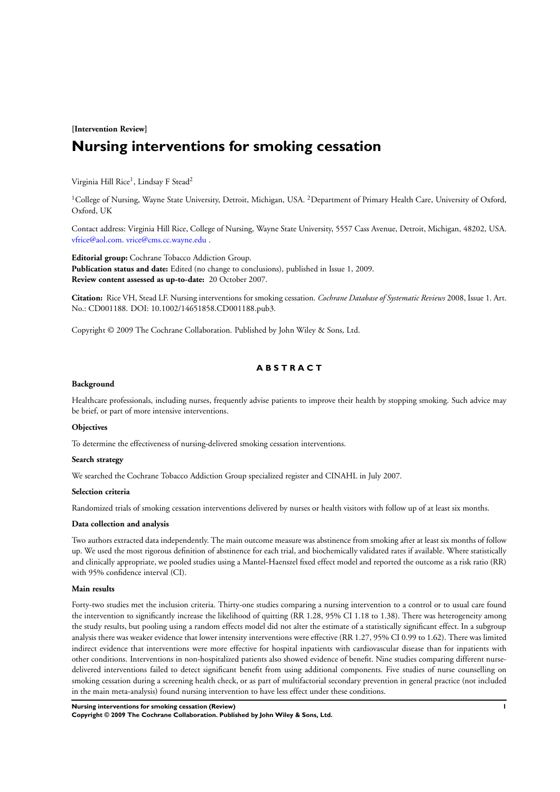**[Intervention Review]**

# **Nursing interventions for smoking cessation**

Virginia Hill Rice<sup>1</sup>, Lindsay F Stead<sup>2</sup>

<sup>1</sup>College of Nursing, Wayne State University, Detroit, Michigan, USA. <sup>2</sup>Department of Primary Health Care, University of Oxford, Oxford, UK

Contact address: Virginia Hill Rice, College of Nursing, Wayne State University, 5557 Cass Avenue, Detroit, Michigan, 48202, USA. [vfrice@aol.com.](mailto:vfrice@aol.com) [vrice@cms.cc.wayne.edu](mailto:vrice@cms.cc.wayne.edu ) .

**Editorial group:** Cochrane Tobacco Addiction Group. **Publication status and date:** Edited (no change to conclusions), published in Issue 1, 2009. **Review content assessed as up-to-date:** 20 October 2007.

**Citation:** Rice VH, Stead LF. Nursing interventions for smoking cessation. *Cochrane Database of Systematic Reviews* 2008, Issue 1. Art. No.: CD001188. DOI: 10.1002/14651858.CD001188.pub3.

Copyright © 2009 The Cochrane Collaboration. Published by John Wiley & Sons, Ltd.

# **A B S T R A C T**

#### **Background**

Healthcare professionals, including nurses, frequently advise patients to improve their health by stopping smoking. Such advice may be brief, or part of more intensive interventions.

### **Objectives**

To determine the effectiveness of nursing-delivered smoking cessation interventions.

### **Search strategy**

We searched the Cochrane Tobacco Addiction Group specialized register and CINAHL in July 2007.

### **Selection criteria**

Randomized trials of smoking cessation interventions delivered by nurses or health visitors with follow up of at least six months.

#### **Data collection and analysis**

Two authors extracted data independently. The main outcome measure was abstinence from smoking after at least six months of follow up. We used the most rigorous definition of abstinence for each trial, and biochemically validated rates if available. Where statistically and clinically appropriate, we pooled studies using a Mantel-Haenszel fixed effect model and reported the outcome as a risk ratio (RR) with 95% confidence interval (CI).

#### **Main results**

Forty-two studies met the inclusion criteria. Thirty-one studies comparing a nursing intervention to a control or to usual care found the intervention to significantly increase the likelihood of quitting (RR 1.28, 95% CI 1.18 to 1.38). There was heterogeneity among the study results, but pooling using a random effects model did not alter the estimate of a statistically significant effect. In a subgroup analysis there was weaker evidence that lower intensity interventions were effective (RR 1.27, 95% CI 0.99 to 1.62). There was limited indirect evidence that interventions were more effective for hospital inpatients with cardiovascular disease than for inpatients with other conditions. Interventions in non-hospitalized patients also showed evidence of benefit. Nine studies comparing different nursedelivered interventions failed to detect significant benefit from using additional components. Five studies of nurse counselling on smoking cessation during a screening health check, or as part of multifactorial secondary prevention in general practice (not included in the main meta-analysis) found nursing intervention to have less effect under these conditions.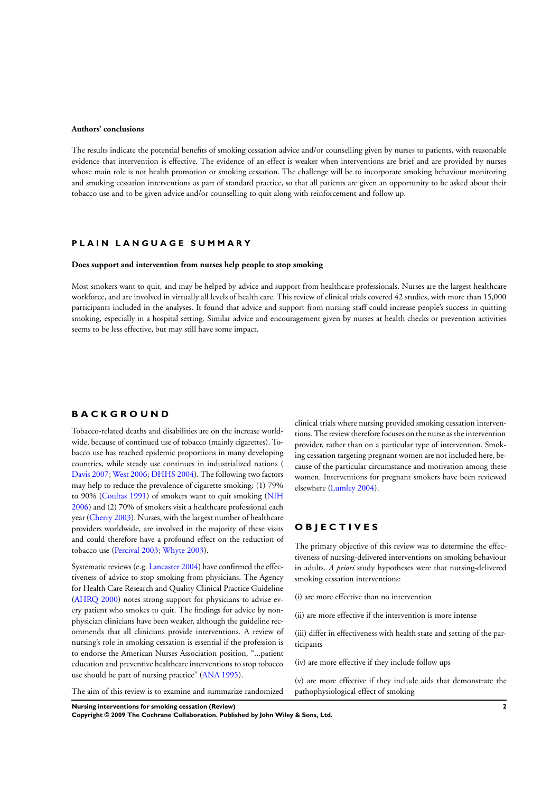#### **Authors' conclusions**

The results indicate the potential benefits of smoking cessation advice and/or counselling given by nurses to patients, with reasonable evidence that intervention is effective. The evidence of an effect is weaker when interventions are brief and are provided by nurses whose main role is not health promotion or smoking cessation. The challenge will be to incorporate smoking behaviour monitoring and smoking cessation interventions as part of standard practice, so that all patients are given an opportunity to be asked about their tobacco use and to be given advice and/or counselling to quit along with reinforcement and follow up.

### **P L A I N L A N G U A G E S U M M A R Y**

#### **Does support and intervention from nurses help people to stop smoking**

Most smokers want to quit, and may be helped by advice and support from healthcare professionals. Nurses are the largest healthcare workforce, and are involved in virtually all levels of health care. This review of clinical trials covered 42 studies, with more than 15,000 participants included in the analyses. It found that advice and support from nursing staff could increase people's success in quitting smoking, especially in a hospital setting. Similar advice and encouragement given by nurses at health checks or prevention activities seems to be less effective, but may still have some impact.

#### **B A C K G R O U N D**

Tobacco-related deaths and disabilities are on the increase worldwide, because of continued use of tobacco (mainly cigarettes). Tobacco use has reached epidemic proportions in many developing countries, while steady use continues in industrialized nations ( [Davis 2007;](#page-14-0) [West 2006;](#page-14-0) [DHHS 2004](#page-14-0)). The following two factors may help to reduce the prevalence of cigarette smoking: (1) 79% to 90% [\(Coultas 1991\)](#page-14-0) of smokers want to quit smoking ([NIH](#page-14-0) [2006](#page-14-0)) and (2) 70% of smokers visit a healthcare professional each year ([Cherry 2003](#page-14-0)). Nurses, with the largest number of healthcare providers worldwide, are involved in the majority of these visits and could therefore have a profound effect on the reduction of tobacco use ([Percival 2003](#page-14-0); [Whyte 2003\)](#page-14-0).

Systematic reviews (e.g. [Lancaster 2004\)](#page-14-0) have confirmed the effectiveness of advice to stop smoking from physicians. The Agency for Health Care Research and Quality Clinical Practice Guideline [\(AHRQ 2000](#page-14-0)) notes strong support for physicians to advise every patient who smokes to quit. The findings for advice by nonphysician clinicians have been weaker, although the guideline recommends that all clinicians provide interventions. A review of nursing's role in smoking cessation is essential if the profession is to endorse the American Nurses Association position, "...patient education and preventive healthcare interventions to stop tobacco use should be part of nursing practice" ([ANA 1995](#page-14-0)).

clinical trials where nursing provided smoking cessation interventions. The review therefore focuses on the nurse as the intervention provider, rather than on a particular type of intervention. Smoking cessation targeting pregnant women are not included here, because of the particular circumstance and motivation among these women. Interventions for pregnant smokers have been reviewed elsewhere [\(Lumley 2004\)](#page-14-0).

### **O B J E C T I V E S**

The primary objective of this review was to determine the effectiveness of nursing-delivered interventions on smoking behaviour in adults. *A priori* study hypotheses were that nursing-delivered smoking cessation interventions:

(i) are more effective than no intervention

(ii) are more effective if the intervention is more intense

(iii) differ in effectiveness with health state and setting of the participants

(iv) are more effective if they include follow ups

(v) are more effective if they include aids that demonstrate the pathophysiological effect of smoking

The aim of this review is to examine and summarize randomized

**Nursing interventions for smoking cessation (Review) 2**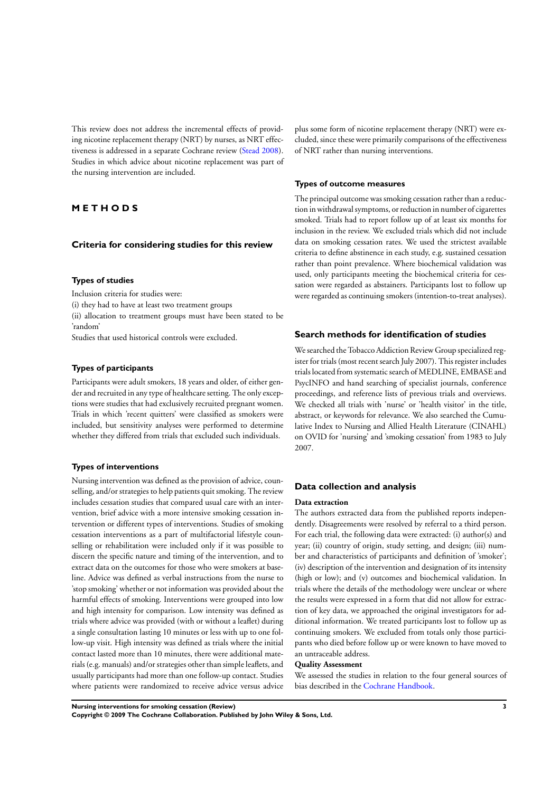This review does not address the incremental effects of providing nicotine replacement therapy (NRT) by nurses, as NRT effectiveness is addressed in a separate Cochrane review [\(Stead 2008](#page-14-0)). Studies in which advice about nicotine replacement was part of the nursing intervention are included.

### **M E T H O D S**

### **Criteria for considering studies for this review**

#### **Types of studies**

Inclusion criteria for studies were: (i) they had to have at least two treatment groups (ii) allocation to treatment groups must have been stated to be 'random' Studies that used historical controls were excluded.

#### **Types of participants**

Participants were adult smokers, 18 years and older, of either gender and recruited in any type of healthcare setting. The only exceptions were studies that had exclusively recruited pregnant women. Trials in which 'recent quitters' were classified as smokers were included, but sensitivity analyses were performed to determine whether they differed from trials that excluded such individuals.

#### **Types of interventions**

Nursing intervention was defined as the provision of advice, counselling, and/or strategies to help patients quit smoking. The review includes cessation studies that compared usual care with an intervention, brief advice with a more intensive smoking cessation intervention or different types of interventions. Studies of smoking cessation interventions as a part of multifactorial lifestyle counselling or rehabilitation were included only if it was possible to discern the specific nature and timing of the intervention, and to extract data on the outcomes for those who were smokers at baseline. Advice was defined as verbal instructions from the nurse to 'stop smoking' whether or not information was provided about the harmful effects of smoking. Interventions were grouped into low and high intensity for comparison. Low intensity was defined as trials where advice was provided (with or without a leaflet) during a single consultation lasting 10 minutes or less with up to one follow-up visit. High intensity was defined as trials where the initial contact lasted more than 10 minutes, there were additional materials (e.g. manuals) and/or strategies other than simple leaflets, and usually participants had more than one follow-up contact. Studies where patients were randomized to receive advice versus advice plus some form of nicotine replacement therapy (NRT) were excluded, since these were primarily comparisons of the effectiveness of NRT rather than nursing interventions.

#### **Types of outcome measures**

The principal outcome was smoking cessation rather than a reduction in withdrawal symptoms, or reduction in number of cigarettes smoked. Trials had to report follow up of at least six months for inclusion in the review. We excluded trials which did not include data on smoking cessation rates. We used the strictest available criteria to define abstinence in each study, e.g. sustained cessation rather than point prevalence. Where biochemical validation was used, only participants meeting the biochemical criteria for cessation were regarded as abstainers. Participants lost to follow up were regarded as continuing smokers (intention-to-treat analyses).

#### **Search methods for identification of studies**

We searched the Tobacco Addiction Review Group specialized register for trials (most recent search July 2007). This register includes trials located from systematic search of MEDLINE, EMBASE and PsycINFO and hand searching of specialist journals, conference proceedings, and reference lists of previous trials and overviews. We checked all trials with 'nurse' or 'health visitor' in the title, abstract, or keywords for relevance. We also searched the Cumulative Index to Nursing and Allied Health Literature (CINAHL) on OVID for 'nursing' and 'smoking cessation' from 1983 to July 2007.

#### **Data collection and analysis**

#### **Data extraction**

The authors extracted data from the published reports independently. Disagreements were resolved by referral to a third person. For each trial, the following data were extracted: (i) author(s) and year; (ii) country of origin, study setting, and design; (iii) number and characteristics of participants and definition of 'smoker'; (iv) description of the intervention and designation of its intensity (high or low); and (v) outcomes and biochemical validation. In trials where the details of the methodology were unclear or where the results were expressed in a form that did not allow for extraction of key data, we approached the original investigators for additional information. We treated participants lost to follow up as continuing smokers. We excluded from totals only those participants who died before follow up or were known to have moved to an untraceable address.

#### **Quality Assessment**

We assessed the studies in relation to the four general sources of bias described in the [Cochrane Handbook.](#page-14-0)

**Nursing interventions for smoking cessation (Review) 3**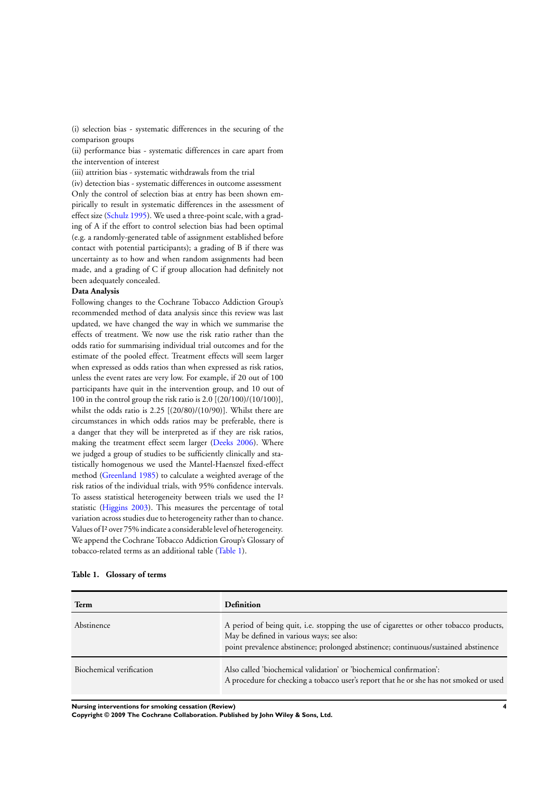(i) selection bias - systematic differences in the securing of the comparison groups

(ii) performance bias - systematic differences in care apart from the intervention of interest

(iii) attrition bias - systematic withdrawals from the trial

(iv) detection bias - systematic differences in outcome assessment Only the control of selection bias at entry has been shown empirically to result in systematic differences in the assessment of effect size ([Schulz 1995](#page-14-0)). We used a three-point scale, with a grading of A if the effort to control selection bias had been optimal (e.g. a randomly-generated table of assignment established before contact with potential participants); a grading of B if there was uncertainty as to how and when random assignments had been made, and a grading of C if group allocation had definitely not been adequately concealed.

#### **Data Analysis**

Following changes to the Cochrane Tobacco Addiction Group's recommended method of data analysis since this review was last updated, we have changed the way in which we summarise the effects of treatment. We now use the risk ratio rather than the odds ratio for summarising individual trial outcomes and for the estimate of the pooled effect. Treatment effects will seem larger when expressed as odds ratios than when expressed as risk ratios, unless the event rates are very low. For example, if 20 out of 100 participants have quit in the intervention group, and 10 out of 100 in the control group the risk ratio is 2.0 [(20/100)/(10/100)], whilst the odds ratio is 2.25 [(20/80)/(10/90)]. Whilst there are circumstances in which odds ratios may be preferable, there is a danger that they will be interpreted as if they are risk ratios, making the treatment effect seem larger [\(Deeks 2006](#page-14-0)). Where we judged a group of studies to be sufficiently clinically and statistically homogenous we used the Mantel-Haenszel fixed-effect method ([Greenland 1985\)](#page-14-0) to calculate a weighted average of the risk ratios of the individual trials, with 95% confidence intervals. To assess statistical heterogeneity between trials we used the I² statistic ([Higgins 2003](#page-14-0)). This measures the percentage of total variation across studies due to heterogeneity rather than to chance. Values of I² over 75% indicate a considerable level of heterogeneity. We append the Cochrane Tobacco Addiction Group's Glossary of tobacco-related terms as an additional table (Table 1).

#### **Table 1. Glossary of terms**

| Term                     | <b>Definition</b>                                                                                                                                                                                                         |
|--------------------------|---------------------------------------------------------------------------------------------------------------------------------------------------------------------------------------------------------------------------|
| Abstinence               | A period of being quit, i.e. stopping the use of cigarettes or other tobacco products,<br>May be defined in various ways; see also:<br>point prevalence abstinence; prolonged abstinence; continuous/sustained abstinence |
| Biochemical verification | Also called 'biochemical validation' or 'biochemical confirmation':<br>A procedure for checking a tobacco user's report that he or she has not smoked or used                                                             |

**Nursing interventions for smoking cessation (Review) 4**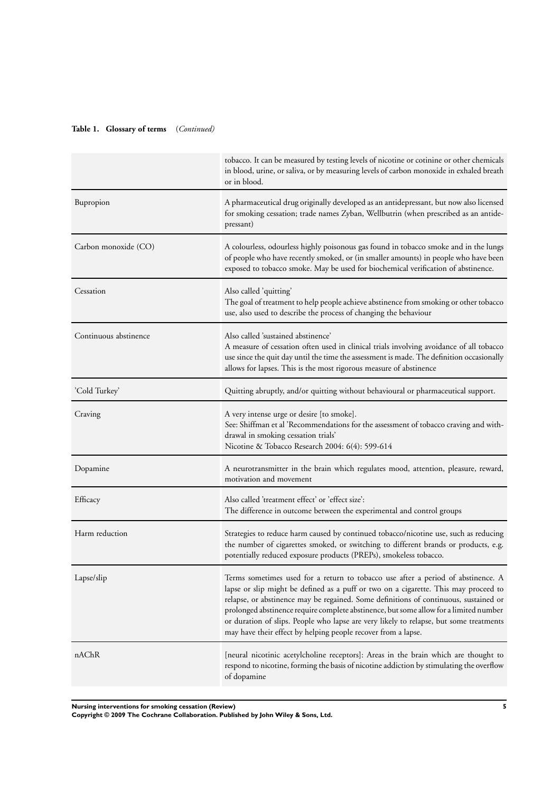### **Table 1. Glossary of terms** (*Continued)*

|                       | tobacco. It can be measured by testing levels of nicotine or cotinine or other chemicals<br>in blood, urine, or saliva, or by measuring levels of carbon monoxide in exhaled breath<br>or in blood.                                                                                                                                                                                                                                                                                                                 |  |
|-----------------------|---------------------------------------------------------------------------------------------------------------------------------------------------------------------------------------------------------------------------------------------------------------------------------------------------------------------------------------------------------------------------------------------------------------------------------------------------------------------------------------------------------------------|--|
| Bupropion             | A pharmaceutical drug originally developed as an antidepressant, but now also licensed<br>for smoking cessation; trade names Zyban, Wellbutrin (when prescribed as an antide-<br>pressant)                                                                                                                                                                                                                                                                                                                          |  |
| Carbon monoxide (CO)  | A colourless, odourless highly poisonous gas found in tobacco smoke and in the lungs<br>of people who have recently smoked, or (in smaller amounts) in people who have been<br>exposed to tobacco smoke. May be used for biochemical verification of abstinence.                                                                                                                                                                                                                                                    |  |
| Cessation             | Also called 'quitting'<br>The goal of treatment to help people achieve abstinence from smoking or other tobacco<br>use, also used to describe the process of changing the behaviour                                                                                                                                                                                                                                                                                                                                 |  |
| Continuous abstinence | Also called 'sustained abstinence'<br>A measure of cessation often used in clinical trials involving avoidance of all tobacco<br>use since the quit day until the time the assessment is made. The definition occasionally<br>allows for lapses. This is the most rigorous measure of abstinence                                                                                                                                                                                                                    |  |
| 'Cold Turkey'         | Quitting abruptly, and/or quitting without behavioural or pharmaceutical support.                                                                                                                                                                                                                                                                                                                                                                                                                                   |  |
| Craving               | A very intense urge or desire [to smoke].<br>See: Shiffman et al 'Recommendations for the assessment of tobacco craving and with-<br>drawal in smoking cessation trials'<br>Nicotine & Tobacco Research 2004: 6(4): 599-614                                                                                                                                                                                                                                                                                         |  |
| Dopamine              | A neurotransmitter in the brain which regulates mood, attention, pleasure, reward,<br>motivation and movement                                                                                                                                                                                                                                                                                                                                                                                                       |  |
| Efficacy              | Also called 'treatment effect' or 'effect size':<br>The difference in outcome between the experimental and control groups                                                                                                                                                                                                                                                                                                                                                                                           |  |
| Harm reduction        | Strategies to reduce harm caused by continued tobacco/nicotine use, such as reducing<br>the number of cigarettes smoked, or switching to different brands or products, e.g.<br>potentially reduced exposure products (PREPs), smokeless tobacco.                                                                                                                                                                                                                                                                    |  |
| Lapse/slip            | Terms sometimes used for a return to tobacco use after a period of abstinence. A<br>lapse or slip might be defined as a puff or two on a cigarette. This may proceed to<br>relapse, or abstinence may be regained. Some definitions of continuous, sustained or<br>prolonged abstinence require complete abstinence, but some allow for a limited number<br>or duration of slips. People who lapse are very likely to relapse, but some treatments<br>may have their effect by helping people recover from a lapse. |  |
| nAChR                 | [neural nicotinic acetylcholine receptors]: Areas in the brain which are thought to<br>respond to nicotine, forming the basis of nicotine addiction by stimulating the overflow<br>of dopamine                                                                                                                                                                                                                                                                                                                      |  |

**Nursing interventions for smoking cessation (Review) 5**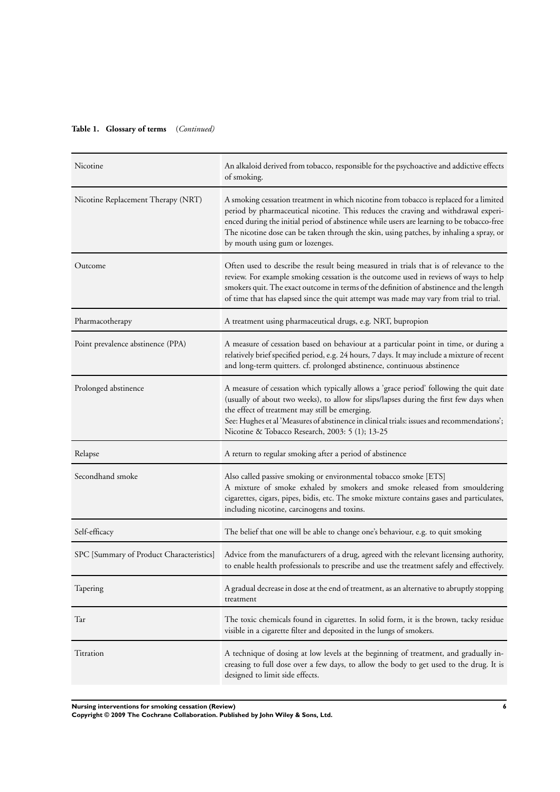### **Table 1. Glossary of terms** (*Continued)*

| Nicotine                                 | An alkaloid derived from tobacco, responsible for the psychoactive and addictive effects<br>of smoking.                                                                                                                                                                                                                                                                                                 |
|------------------------------------------|---------------------------------------------------------------------------------------------------------------------------------------------------------------------------------------------------------------------------------------------------------------------------------------------------------------------------------------------------------------------------------------------------------|
| Nicotine Replacement Therapy (NRT)       | A smoking cessation treatment in which nicotine from tobacco is replaced for a limited<br>period by pharmaceutical nicotine. This reduces the craving and withdrawal experi-<br>enced during the initial period of abstinence while users are learning to be tobacco-free<br>The nicotine dose can be taken through the skin, using patches, by inhaling a spray, or<br>by mouth using gum or lozenges. |
| Outcome                                  | Often used to describe the result being measured in trials that is of relevance to the<br>review. For example smoking cessation is the outcome used in reviews of ways to help<br>smokers quit. The exact outcome in terms of the definition of abstinence and the length<br>of time that has elapsed since the quit attempt was made may vary from trial to trial.                                     |
| Pharmacotherapy                          | A treatment using pharmaceutical drugs, e.g. NRT, bupropion                                                                                                                                                                                                                                                                                                                                             |
| Point prevalence abstinence (PPA)        | A measure of cessation based on behaviour at a particular point in time, or during a<br>relatively brief specified period, e.g. 24 hours, 7 days. It may include a mixture of recent<br>and long-term quitters. cf. prolonged abstinence, continuous abstinence                                                                                                                                         |
| Prolonged abstinence                     | A measure of cessation which typically allows a 'grace period' following the quit date<br>(usually of about two weeks), to allow for slips/lapses during the first few days when<br>the effect of treatment may still be emerging.<br>See: Hughes et al 'Measures of abstinence in clinical trials: issues and recommendations';<br>Nicotine & Tobacco Research, 2003: 5 (1); 13-25                     |
| Relapse                                  | A return to regular smoking after a period of abstinence                                                                                                                                                                                                                                                                                                                                                |
| Secondhand smoke                         | Also called passive smoking or environmental tobacco smoke [ETS]<br>A mixture of smoke exhaled by smokers and smoke released from smouldering<br>cigarettes, cigars, pipes, bidis, etc. The smoke mixture contains gases and particulates,<br>including nicotine, carcinogens and toxins.                                                                                                               |
| Self-efficacy                            | The belief that one will be able to change one's behaviour, e.g. to quit smoking                                                                                                                                                                                                                                                                                                                        |
| SPC [Summary of Product Characteristics] | Advice from the manufacturers of a drug, agreed with the relevant licensing authority,<br>to enable health professionals to prescribe and use the treatment safely and effectively.                                                                                                                                                                                                                     |
| Tapering                                 | A gradual decrease in dose at the end of treatment, as an alternative to abruptly stopping<br>treatment                                                                                                                                                                                                                                                                                                 |
| Tar                                      | The toxic chemicals found in cigarettes. In solid form, it is the brown, tacky residue<br>visible in a cigarette filter and deposited in the lungs of smokers.                                                                                                                                                                                                                                          |
| Titration                                | A technique of dosing at low levels at the beginning of treatment, and gradually in-<br>creasing to full dose over a few days, to allow the body to get used to the drug. It is<br>designed to limit side effects.                                                                                                                                                                                      |

**Nursing interventions for smoking cessation (Review) 6**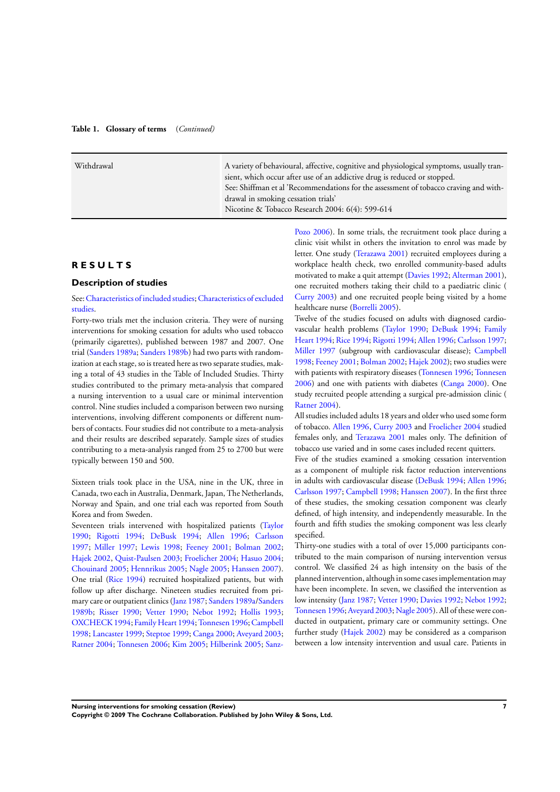| Withdrawal | A variety of behavioural, affective, cognitive and physiological symptoms, usually tran-<br>sient, which occur after use of an addictive drug is reduced or stopped.<br>See: Shiffman et al 'Recommendations for the assessment of tobacco craving and with-<br>drawal in smoking cessation trials' |
|------------|-----------------------------------------------------------------------------------------------------------------------------------------------------------------------------------------------------------------------------------------------------------------------------------------------------|
|            | Nicotine & Tobacco Research 2004: 6(4): 599-614                                                                                                                                                                                                                                                     |

### **R E S U L T S**

### **Description of studies**

### See:[Characteristics of included studies;](#page-20-0)[Characteristics of excluded](#page-45-0) [studies.](#page-45-0)

Forty-two trials met the inclusion criteria. They were of nursing interventions for smoking cessation for adults who used tobacco (primarily cigarettes), published between 1987 and 2007. One trial ([Sanders 1989a](#page-14-0); [Sanders 1989b](#page-14-0)) had two parts with randomization at each stage, so is treated here as two separate studies, making a total of 43 studies in the Table of Included Studies. Thirty studies contributed to the primary meta-analysis that compared a nursing intervention to a usual care or minimal intervention control. Nine studies included a comparison between two nursing interventions, involving different components or different numbers of contacts. Four studies did not contribute to a meta-analysis and their results are described separately. Sample sizes of studies contributing to a meta-analysis ranged from 25 to 2700 but were typically between 150 and 500.

Sixteen trials took place in the USA, nine in the UK, three in Canada, two each in Australia, Denmark, Japan, The Netherlands, Norway and Spain, and one trial each was reported from South Korea and from Sweden.

Seventeen trials intervened with hospitalized patients [\(Taylor](#page-14-0) [1990](#page-14-0); [Rigotti 1994](#page-14-0); [DeBusk 1994;](#page-14-0) [Allen 1996;](#page-14-0) [Carlsson](#page-14-0) [1997](#page-14-0); [Miller 1997;](#page-14-0) [Lewis 1998;](#page-14-0) [Feeney 2001](#page-14-0); [Bolman 2002;](#page-14-0) [Hajek 2002,](#page-14-0) [Quist-Paulsen 2003](#page-14-0); [Froelicher 2004](#page-14-0); [Hasuo 2004;](#page-14-0) [Chouinard 2005;](#page-14-0) [Hennrikus 2005;](#page-14-0) [Nagle 2005;](#page-14-0) [Hanssen 2007](#page-14-0)). One trial [\(Rice 1994\)](#page-14-0) recruited hospitalized patients, but with follow up after discharge. Nineteen studies recruited from primary care or outpatient clinics ([Janz 1987;](#page-14-0) [Sanders 1989a/Sanders](#page-14-0) [1989b;](#page-14-0) [Risser 1990](#page-14-0); [Vetter 1990;](#page-14-0) [Nebot 1992;](#page-14-0) [Hollis 1993;](#page-14-0) [OXCHECK 1994](#page-14-0); [Family Heart 1994](#page-14-0); Tonnesen 1996; Campbell [1998](#page-14-0); [Lancaster 1999](#page-14-0); [Steptoe 1999;](#page-14-0) [Canga 2000](#page-14-0); [Aveyard 2003;](#page-14-0) [Ratner 2004](#page-14-0); [Tonnesen 2006](#page-14-0); [Kim 2005;](#page-14-0) [Hilberink 2005;](#page-14-0) [Sanz-](#page-14-0)

[Pozo 2006\)](#page-14-0). In some trials, the recruitment took place during a clinic visit whilst in others the invitation to enrol was made by letter. One study [\(Terazawa 2001\)](#page-14-0) recruited employees during a workplace health check, two enrolled community-based adults motivated to make a quit attempt [\(Davies 1992](#page-14-0); [Alterman 2001](#page-14-0)), one recruited mothers taking their child to a paediatric clinic ( [Curry 2003](#page-14-0)) and one recruited people being visited by a home healthcare nurse ([Borrelli 2005\)](#page-14-0).

Twelve of the studies focused on adults with diagnosed cardiovascular health problems ([Taylor 1990;](#page-14-0) [DeBusk 1994](#page-14-0); [Family](#page-14-0) [Heart 1994](#page-14-0); [Rice 1994](#page-14-0); [Rigotti 1994](#page-14-0); [Allen 1996](#page-14-0); [Carlsson 1997;](#page-14-0) [Miller 1997](#page-14-0) (subgroup with cardiovascular disease); [Campbell](#page-14-0) [1998](#page-14-0); [Feeney 2001;](#page-14-0) [Bolman 2002](#page-14-0); [Hajek 2002](#page-14-0)); two studies were with patients with respiratory diseases [\(Tonnesen 1996;](#page-14-0) [Tonnesen](#page-14-0) [2006](#page-14-0)) and one with patients with diabetes [\(Canga 2000\)](#page-14-0). One study recruited people attending a surgical pre-admission clinic ( [Ratner 2004\)](#page-14-0).

All studies included adults 18 years and older who used some form of tobacco. [Allen 1996](#page-14-0), [Curry 2003](#page-14-0) and [Froelicher 2004](#page-14-0) studied females only, and [Terazawa 2001](#page-14-0) males only. The definition of tobacco use varied and in some cases included recent quitters.

Five of the studies examined a smoking cessation intervention as a component of multiple risk factor reduction interventions in adults with cardiovascular disease [\(DeBusk 1994](#page-14-0); [Allen 1996;](#page-14-0) [Carlsson 1997](#page-14-0); [Campbell 1998;](#page-14-0) [Hanssen 2007\)](#page-14-0). In the first three of these studies, the smoking cessation component was clearly defined, of high intensity, and independently measurable. In the fourth and fifth studies the smoking component was less clearly specified.

Thirty-one studies with a total of over 15,000 participants contributed to the main comparison of nursing intervention versus control. We classified 24 as high intensity on the basis of the planned intervention, although in some cases implementation may have been incomplete. In seven, we classified the intervention as low intensity ([Janz 1987](#page-14-0); [Vetter 1990](#page-14-0); [Davies 1992;](#page-14-0) [Nebot 1992;](#page-14-0) [Tonnesen 1996](#page-14-0); [Aveyard 2003;](#page-14-0) [Nagle 2005](#page-14-0)). All of these were conducted in outpatient, primary care or community settings. One further study [\(Hajek 2002](#page-14-0)) may be considered as a comparison between a low intensity intervention and usual care. Patients in

**Nursing interventions for smoking cessation (Review) 7**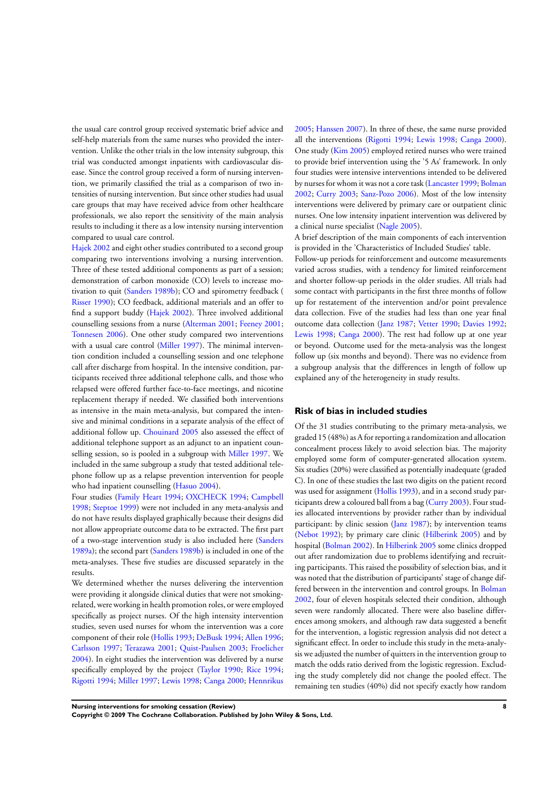the usual care control group received systematic brief advice and self-help materials from the same nurses who provided the intervention. Unlike the other trials in the low intensity subgroup, this trial was conducted amongst inpatients with cardiovascular disease. Since the control group received a form of nursing intervention, we primarily classified the trial as a comparison of two intensities of nursing intervention. But since other studies had usual care groups that may have received advice from other healthcare professionals, we also report the sensitivity of the main analysis results to including it there as a low intensity nursing intervention compared to usual care control.

[Hajek 2002](#page-14-0) and eight other studies contributed to a second group comparing two interventions involving a nursing intervention. Three of these tested additional components as part of a session; demonstration of carbon monoxide (CO) levels to increase motivation to quit ([Sanders 1989b](#page-14-0)); CO and spirometry feedback ( [Risser 1990](#page-14-0)); CO feedback, additional materials and an offer to find a support buddy ([Hajek 2002](#page-14-0)). Three involved additional counselling sessions from a nurse ([Alterman 2001;](#page-14-0) [Feeney 2001;](#page-14-0) [Tonnesen 2006\)](#page-14-0). One other study compared two interventions with a usual care control ([Miller 1997](#page-14-0)). The minimal intervention condition included a counselling session and one telephone call after discharge from hospital. In the intensive condition, participants received three additional telephone calls, and those who relapsed were offered further face-to-face meetings, and nicotine replacement therapy if needed. We classified both interventions as intensive in the main meta-analysis, but compared the intensive and minimal conditions in a separate analysis of the effect of additional follow up. [Chouinard 2005](#page-14-0) also assessed the effect of additional telephone support as an adjunct to an inpatient counselling session, so is pooled in a subgroup with [Miller 1997.](#page-14-0) We included in the same subgroup a study that tested additional telephone follow up as a relapse prevention intervention for people who had inpatient counselling [\(Hasuo 2004](#page-14-0)).

Four studies ([Family Heart 1994](#page-14-0); [OXCHECK 1994;](#page-14-0) [Campbell](#page-14-0) [1998](#page-14-0); [Steptoe 1999](#page-14-0)) were not included in any meta-analysis and do not have results displayed graphically because their designs did not allow appropriate outcome data to be extracted. The first part of a two-stage intervention study is also included here ([Sanders](#page-14-0) [1989a\)](#page-14-0); the second part [\(Sanders 1989b\)](#page-14-0) is included in one of the meta-analyses. These five studies are discussed separately in the results.

We determined whether the nurses delivering the intervention were providing it alongside clinical duties that were not smokingrelated, were working in health promotion roles, or were employed specifically as project nurses. Of the high intensity intervention studies, seven used nurses for whom the intervention was a core component of their role [\(Hollis 1993](#page-14-0); [DeBusk 1994](#page-14-0); [Allen 1996;](#page-14-0) [Carlsson 1997](#page-14-0); [Terazawa 2001;](#page-14-0) [Quist-Paulsen 2003](#page-14-0); [Froelicher](#page-14-0) [2004](#page-14-0)). In eight studies the intervention was delivered by a nurse specifically employed by the project [\(Taylor 1990;](#page-14-0) [Rice 1994;](#page-14-0) [Rigotti 1994;](#page-14-0) [Miller 1997](#page-14-0); [Lewis 1998](#page-14-0); [Canga 2000](#page-14-0); [Hennrikus](#page-14-0) [2005](#page-14-0); [Hanssen 2007\)](#page-14-0). In three of these, the same nurse provided all the interventions [\(Rigotti 1994;](#page-14-0) [Lewis 1998;](#page-14-0) [Canga 2000](#page-14-0)). One study [\(Kim 2005\)](#page-14-0) employed retired nurses who were trained to provide brief intervention using the '5 As' framework. In only four studies were intensive interventions intended to be delivered by nurses for whom it was not a core task ([Lancaster 1999;](#page-14-0) [Bolman](#page-14-0) [2002](#page-14-0); [Curry 2003](#page-14-0); [Sanz-Pozo 2006\)](#page-14-0). Most of the low intensity interventions were delivered by primary care or outpatient clinic nurses. One low intensity inpatient intervention was delivered by a clinical nurse specialist ([Nagle 2005](#page-14-0)).

A brief description of the main components of each intervention is provided in the 'Characteristics of Included Studies' table.

Follow-up periods for reinforcement and outcome measurements varied across studies, with a tendency for limited reinforcement and shorter follow-up periods in the older studies. All trials had some contact with participants in the first three months of follow up for restatement of the intervention and/or point prevalence data collection. Five of the studies had less than one year final outcome data collection ([Janz 1987](#page-14-0); [Vetter 1990](#page-14-0); [Davies 1992;](#page-14-0) [Lewis 1998](#page-14-0); [Canga 2000](#page-14-0)). The rest had follow up at one year or beyond. Outcome used for the meta-analysis was the longest follow up (six months and beyond). There was no evidence from a subgroup analysis that the differences in length of follow up explained any of the heterogeneity in study results.

#### **Risk of bias in included studies**

Of the 31 studies contributing to the primary meta-analysis, we graded 15 (48%) as A for reporting a randomization and allocation concealment process likely to avoid selection bias. The majority employed some form of computer-generated allocation system. Six studies (20%) were classified as potentially inadequate (graded C). In one of these studies the last two digits on the patient record was used for assignment [\(Hollis 1993](#page-14-0)), and in a second study participants drew a coloured ball from a bag [\(Curry 2003\)](#page-14-0). Four studies allocated interventions by provider rather than by individual participant: by clinic session [\(Janz 1987\)](#page-14-0); by intervention teams [\(Nebot 1992](#page-14-0)); by primary care clinic [\(Hilberink 2005](#page-14-0)) and by hospital [\(Bolman 2002\)](#page-14-0). In [Hilberink 2005](#page-14-0) some clinics dropped out after randomization due to problems identifying and recruiting participants. This raised the possibility of selection bias, and it was noted that the distribution of participants' stage of change differed between in the intervention and control groups. In [Bolman](#page-14-0) [2002](#page-14-0), four of eleven hospitals selected their condition, although seven were randomly allocated. There were also baseline differences among smokers, and although raw data suggested a benefit for the intervention, a logistic regression analysis did not detect a significant effect. In order to include this study in the meta-analysis we adjusted the number of quitters in the intervention group to match the odds ratio derived from the logistic regression. Excluding the study completely did not change the pooled effect. The remaining ten studies (40%) did not specify exactly how random

**Nursing interventions for smoking cessation (Review) 8**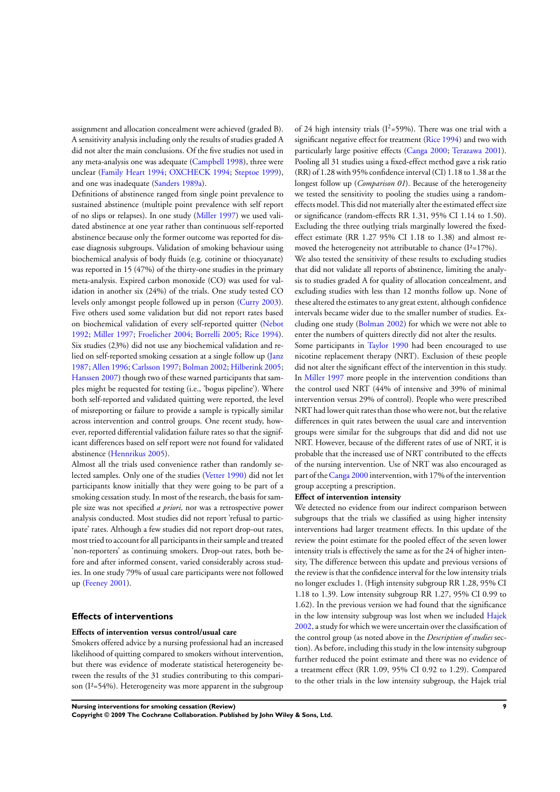assignment and allocation concealment were achieved (graded B). A sensitivity analysis including only the results of studies graded A did not alter the main conclusions. Of the five studies not used in any meta-analysis one was adequate [\(Campbell 1998](#page-14-0)), three were unclear [\(Family Heart 1994;](#page-14-0) [OXCHECK 1994](#page-14-0); [Steptoe 1999](#page-14-0)), and one was inadequate [\(Sanders 1989a\)](#page-14-0).

Definitions of abstinence ranged from single point prevalence to sustained abstinence (multiple point prevalence with self report of no slips or relapses). In one study ([Miller 1997\)](#page-14-0) we used validated abstinence at one year rather than continuous self-reported abstinence because only the former outcome was reported for disease diagnosis subgroups. Validation of smoking behaviour using biochemical analysis of body fluids (e.g. cotinine or thiocyanate) was reported in 15 (47%) of the thirty-one studies in the primary meta-analysis. Expired carbon monoxide (CO) was used for validation in another six (24%) of the trials. One study tested CO levels only amongst people followed up in person ([Curry 2003](#page-14-0)). Five others used some validation but did not report rates based on biochemical validation of every self-reported quitter [\(Nebot](#page-14-0) [1992](#page-14-0); [Miller 1997;](#page-14-0) [Froelicher 2004;](#page-14-0) [Borrelli 2005;](#page-14-0) [Rice 1994](#page-14-0)). Six studies (23%) did not use any biochemical validation and re-lied on self-reported smoking cessation at a single follow up ([Janz](#page-14-0) [1987](#page-14-0); [Allen 1996](#page-14-0); [Carlsson 1997;](#page-14-0) [Bolman 2002](#page-14-0); [Hilberink 2005;](#page-14-0) [Hanssen 2007\)](#page-14-0) though two of these warned participants that samples might be requested for testing (i.e., 'bogus pipeline'). Where both self-reported and validated quitting were reported, the level of misreporting or failure to provide a sample is typically similar across intervention and control groups. One recent study, however, reported differential validation failure rates so that the significant differences based on self report were not found for validated abstinence ([Hennrikus 2005](#page-14-0)).

Almost all the trials used convenience rather than randomly selected samples. Only one of the studies ([Vetter 1990](#page-14-0)) did not let participants know initially that they were going to be part of a smoking cessation study. In most of the research, the basis for sample size was not specified *a priori,* nor was a retrospective power analysis conducted. Most studies did not report 'refusal to participate' rates. Although a few studies did not report drop-out rates, most tried to account for all participants in their sample and treated 'non-reporters' as continuing smokers. Drop-out rates, both before and after informed consent, varied considerably across studies. In one study 79% of usual care participants were not followed up [\(Feeney 2001\)](#page-14-0).

### **Effects of interventions**

### **Effects of intervention versus control/usual care**

Smokers offered advice by a nursing professional had an increased likelihood of quitting compared to smokers without intervention, but there was evidence of moderate statistical heterogeneity between the results of the 31 studies contributing to this comparison (I²=54%). Heterogeneity was more apparent in the subgroup of 24 high intensity trials ( $I^2$ =59%). There was one trial with a significant negative effect for treatment ([Rice 1994\)](#page-14-0) and two with particularly large positive effects [\(Canga 2000](#page-14-0); [Terazawa 2001](#page-14-0)). Pooling all 31 studies using a fixed-effect method gave a risk ratio (RR) of 1.28 with 95% confidence interval (CI) 1.18 to 1.38 at the longest follow up (*Comparison 01*). Because of the heterogeneity we tested the sensitivity to pooling the studies using a randomeffects model. This did not materially alter the estimated effect size or significance (random-effects RR 1.31, 95% CI 1.14 to 1.50). Excluding the three outlying trials marginally lowered the fixedeffect estimate (RR 1.27 95% CI 1.18 to 1.38) and almost removed the heterogeneity not attributable to chance  $(I^2=17\%)$ .

We also tested the sensitivity of these results to excluding studies that did not validate all reports of abstinence, limiting the analysis to studies graded A for quality of allocation concealment, and excluding studies with less than 12 months follow up. None of these altered the estimates to any great extent, although confidence intervals became wider due to the smaller number of studies. Excluding one study ([Bolman 2002\)](#page-14-0) for which we were not able to enter the numbers of quitters directly did not alter the results.

Some participants in [Taylor 1990](#page-14-0) had been encouraged to use nicotine replacement therapy (NRT). Exclusion of these people did not alter the significant effect of the intervention in this study. In [Miller 1997](#page-14-0) more people in the intervention conditions than the control used NRT (44% of intensive and 39% of minimal intervention versus 29% of control). People who were prescribed NRT had lower quit rates than those who were not, but the relative differences in quit rates between the usual care and intervention groups were similar for the subgroups that did and did not use NRT. However, because of the different rates of use of NRT, it is probable that the increased use of NRT contributed to the effects of the nursing intervention. Use of NRT was also encouraged as part of the [Canga 2000](#page-14-0) intervention, with 17% of the intervention group accepting a prescription.

#### **Effect of intervention intensity**

We detected no evidence from our indirect comparison between subgroups that the trials we classified as using higher intensity interventions had larger treatment effects. In this update of the review the point estimate for the pooled effect of the seven lower intensity trials is effectively the same as for the 24 of higher intensity, The difference between this update and previous versions of the review is that the confidence interval for the low intensity trials no longer excludes 1. (High intensity subgroup RR 1.28, 95% CI 1.18 to 1.39. Low intensity subgroup RR 1.27, 95% CI 0.99 to 1.62). In the previous version we had found that the significance in the low intensity subgroup was lost when we included [Hajek](#page-14-0) [2002](#page-14-0), a study for which we were uncertain over the classification of the control group (as noted above in the *Description of studies* section). As before, including this study in the low intensity subgroup further reduced the point estimate and there was no evidence of a treatment effect (RR 1.09, 95% CI 0.92 to 1.29). Compared to the other trials in the low intensity subgroup, the Hajek trial

**Nursing interventions for smoking cessation (Review) 9**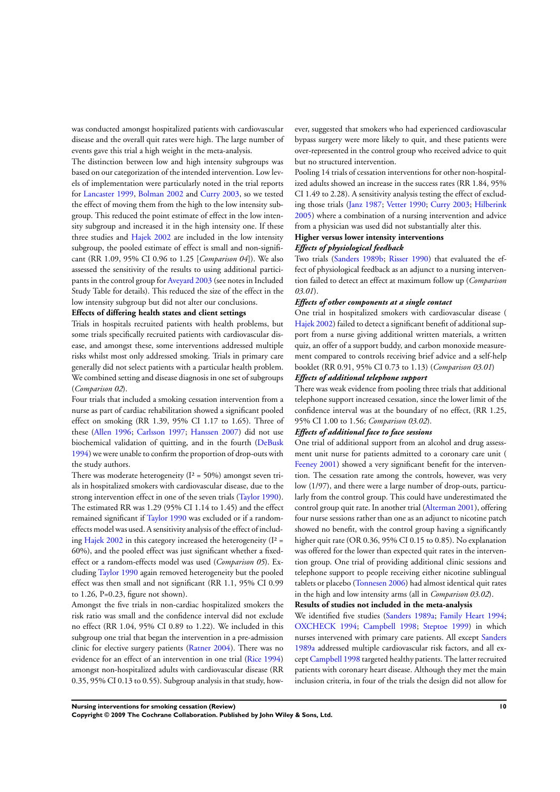was conducted amongst hospitalized patients with cardiovascular disease and the overall quit rates were high. The large number of events gave this trial a high weight in the meta-analysis.

The distinction between low and high intensity subgroups was based on our categorization of the intended intervention. Low levels of implementation were particularly noted in the trial reports for [Lancaster 1999](#page-14-0), [Bolman 2002](#page-14-0) and [Curry 2003](#page-14-0), so we tested the effect of moving them from the high to the low intensity subgroup. This reduced the point estimate of effect in the low intensity subgroup and increased it in the high intensity one. If these three studies and [Hajek 2002](#page-14-0) are included in the low intensity subgroup, the pooled estimate of effect is small and non-significant (RR 1.09, 95% CI 0.96 to 1.25 [*Comparison 04*]). We also assessed the sensitivity of the results to using additional participants in the control group for [Aveyard 2003](#page-14-0) (see notes in Included Study Table for details). This reduced the size of the effect in the low intensity subgroup but did not alter our conclusions.

### **Effects of differing health states and client settings**

Trials in hospitals recruited patients with health problems, but some trials specifically recruited patients with cardiovascular disease, and amongst these, some interventions addressed multiple risks whilst most only addressed smoking. Trials in primary care generally did not select patients with a particular health problem. We combined setting and disease diagnosis in one set of subgroups (*Comparison 02*).

Four trials that included a smoking cessation intervention from a nurse as part of cardiac rehabilitation showed a significant pooled effect on smoking (RR 1.39, 95% CI 1.17 to 1.65). Three of these ([Allen 1996;](#page-14-0) [Carlsson 1997;](#page-14-0) [Hanssen 2007\)](#page-14-0) did not use biochemical validation of quitting, and in the fourth [\(DeBusk](#page-14-0) [1994](#page-14-0)) we were unable to confirm the proportion of drop-outs with the study authors.

There was moderate heterogeneity ( $I^2 = 50\%$ ) amongst seven trials in hospitalized smokers with cardiovascular disease, due to the strong intervention effect in one of the seven trials ([Taylor 1990](#page-14-0)). The estimated RR was 1.29 (95% CI 1.14 to 1.45) and the effect remained significant if [Taylor 1990](#page-14-0) was excluded or if a randomeffects model was used. A sensitivity analysis of the effect of includ-ing [Hajek 2002](#page-14-0) in this category increased the heterogeneity ( $I^2$  = 60%), and the pooled effect was just significant whether a fixedeffect or a random-effects model was used (*Comparison 05*). Excluding [Taylor 1990](#page-14-0) again removed heterogeneity but the pooled effect was then small and not significant (RR 1.1, 95% CI 0.99 to  $1.26$ ,  $P=0.23$ , figure not shown).

Amongst the five trials in non-cardiac hospitalized smokers the risk ratio was small and the confidence interval did not exclude no effect (RR 1.04, 95% CI 0.89 to 1.22). We included in this subgroup one trial that began the intervention in a pre-admission clinic for elective surgery patients ([Ratner 2004\)](#page-14-0). There was no evidence for an effect of an intervention in one trial ([Rice 1994](#page-14-0)) amongst non-hospitalized adults with cardiovascular disease (RR 0.35, 95% CI 0.13 to 0.55). Subgroup analysis in that study, however, suggested that smokers who had experienced cardiovascular bypass surgery were more likely to quit, and these patients were over-represented in the control group who received advice to quit but no structured intervention.

Pooling 14 trials of cessation interventions for other non-hospitalized adults showed an increase in the success rates (RR 1.84, 95% CI 1.49 to 2.28). A sensitivity analysis testing the effect of excluding those trials ([Janz 1987;](#page-14-0) [Vetter 1990;](#page-14-0) [Curry 2003](#page-14-0); [Hilberink](#page-14-0) [2005](#page-14-0)) where a combination of a nursing intervention and advice from a physician was used did not substantially alter this.

### **Higher versus lower intensity interventions**

### *Effects of physiological feedback*

Two trials ([Sanders 1989b;](#page-14-0) [Risser 1990](#page-14-0)) that evaluated the effect of physiological feedback as an adjunct to a nursing intervention failed to detect an effect at maximum follow up (*Comparison 03.01*).

### *Effects of other components at a single contact*

One trial in hospitalized smokers with cardiovascular disease ( [Hajek 2002\)](#page-14-0) failed to detect a significant benefit of additional support from a nurse giving additional written materials, a written quiz, an offer of a support buddy, and carbon monoxide measurement compared to controls receiving brief advice and a self-help booklet (RR 0.91, 95% CI 0.73 to 1.13) (*Comparison 03.01*)

#### *Effects of additional telephone support*

There was weak evidence from pooling three trials that additional telephone support increased cessation, since the lower limit of the confidence interval was at the boundary of no effect, (RR 1.25, 95% CI 1.00 to 1.56; *Comparison 03.02*).

#### *Effects of additional face to face sessions*

One trial of additional support from an alcohol and drug assessment unit nurse for patients admitted to a coronary care unit ( [Feeney 2001\)](#page-14-0) showed a very significant benefit for the intervention. The cessation rate among the controls, however, was very low (1/97), and there were a large number of drop-outs, particularly from the control group. This could have underestimated the control group quit rate. In another trial ([Alterman 2001](#page-14-0)), offering four nurse sessions rather than one as an adjunct to nicotine patch showed no benefit, with the control group having a significantly higher quit rate (OR 0.36, 95% CI 0.15 to 0.85). No explanation was offered for the lower than expected quit rates in the intervention group. One trial of providing additional clinic sessions and telephone support to people receiving either nicotine sublingual tablets or placebo ([Tonnesen 2006\)](#page-14-0) had almost identical quit rates in the high and low intensity arms (all in *Comparison 03.02*).

#### **Results of studies not included in the meta-analysis**

We identified five studies [\(Sanders 1989a;](#page-14-0) [Family Heart 1994;](#page-14-0) [OXCHECK 1994](#page-14-0); [Campbell 1998;](#page-14-0) [Steptoe 1999](#page-14-0)) in which nurses intervened with primary care patients. All except [Sanders](#page-14-0) [1989a](#page-14-0) addressed multiple cardiovascular risk factors, and all except[Campbell 1998](#page-14-0) targeted healthy patients. The latter recruited patients with coronary heart disease. Although they met the main inclusion criteria, in four of the trials the design did not allow for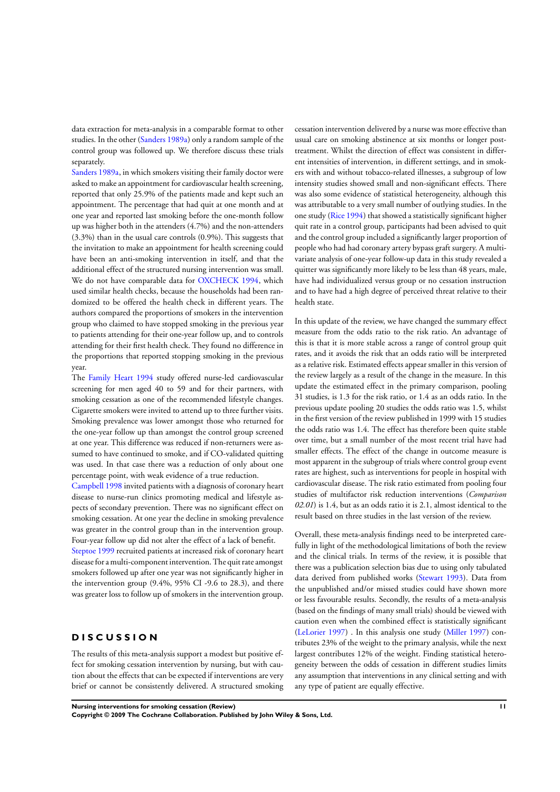data extraction for meta-analysis in a comparable format to other studies. In the other [\(Sanders 1989a](#page-14-0)) only a random sample of the control group was followed up. We therefore discuss these trials separately.

[Sanders 1989a](#page-14-0), in which smokers visiting their family doctor were asked to make an appointment for cardiovascular health screening, reported that only 25.9% of the patients made and kept such an appointment. The percentage that had quit at one month and at one year and reported last smoking before the one-month follow up was higher both in the attenders (4.7%) and the non-attenders (3.3%) than in the usual care controls (0.9%). This suggests that the invitation to make an appointment for health screening could have been an anti-smoking intervention in itself, and that the additional effect of the structured nursing intervention was small. We do not have comparable data for [OXCHECK 1994,](#page-14-0) which used similar health checks, because the households had been randomized to be offered the health check in different years. The authors compared the proportions of smokers in the intervention group who claimed to have stopped smoking in the previous year to patients attending for their one-year follow up, and to controls attending for their first health check. They found no difference in the proportions that reported stopping smoking in the previous year.

The [Family Heart 1994](#page-14-0) study offered nurse-led cardiovascular screening for men aged 40 to 59 and for their partners, with smoking cessation as one of the recommended lifestyle changes. Cigarette smokers were invited to attend up to three further visits. Smoking prevalence was lower amongst those who returned for the one-year follow up than amongst the control group screened at one year. This difference was reduced if non-returners were assumed to have continued to smoke, and if CO-validated quitting was used. In that case there was a reduction of only about one percentage point, with weak evidence of a true reduction.

[Campbell 1998](#page-14-0) invited patients with a diagnosis of coronary heart disease to nurse-run clinics promoting medical and lifestyle aspects of secondary prevention. There was no significant effect on smoking cessation. At one year the decline in smoking prevalence was greater in the control group than in the intervention group. Four-year follow up did not alter the effect of a lack of benefit. [Steptoe 1999](#page-14-0) recruited patients at increased risk of coronary heart disease for a multi-component intervention. The quit rate amongst smokers followed up after one year was not significantly higher in the intervention group (9.4%, 95% CI -9.6 to 28.3), and there was greater loss to follow up of smokers in the intervention group.

### **D I S C U S S I O N**

The results of this meta-analysis support a modest but positive effect for smoking cessation intervention by nursing, but with caution about the effects that can be expected if interventions are very brief or cannot be consistently delivered. A structured smoking cessation intervention delivered by a nurse was more effective than usual care on smoking abstinence at six months or longer posttreatment. Whilst the direction of effect was consistent in different intensities of intervention, in different settings, and in smokers with and without tobacco-related illnesses, a subgroup of low intensity studies showed small and non-significant effects. There was also some evidence of statistical heterogeneity, although this was attributable to a very small number of outlying studies. In the one study ([Rice 1994\)](#page-14-0) that showed a statistically significant higher quit rate in a control group, participants had been advised to quit and the control group included a significantly larger proportion of people who had had coronary artery bypass graft surgery. A multivariate analysis of one-year follow-up data in this study revealed a quitter was significantly more likely to be less than 48 years, male, have had individualized versus group or no cessation instruction and to have had a high degree of perceived threat relative to their health state.

In this update of the review, we have changed the summary effect measure from the odds ratio to the risk ratio. An advantage of this is that it is more stable across a range of control group quit rates, and it avoids the risk that an odds ratio will be interpreted as a relative risk. Estimated effects appear smaller in this version of the review largely as a result of the change in the measure. In this update the estimated effect in the primary comparison, pooling 31 studies, is 1.3 for the risk ratio, or 1.4 as an odds ratio. In the previous update pooling 20 studies the odds ratio was 1.5, whilst in the first version of the review published in 1999 with 15 studies the odds ratio was 1.4. The effect has therefore been quite stable over time, but a small number of the most recent trial have had smaller effects. The effect of the change in outcome measure is most apparent in the subgroup of trials where control group event rates are highest, such as interventions for people in hospital with cardiovascular disease. The risk ratio estimated from pooling four studies of multifactor risk reduction interventions (*Comparison 02.01*) is 1.4, but as an odds ratio it is 2.1, almost identical to the result based on three studies in the last version of the review.

Overall, these meta-analysis findings need to be interpreted carefully in light of the methodological limitations of both the review and the clinical trials. In terms of the review, it is possible that there was a publication selection bias due to using only tabulated data derived from published works ([Stewart 1993](#page-14-0)). Data from the unpublished and/or missed studies could have shown more or less favourable results. Secondly, the results of a meta-analysis (based on the findings of many small trials) should be viewed with caution even when the combined effect is statistically significant [\(LeLorier 1997\)](#page-14-0) . In this analysis one study [\(Miller 1997\)](#page-14-0) contributes 23% of the weight to the primary analysis, while the next largest contributes 12% of the weight. Finding statistical heterogeneity between the odds of cessation in different studies limits any assumption that interventions in any clinical setting and with any type of patient are equally effective.

**Nursing interventions for smoking cessation (Review) 11**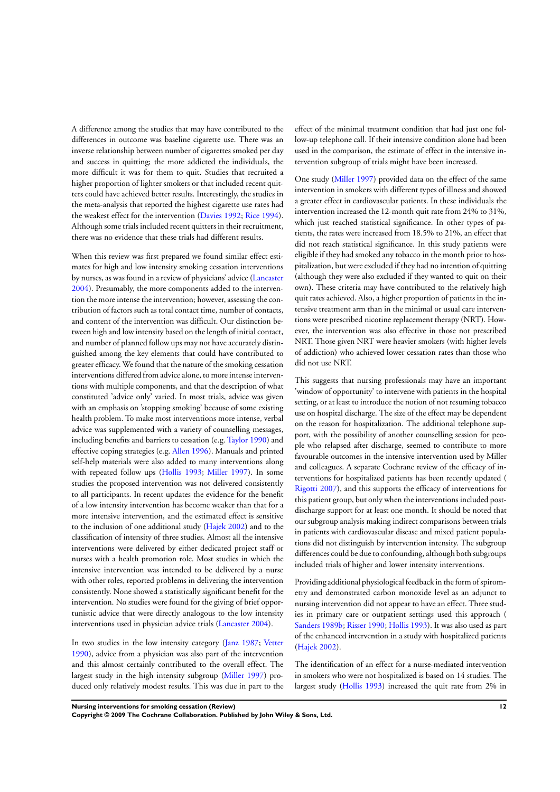A difference among the studies that may have contributed to the differences in outcome was baseline cigarette use. There was an inverse relationship between number of cigarettes smoked per day and success in quitting; the more addicted the individuals, the more difficult it was for them to quit. Studies that recruited a higher proportion of lighter smokers or that included recent quitters could have achieved better results. Interestingly, the studies in the meta-analysis that reported the highest cigarette use rates had the weakest effect for the intervention ([Davies 1992](#page-14-0); [Rice 1994](#page-14-0)). Although some trials included recent quitters in their recruitment, there was no evidence that these trials had different results.

When this review was first prepared we found similar effect estimates for high and low intensity smoking cessation interventions by nurses, as was found in a review of physicians' advice [\(Lancaster](#page-14-0) [2004](#page-14-0)). Presumably, the more components added to the intervention the more intense the intervention; however, assessing the contribution of factors such as total contact time, number of contacts, and content of the intervention was difficult. Our distinction between high and low intensity based on the length of initial contact, and number of planned follow ups may not have accurately distinguished among the key elements that could have contributed to greater efficacy. We found that the nature of the smoking cessation interventions differed from advice alone, to more intense interventions with multiple components, and that the description of what constituted 'advice only' varied. In most trials, advice was given with an emphasis on 'stopping smoking' because of some existing health problem. To make most interventions more intense, verbal advice was supplemented with a variety of counselling messages, including benefits and barriers to cessation (e.g. [Taylor 1990](#page-14-0)) and effective coping strategies (e.g. [Allen 1996\)](#page-14-0). Manuals and printed self-help materials were also added to many interventions along with repeated follow ups ([Hollis 1993;](#page-14-0) [Miller 1997](#page-14-0)). In some studies the proposed intervention was not delivered consistently to all participants. In recent updates the evidence for the benefit of a low intensity intervention has become weaker than that for a more intensive intervention, and the estimated effect is sensitive to the inclusion of one additional study ([Hajek 2002](#page-14-0)) and to the classification of intensity of three studies. Almost all the intensive interventions were delivered by either dedicated project staff or nurses with a health promotion role. Most studies in which the intensive intervention was intended to be delivered by a nurse with other roles, reported problems in delivering the intervention consistently. None showed a statistically significant benefit for the intervention. No studies were found for the giving of brief opportunistic advice that were directly analogous to the low intensity interventions used in physician advice trials [\(Lancaster 2004](#page-14-0)).

In two studies in the low intensity category [\(Janz 1987;](#page-14-0) [Vetter](#page-14-0) [1990](#page-14-0)), advice from a physician was also part of the intervention and this almost certainly contributed to the overall effect. The largest study in the high intensity subgroup ([Miller 1997](#page-14-0)) produced only relatively modest results. This was due in part to the effect of the minimal treatment condition that had just one follow-up telephone call. If their intensive condition alone had been used in the comparison, the estimate of effect in the intensive intervention subgroup of trials might have been increased.

One study [\(Miller 1997\)](#page-14-0) provided data on the effect of the same intervention in smokers with different types of illness and showed a greater effect in cardiovascular patients. In these individuals the intervention increased the 12-month quit rate from 24% to 31%, which just reached statistical significance. In other types of patients, the rates were increased from 18.5% to 21%, an effect that did not reach statistical significance. In this study patients were eligible if they had smoked any tobacco in the month prior to hospitalization, but were excluded if they had no intention of quitting (although they were also excluded if they wanted to quit on their own). These criteria may have contributed to the relatively high quit rates achieved. Also, a higher proportion of patients in the intensive treatment arm than in the minimal or usual care interventions were prescribed nicotine replacement therapy (NRT). However, the intervention was also effective in those not prescribed NRT. Those given NRT were heavier smokers (with higher levels of addiction) who achieved lower cessation rates than those who did not use NRT.

This suggests that nursing professionals may have an important 'window of opportunity' to intervene with patients in the hospital setting, or at least to introduce the notion of not resuming tobacco use on hospital discharge. The size of the effect may be dependent on the reason for hospitalization. The additional telephone support, with the possibility of another counselling session for people who relapsed after discharge, seemed to contribute to more favourable outcomes in the intensive intervention used by Miller and colleagues. A separate Cochrane review of the efficacy of interventions for hospitalized patients has been recently updated ( [Rigotti 2007](#page-14-0)), and this supports the efficacy of interventions for this patient group, but only when the interventions included postdischarge support for at least one month. It should be noted that our subgroup analysis making indirect comparisons between trials in patients with cardiovascular disease and mixed patient populations did not distinguish by intervention intensity. The subgroup differences could be due to confounding, although both subgroups included trials of higher and lower intensity interventions.

Providing additional physiological feedback in the form of spirometry and demonstrated carbon monoxide level as an adjunct to nursing intervention did not appear to have an effect. Three studies in primary care or outpatient settings used this approach ( [Sanders 1989b](#page-14-0); [Risser 1990;](#page-14-0) [Hollis 1993](#page-14-0)). It was also used as part of the enhanced intervention in a study with hospitalized patients [\(Hajek 2002](#page-14-0)).

The identification of an effect for a nurse-mediated intervention in smokers who were not hospitalized is based on 14 studies. The largest study ([Hollis 1993](#page-14-0)) increased the quit rate from 2% in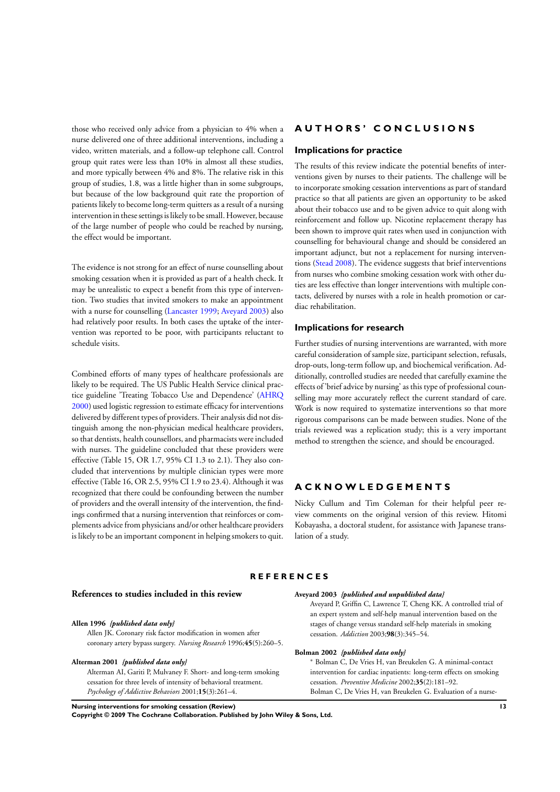<span id="page-14-0"></span>those who received only advice from a physician to 4% when a nurse delivered one of three additional interventions, including a video, written materials, and a follow-up telephone call. Control group quit rates were less than 10% in almost all these studies, and more typically between 4% and 8%. The relative risk in this group of studies, 1.8, was a little higher than in some subgroups, but because of the low background quit rate the proportion of patients likely to become long-term quitters as a result of a nursing intervention in these settings is likely to be small. However, because of the large number of people who could be reached by nursing, the effect would be important.

The evidence is not strong for an effect of nurse counselling about smoking cessation when it is provided as part of a health check. It may be unrealistic to expect a benefit from this type of intervention. Two studies that invited smokers to make an appointment with a nurse for counselling (Lancaster 1999; Aveyard 2003) also had relatively poor results. In both cases the uptake of the intervention was reported to be poor, with participants reluctant to schedule visits.

Combined efforts of many types of healthcare professionals are likely to be required. The US Public Health Service clinical practice guideline 'Treating Tobacco Use and Dependence' (AHRQ 2000) used logistic regression to estimate efficacy for interventions delivered by different types of providers. Their analysis did not distinguish among the non-physician medical healthcare providers, so that dentists, health counsellors, and pharmacists were included with nurses. The guideline concluded that these providers were effective (Table 15, OR 1.7, 95% CI 1.3 to 2.1). They also concluded that interventions by multiple clinician types were more effective (Table 16, OR 2.5, 95% CI 1.9 to 23.4). Although it was recognized that there could be confounding between the number of providers and the overall intensity of the intervention, the findings confirmed that a nursing intervention that reinforces or complements advice from physicians and/or other healthcare providers is likely to be an important component in helping smokers to quit.

### **A U T H O R S ' C O N C L U S I O N S**

### **Implications for practice**

The results of this review indicate the potential benefits of interventions given by nurses to their patients. The challenge will be to incorporate smoking cessation interventions as part of standard practice so that all patients are given an opportunity to be asked about their tobacco use and to be given advice to quit along with reinforcement and follow up. Nicotine replacement therapy has been shown to improve quit rates when used in conjunction with counselling for behavioural change and should be considered an important adjunct, but not a replacement for nursing interventions (Stead 2008). The evidence suggests that brief interventions from nurses who combine smoking cessation work with other duties are less effective than longer interventions with multiple contacts, delivered by nurses with a role in health promotion or cardiac rehabilitation.

#### **Implications for research**

Further studies of nursing interventions are warranted, with more careful consideration of sample size, participant selection, refusals, drop-outs, long-term follow up, and biochemical verification. Additionally, controlled studies are needed that carefully examine the effects of 'brief advice by nursing' as this type of professional counselling may more accurately reflect the current standard of care. Work is now required to systematize interventions so that more rigorous comparisons can be made between studies. None of the trials reviewed was a replication study; this is a very important method to strengthen the science, and should be encouraged.

### **A C K N O W L E D G E M E N T S**

Nicky Cullum and Tim Coleman for their helpful peer review comments on the original version of this review. Hitomi Kobayasha, a doctoral student, for assistance with Japanese translation of a study.

#### **R E F E R E N C E S**

#### **References to studies included in this review**

#### **Allen 1996** *{published data only}*

Allen JK. Coronary risk factor modification in women after coronary artery bypass surgery. *Nursing Research* 1996;**45**(5):260–5.

#### **Alterman 2001** *{published data only}*

Alterman AI, Gariti P, Mulvaney F. Short- and long-term smoking cessation for three levels of intensity of behavioral treatment. *Psychology of Addictive Behaviors* 2001;**15**(3):261–4.

**Aveyard 2003** *{published and unpublished data}*

Aveyard P, Griffin C, Lawrence T, Cheng KK. A controlled trial of an expert system and self-help manual intervention based on the stages of change versus standard self-help materials in smoking cessation. *Addiction* 2003;**98**(3):345–54.

### **Bolman 2002** *{published data only}*

<sup>∗</sup> Bolman C, De Vries H, van Breukelen G. A minimal-contact intervention for cardiac inpatients: long-term effects on smoking cessation. *Preventive Medicine* 2002;**35**(2):181–92. Bolman C, De Vries H, van Breukelen G. Evaluation of a nurse-

**Nursing interventions for smoking cessation (Review) 13 Copyright © 2009 The Cochrane Collaboration. Published by John Wiley & Sons, Ltd.**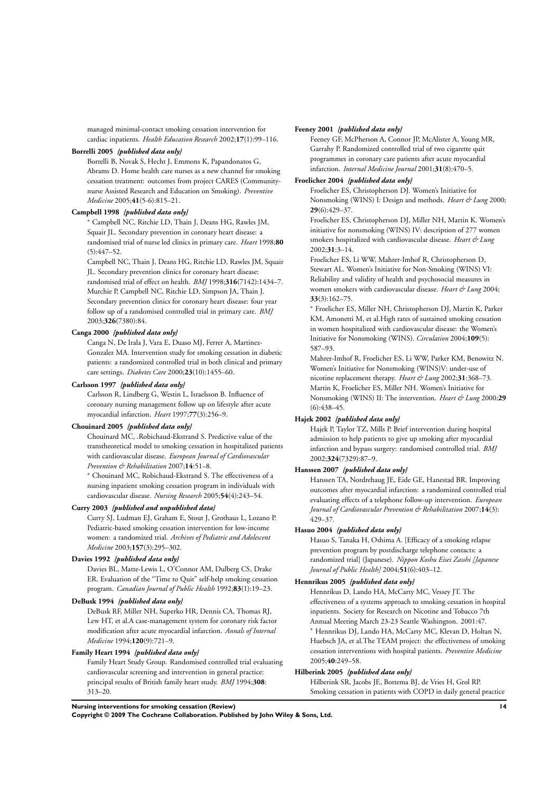managed minimal-contact smoking cessation intervention for cardiac inpatients. *Health Education Research* 2002;**17**(1):99–116.

#### **Borrelli 2005** *{published data only}*

Borrelli B, Novak S, Hecht J, Emmons K, Papandonatos G, Abrams D. Home health care nurses as a new channel for smoking cessation treatment: outcomes from project CARES (Communitynurse Assisted Research and Education on Smoking). *Preventive Medicine* 2005;**41**(5-6):815–21.

## **Campbell 1998** *{published data only}*

<sup>∗</sup> Campbell NC, Ritchie LD, Thain J, Deans HG, Rawles JM, Squair JL. Secondary prevention in coronary heart disease: a randomised trial of nurse led clinics in primary care. *Heart* 1998;**80** (5):447–52.

Campbell NC, Thain J, Deans HG, Ritchie LD, Rawles JM, Squair JL. Secondary prevention clinics for coronary heart disease: randomised trial of effect on health. *BMJ* 1998;**316**(7142):1434–7. Murchie P, Campbell NC, Ritchie LD, Simpson JA, Thain J. Secondary prevention clinics for coronary heart disease: four year follow up of a randomised controlled trial in primary care. *BMJ* 2003;**326**(7380):84.

#### **Canga 2000** *{published data only}*

Canga N, De Irala J, Vara E, Duaso MJ, Ferrer A, Martinez-Gonzalez MA. Intervention study for smoking cessation in diabetic patients: a randomized controlled trial in both clinical and primary care settings. *Diabetes Care* 2000;**23**(10):1455–60.

#### **Carlsson 1997** *{published data only}*

Carlsson R, Lindberg G, Westin L, Israelsson B. Influence of coronary nursing management follow up on lifestyle after acute myocardial infarction. *Heart* 1997;**77**(3):256–9.

### **Chouinard 2005** *{published data only}*

Chouinard MC, .Robichaud-Ekstrand S. Predictive value of the transtheoretical model to smoking cessation in hospitalized patients with cardiovascular disease. *European Journal of Cardiovascular Prevention & Rehabilitation* 2007;**14**:51–8.

<sup>∗</sup> Chouinard MC, Robichaud-Ekstrand S. The effectiveness of a nursing inpatient smoking cessation program in individuals with cardiovascular disease. *Nursing Research* 2005;**54**(4):243–54.

#### **Curry 2003** *{published and unpublished data}*

Curry SJ, Ludman EJ, Graham E, Stout J, Grothaus L, Lozano P. Pediatric-based smoking cessation intervention for low-income women: a randomized trial. *Archives of Pediatric and Adolescent Medicine* 2003;**157**(3):295–302.

#### **Davies 1992** *{published data only}*

Davies BL, Matte-Lewis L, O'Connor AM, Dulberg CS, Drake ER. Evaluation of the "Time to Quit" self-help smoking cessation program. *Canadian Journal of Public Health* 1992;**83**(1):19–23.

#### **DeBusk 1994** *{published data only}*

DeBusk RF, Miller NH, Superko HR, Dennis CA, Thomas RJ, Lew HT, et al.A case-management system for coronary risk factor modification after acute myocardial infarction. *Annals of Internal Medicine* 1994;**120**(9):721–9.

### **Family Heart 1994** *{published data only}*

Family Heart Study Group. Randomised controlled trial evaluating cardiovascular screening and intervention in general practice: principal results of British family heart study. *BMJ* 1994;**308**: 313–20.

#### **Feeney 2001** *{published data only}*

Feeney GF, McPherson A, Connor JP, McAlister A, Young MR, Garrahy P. Randomized controlled trial of two cigarette quit programmes in coronary care patients after acute myocardial infarction. *Internal Medicine Journal* 2001;**31**(8):470–5.

### **Froelicher 2004** *{published data only}*

Froelicher ES, Christopherson DJ. Women's Initiative for Nonsmoking (WINS) I: Design and methods. *Heart & Lung* 2000; **29**(6):429–37.

Froelicher ES, Christopherson DJ, Miller NH, Martin K. Women's initiative for nonsmoking (WINS) IV: description of 277 women smokers hospitalized with cardiovascular disease. *Heart & Lung* 2002;**31**:3–14.

Froelicher ES, Li WW, Mahrer-Imhof R, Christopherson D, Stewart AL. Women's Initiative for Non-Smoking (WINS) VI: Reliability and validity of health and psychosocial measures in women smokers with cardiovascular disease. *Heart & Lung* 2004; **33**(3):162–75.

<sup>∗</sup> Froelicher ES, Miller NH, Christopherson DJ, Martin K, Parker KM, Amonetti M, et al.High rates of sustained smoking cessation in women hospitalized with cardiovascular disease: the Women's Initiative for Nonsmoking (WINS). *Circulation* 2004;**109**(5): 587–93.

Mahrer-Imhof R, Froelicher ES, Li WW, Parker KM, Benowitz N. Women's Initiative for Nonsmoking (WINS)V: under-use of nicotine replacement therapy. *Heart & Lung* 2002;**31**:368–73. Martin K, Froelicher ES, Miller NH. Women's Initiative for Nonsmoking (WINS) II: The intervention. *Heart & Lung* 2000;**29** (6):438–45.

### **Hajek 2002** *{published data only}*

Hajek P, Taylor TZ, Mills P. Brief intervention during hospital admission to help patients to give up smoking after myocardial infarction and bypass surgery: randomised controlled trial. *BMJ* 2002;**324**(7329):87–9.

### **Hanssen 2007** *{published data only}*

Hanssen TA, Nordrehaug JE, Eide GE, Hanestad BR. Improving outcomes after myocardial infarction: a randomized controlled trial evaluating effects of a telephone follow-up intervention. *European Journal of Cardiovascular Prevention & Rehabilitation* 2007;**14**(3): 429–37.

#### **Hasuo 2004** *{published data only}*

Hasuo S, Tanaka H, Oshima A. [Efficacy of a smoking relapse prevention program by postdischarge telephone contacts: a randomized trial] (Japanese). *Nippon Koshu Eisei Zasshi [Japanese Journal of Public Health]* 2004;**51**(6):403–12.

### **Hennrikus 2005** *{published data only}*

Hennrikus D, Lando HA, McCarty MC, Vessey JT. The effectiveness of a systems approach to smoking cessation in hospital inpatients. Society for Research on Nicotine and Tobacco 7th Annual Meeting March 23-23 Seattle Washington. 2001:47.

<sup>∗</sup> Hennrikus DJ, Lando HA, McCarty MC, Klevan D, Holtan N, Huebsch JA, et al.The TEAM project: the effectiveness of smoking cessation interventions with hospital patients. *Preventive Medicine* 2005;**40**:249–58.

#### **Hilberink 2005** *{published data only}*

Hilberink SR, Jacobs JE, Bottema BJ, de Vries H, Grol RP. Smoking cessation in patients with COPD in daily general practice

**Nursing interventions for smoking cessation (Review) 14**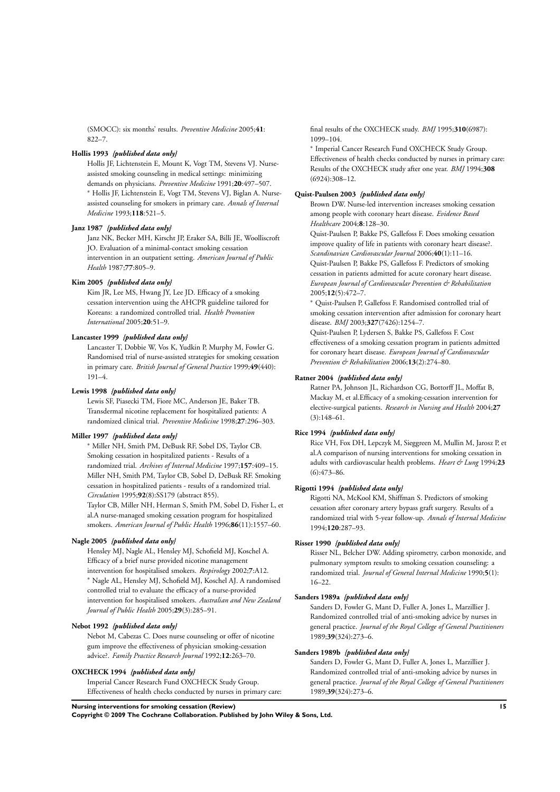(SMOCC): six months' results. *Preventive Medicine* 2005;**41**: 822–7.

#### **Hollis 1993** *{published data only}*

Hollis JF, Lichtenstein E, Mount K, Vogt TM, Stevens VJ. Nurseassisted smoking counseling in medical settings: minimizing demands on physicians. *Preventive Medicine* 1991;**20**:497–507. <sup>∗</sup> Hollis JF, Lichtenstein E, Vogt TM, Stevens VJ, Biglan A. Nurseassisted counseling for smokers in primary care. *Annals of Internal Medicine* 1993;**118**:521–5.

#### **Janz 1987** *{published data only}*

Janz NK, Becker MH, Kirscht JP, Eraker SA, Billi JE, Woolliscroft JO. Evaluation of a minimal-contact smoking cessation intervention in an outpatient setting. *American Journal of Public Health* 1987;**77**:805–9.

### **Kim 2005** *{published data only}*

Kim JR, Lee MS, Hwang JY, Lee JD. Efficacy of a smoking cessation intervention using the AHCPR guideline tailored for Koreans: a randomized controlled trial. *Health Promotion International* 2005;**20**:51–9.

#### **Lancaster 1999** *{published data only}*

Lancaster T, Dobbie W, Vos K, Yudkin P, Murphy M, Fowler G. Randomised trial of nurse-assisted strategies for smoking cessation in primary care. *British Journal of General Practice* 1999;**49**(440): 191–4.

#### **Lewis 1998** *{published data only}*

Lewis SF, Piasecki TM, Fiore MC, Anderson JE, Baker TB. Transdermal nicotine replacement for hospitalized patients: A randomized clinical trial. *Preventive Medicine* 1998;**27**:296–303.

### **Miller 1997** *{published data only}*

<sup>∗</sup> Miller NH, Smith PM, DeBusk RF, Sobel DS, Taylor CB. Smoking cessation in hospitalized patients - Results of a randomized trial. *Archives of Internal Medicine* 1997;**157**:409–15. Miller NH, Smith PM, Taylor CB, Sobel D, DeBusk RF. Smoking cessation in hospitalized patients - results of a randomized trial. *Circulation* 1995;**92**(8):SS179 (abstract 855). Taylor CB, Miller NH, Herman S, Smith PM, Sobel D, Fisher L, et al.A nurse-managed smoking cessation program for hospitalized smokers. *American Journal of Public Health* 1996;**86**(11):1557–60.

#### **Nagle 2005** *{published data only}*

Hensley MJ, Nagle AL, Hensley MJ, Schofield MJ, Koschel A. Efficacy of a brief nurse provided nicotine management intervention for hospitalised smokers. *Respirology* 2002;**7**:A12. <sup>∗</sup> Nagle AL, Hensley MJ, Schofield MJ, Koschel AJ. A randomised controlled trial to evaluate the efficacy of a nurse-provided intervention for hospitalised smokers. *Australian and New Zealand Journal of Public Health* 2005;**29**(3):285–91.

#### **Nebot 1992** *{published data only}*

Nebot M, Cabezas C. Does nurse counseling or offer of nicotine gum improve the effectiveness of physician smoking-cessation advice?. *Family Practice Research Journal* 1992;**12**:263–70.

#### **OXCHECK 1994** *{published data only}*

Imperial Cancer Research Fund OXCHECK Study Group. Effectiveness of health checks conducted by nurses in primary care: final results of the OXCHECK study. *BMJ* 1995;**310**(6987): 1099–104.

∗ Imperial Cancer Research Fund OXCHECK Study Group. Effectiveness of health checks conducted by nurses in primary care: Results of the OXCHECK study after one year. *BMJ* 1994;**308** (6924):308–12.

#### **Quist-Paulsen 2003** *{published data only}*

Brown DW. Nurse-led intervention increases smoking cessation among people with coronary heart disease. *Evidence Based Healthcare* 2004;**8**:128–30.

Quist-Paulsen P, Bakke PS, Gallefoss F. Does smoking cessation improve quality of life in patients with coronary heart disease?. *Scandinavian Cardiovascular Journal* 2006;**40**(1):11–16. Quist-Paulsen P, Bakke PS, Gallefoss F. Predictors of smoking cessation in patients admitted for acute coronary heart disease. *European Journal of Cardiovascular Prevention & Rehabilitation* 2005;**12**(5):472–7.

<sup>∗</sup> Quist-Paulsen P, Gallefoss F. Randomised controlled trial of smoking cessation intervention after admission for coronary heart disease. *BMJ* 2003;**327**(7426):1254–7.

Quist-Paulsen P, Lydersen S, Bakke PS, Gallefoss F. Cost effectiveness of a smoking cessation program in patients admitted for coronary heart disease. *European Journal of Cardiovascular Prevention & Rehabilitation* 2006;**13**(2):274–80.

#### **Ratner 2004** *{published data only}*

Ratner PA, Johnson JL, Richardson CG, Bottorff JL, Moffat B, Mackay M, et al.Efficacy of a smoking-cessation intervention for elective-surgical patients. *Research in Nursing and Health* 2004;**27** (3):148–61.

#### **Rice 1994** *{published data only}*

Rice VH, Fox DH, Lepczyk M, Sieggreen M, Mullin M, Jarosz P, et al.A comparison of nursing interventions for smoking cessation in adults with cardiovascular health problems. *Heart & Lung* 1994;**23** (6):473–86.

#### **Rigotti 1994** *{published data only}*

Rigotti NA, McKool KM, Shiffman S. Predictors of smoking cessation after coronary artery bypass graft surgery. Results of a randomized trial with 5-year follow-up. *Annals of Internal Medicine* 1994;**120**:287–93.

#### **Risser 1990** *{published data only}*

Risser NL, Belcher DW. Adding spirometry, carbon monoxide, and pulmonary symptom results to smoking cessation counseling: a randomized trial. *Journal of General Internal Medicine* 1990;**5**(1): 16–22.

#### **Sanders 1989a** *{published data only}*

Sanders D, Fowler G, Mant D, Fuller A, Jones L, Marzillier J. Randomized controlled trial of anti-smoking advice by nurses in general practice. *Journal of the Royal College of General Practitioners* 1989;**39**(324):273–6.

#### **Sanders 1989b** *{published data only}*

Sanders D, Fowler G, Mant D, Fuller A, Jones L, Marzillier J. Randomized controlled trial of anti-smoking advice by nurses in general practice. *Journal of the Royal College of General Practitioners* 1989;**39**(324):273–6.

### **Nursing interventions for smoking cessation (Review) 15**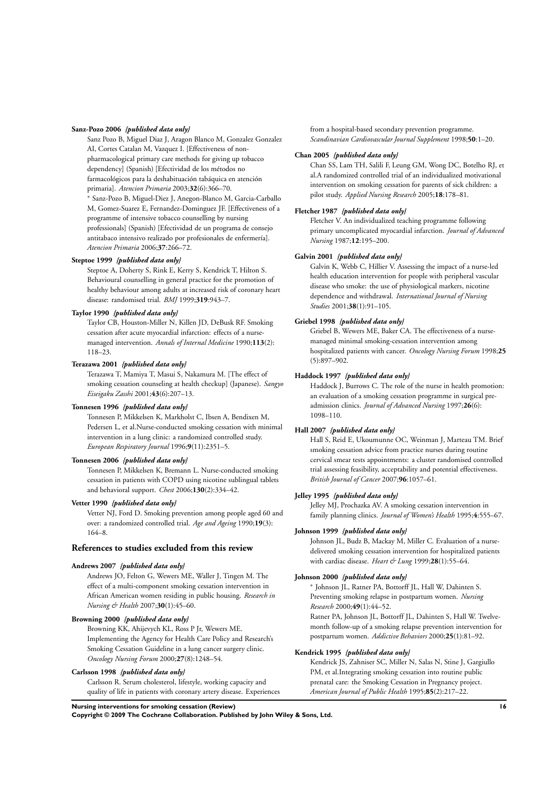#### **Sanz-Pozo 2006** *{published data only}*

Sanz Pozo B, Miguel Diaz J, Aragon Blanco M, Gonzalez Gonzalez AI, Cortes Catalan M, Vazquez I. [Effectiveness of nonpharmacological primary care methods for giving up tobacco dependency] (Spanish) [Efectividad de los métodos no farmacológicos para la deshabituación tabáquica en atención primaria]. *Atencion Primaria* 2003;**32**(6):366–70. Sanz-Pozo B, Miguel-Diez J, Anegon-Blanco M, Garcia-Carballo M, Gomez-Suarez E, Fernandez-Dominguez JF. [Effectiveness of a programme of intensive tobacco counselling by nursing professionals] (Spanish) [Efectividad de un programa de consejo antitabaco intensivo realizado por profesionales de enfermería]. *Atencion Primaria* 2006;**37**:266–72.

### **Steptoe 1999** *{published data only}*

Steptoe A, Doherty S, Rink E, Kerry S, Kendrick T, Hilton S. Behavioural counselling in general practice for the promotion of healthy behaviour among adults at increased risk of coronary heart disease: randomised trial. *BMJ* 1999;**319**:943–7.

### **Taylor 1990** *{published data only}*

Taylor CB, Houston-Miller N, Killen JD, DeBusk RF. Smoking cessation after acute myocardial infarction: effects of a nursemanaged intervention. *Annals of Internal Medicine* 1990;**113**(2): 118–23.

#### **Terazawa 2001** *{published data only}*

Terazawa T, Mamiya T, Masui S, Nakamura M. [The effect of smoking cessation counseling at health checkup] (Japanese). *Sangyo Eiseigaku Zasshi* 2001;**43**(6):207–13.

#### **Tonnesen 1996** *{published data only}*

Tonnesen P, Mikkelsen K, Markholst C, Ibsen A, Bendixen M, Pedersen L, et al.Nurse-conducted smoking cessation with minimal intervention in a lung clinic: a randomized controlled study. *European Respiratory Journal* 1996;**9**(11):2351–5.

#### **Tonnesen 2006** *{published data only}*

Tonnesen P, Mikkelsen K, Bremann L. Nurse-conducted smoking cessation in patients with COPD using nicotine sublingual tablets and behavioral support. *Chest* 2006;**130**(2):334–42.

#### **Vetter 1990** *{published data only}*

Vetter NJ, Ford D. Smoking prevention among people aged 60 and over: a randomized controlled trial. *Age and Ageing* 1990;**19**(3): 164–8.

#### **References to studies excluded from this review**

#### **Andrews 2007** *{published data only}*

Andrews JO, Felton G, Wewers ME, Waller J, Tingen M. The effect of a multi-component smoking cessation intervention in African American women residing in public housing. *Research in Nursing & Health* 2007;**30**(1):45–60.

## **Browning 2000** *{published data only}*

Browning KK, Ahijevych KL, Ross P Jr, Wewers ME. Implementing the Agency for Health Care Policy and Research's Smoking Cessation Guideline in a lung cancer surgery clinic. *Oncology Nursing Forum* 2000;**27**(8):1248–54.

### **Carlsson 1998** *{published data only}*

Carlsson R. Serum cholesterol, lifestyle, working capacity and quality of life in patients with coronary artery disease. Experiences from a hospital-based secondary prevention programme. *Scandinavian Cardiovascular Journal Supplement* 1998;**50**:1–20.

#### **Chan 2005** *{published data only}*

Chan SS, Lam TH, Salili F, Leung GM, Wong DC, Botelho RJ, et al.A randomized controlled trial of an individualized motivational intervention on smoking cessation for parents of sick children: a pilot study. *Applied Nursing Research* 2005;**18**:178–81.

#### **Fletcher 1987** *{published data only}*

Fletcher V. An individualized teaching programme following primary uncomplicated myocardial infarction. *Journal of Advanced Nursing* 1987;**12**:195–200.

#### **Galvin 2001** *{published data only}*

Galvin K, Webb C, Hillier V. Assessing the impact of a nurse-led health education intervention for people with peripheral vascular disease who smoke: the use of physiological markers, nicotine dependence and withdrawal. *International Journal of Nursing Studies* 2001;**38**(1):91–105.

#### **Griebel 1998** *{published data only}*

Griebel B, Wewers ME, Baker CA. The effectiveness of a nursemanaged minimal smoking-cessation intervention among hospitalized patients with cancer. *Oncology Nursing Forum* 1998;**25** (5):897–902.

#### **Haddock 1997** *{published data only}*

Haddock J, Burrows C. The role of the nurse in health promotion: an evaluation of a smoking cessation programme in surgical preadmission clinics. *Journal of Advanced Nursing* 1997;**26**(6): 1098–110.

#### **Hall 2007** *{published data only}*

Hall S, Reid E, Ukoumunne OC, Weinman J, Marteau TM. Brief smoking cessation advice from practice nurses during routine cervical smear tests appointments: a cluster randomised controlled trial assessing feasibility, acceptability and potential effectiveness. *British Journal of Cancer* 2007;**96**:1057–61.

#### **Jelley 1995** *{published data only}*

Jelley MJ, Prochazka AV. A smoking cessation intervention in family planning clinics. *Journal of Women's Health* 1995;**4**:555–67.

#### **Johnson 1999** *{published data only}*

Johnson JL, Budz B, Mackay M, Miller C. Evaluation of a nursedelivered smoking cessation intervention for hospitalized patients with cardiac disease. *Heart & Lung* 1999;**28**(1):55–64.

#### **Johnson 2000** *{published data only}*

∗ Johnson JL, Ratner PA, Bottorff JL, Hall W, Dahinten S. Preventing smoking relapse in postpartum women. *Nursing Research* 2000;**49**(1):44–52.

Ratner PA, Johnson JL, Bottorff JL, Dahinten S, Hall W. Twelvemonth follow-up of a smoking relapse prevention intervention for postpartum women. *Addictive Behaviors* 2000;**25**(1):81–92.

#### **Kendrick 1995** *{published data only}*

Kendrick JS, Zahniser SC, Miller N, Salas N, Stine J, Gargiullo PM, et al.Integrating smoking cessation into routine public prenatal care: the Smoking Cessation in Pregnancy project. *American Journal of Public Health* 1995;**85**(2):217–22.

### **Nursing interventions for smoking cessation (Review) 16**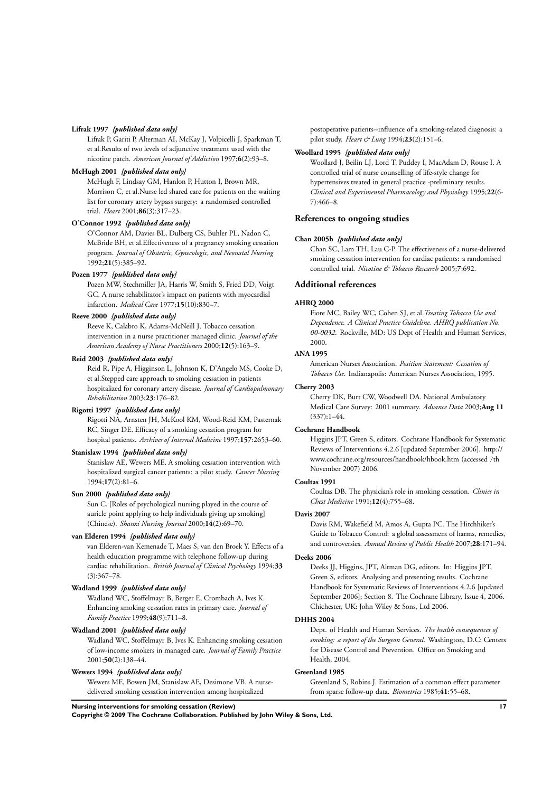#### **Lifrak 1997** *{published data only}*

Lifrak P, Gariti P, Alterman AI, McKay J, Volpicelli J, Sparkman T, et al.Results of two levels of adjunctive treatment used with the nicotine patch. *American Journal of Addiction* 1997;**6**(2):93–8.

### **McHugh 2001** *{published data only}*

McHugh F, Lindsay GM, Hanlon P, Hutton I, Brown MR, Morrison C, et al.Nurse led shared care for patients on the waiting list for coronary artery bypass surgery: a randomised controlled trial. *Heart* 2001;**86**(3):317–23.

#### **O'Connor 1992** *{published data only}*

O'Connor AM, Davies BL, Dulberg CS, Buhler PL, Nadon C, McBride BH, et al.Effectiveness of a pregnancy smoking cessation program. *Journal of Obstetric, Gynecologic, and Neonatal Nursing* 1992;**21**(5):385–92.

### **Pozen 1977** *{published data only}*

Pozen MW, Stechmiller JA, Harris W, Smith S, Fried DD, Voigt GC. A nurse rehabilitator's impact on patients with myocardial infarction. *Medical Care* 1977;**15**(10):830–7.

#### **Reeve 2000** *{published data only}*

Reeve K, Calabro K, Adams-McNeill J. Tobacco cessation intervention in a nurse practitioner managed clinic. *Journal of the American Academy of Nurse Practitioners* 2000;**12**(5):163–9.

#### **Reid 2003** *{published data only}*

Reid R, Pipe A, Higginson L, Johnson K, D'Angelo MS, Cooke D, et al.Stepped care approach to smoking cessation in patients hospitalized for coronary artery disease. *Journal of Cardiopulmonary Rehabilitation* 2003;**23**:176–82.

### **Rigotti 1997** *{published data only}*

Rigotti NA, Arnsten JH, McKool KM, Wood-Reid KM, Pasternak RC, Singer DE. Efficacy of a smoking cessation program for hospital patients. *Archives of Internal Medicine* 1997;**157**:2653–60.

#### **Stanislaw 1994** *{published data only}*

Stanislaw AE, Wewers ME. A smoking cessation intervention with hospitalized surgical cancer patients: a pilot study. *Cancer Nursing* 1994;**17**(2):81–6.

#### **Sun 2000** *{published data only}*

Sun C. [Roles of psychological nursing played in the course of auricle point applying to help individuals giving up smoking] (Chinese). *Shanxi Nursing Journal* 2000;**14**(2):69–70.

#### **van Elderen 1994** *{published data only}*

van Elderen-van Kemenade T, Maes S, van den Broek Y. Effects of a health education programme with telephone follow-up during cardiac rehabilitation. *British Journal of Clinical Psychology* 1994;**33**  $(3):367 - 78.$ 

#### **Wadland 1999** *{published data only}*

Wadland WC, Stoffelmayr B, Berger E, Crombach A, Ives K. Enhancing smoking cessation rates in primary care. *Journal of Family Practice* 1999;**48**(9):711–8.

#### **Wadland 2001** *{published data only}*

Wadland WC, Stoffelmayr B, Ives K. Enhancing smoking cessation of low-income smokers in managed care. *Journal of Family Practice* 2001;**50**(2):138–44.

### **Wewers 1994** *{published data only}*

Wewers ME, Bowen JM, Stanislaw AE, Desimone VB. A nursedelivered smoking cessation intervention among hospitalized

postoperative patients--influence of a smoking-related diagnosis: a pilot study. *Heart & Lung* 1994;**23**(2):151–6.

#### **Woollard 1995** *{published data only}*

Woollard J, Beilin LJ, Lord T, Puddey I, MacAdam D, Rouse I. A controlled trial of nurse counselling of life-style change for hypertensives treated in general practice -preliminary results. *Clinical and Experimental Pharmacology and Physiology* 1995;**22**(6- 7):466–8.

### **References to ongoing studies**

#### **Chan 2005b** *{published data only}*

Chan SC, Lam TH, Lau C-P. The effectiveness of a nurse-delivered smoking cessation intervention for cardiac patients: a randomised controlled trial. *Nicotine & Tobacco Research* 2005;**7**:692.

#### **Additional references**

#### **AHRQ 2000**

Fiore MC, Bailey WC, Cohen SJ, et al.*Treating Tobacco Use and Dependence. A Clinical Practice Guideline. AHRQ publication No. 00-0032*. Rockville, MD: US Dept of Health and Human Services, 2000.

#### **ANA 1995**

American Nurses Association. *Position Statement: Cessation of Tobacco Use*. Indianapolis: American Nurses Association, 1995.

#### **Cherry 2003**

Cherry DK, Burt CW, Woodwell DA. National Ambulatory Medical Care Survey: 2001 summary. *Advance Data* 2003;**Aug 11**  $(337):1-44.$ 

#### **Cochrane Handbook**

Higgins JPT, Green S, editors. Cochrane Handbook for Systematic Reviews of Interventions 4.2.6 [updated September 2006]. http:// www.cochrane.org/resources/handbook/hbook.htm (accessed 7th November 2007) 2006.

#### **Coultas 1991**

Coultas DB. The physician's role in smoking cessation. *Clinics in Chest Medicine* 1991;**12**(4):755–68.

#### **Davis 2007**

Davis RM, Wakefield M, Amos A, Gupta PC. The Hitchhiker's Guide to Tobacco Control: a global assessment of harms, remedies, and controversies. *Annual Review of Public Health* 2007;**28**:171–94.

#### **Deeks 2006**

Deeks JJ, Higgins, JPT, Altman DG, editors. In: Higgins JPT, Green S, editors. Analysing and presenting results. Cochrane Handbook for Systematic Reviews of Interventions 4.2.6 [updated September 2006]; Section 8. The Cochrane Library, Issue 4, 2006. Chichester, UK: John Wiley & Sons, Ltd 2006.

#### **DHHS 2004**

Dept. of Health and Human Services. *The health consequences of smoking: a report of the Surgeon General*. Washington, D.C: Centers for Disease Control and Prevention. Office on Smoking and Health, 2004.

#### **Greenland 1985**

Greenland S, Robins J. Estimation of a common effect parameter from sparse follow-up data. *Biometrics* 1985;**41**:55–68.

### **Nursing interventions for smoking cessation (Review) 17**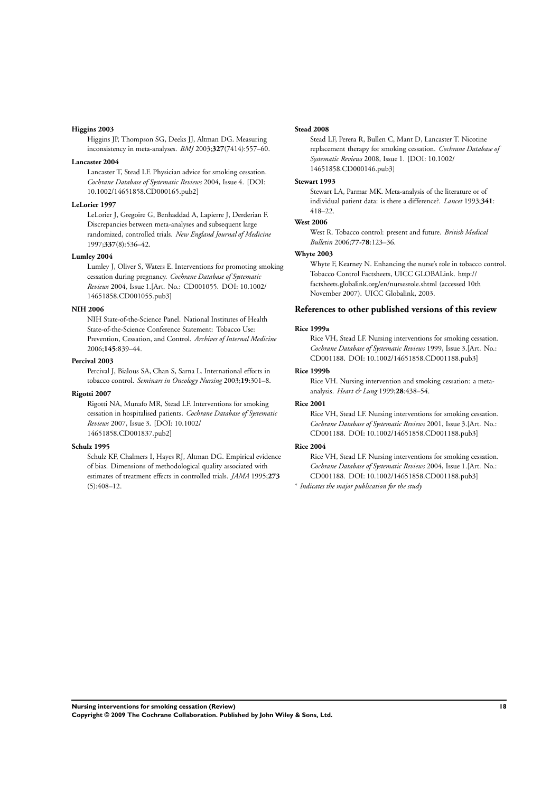#### **Higgins 2003**

Higgins JP, Thompson SG, Deeks JJ, Altman DG. Measuring inconsistency in meta-analyses. *BMJ* 2003;**327**(7414):557–60.

#### **Lancaster 2004**

Lancaster T, Stead LF. Physician advice for smoking cessation. *Cochrane Database of Systematic Reviews* 2004, Issue 4. [DOI: 10.1002/14651858.CD000165.pub2]

#### **LeLorier 1997**

LeLorier J, Gregoire G, Benhaddad A, Lapierre J, Derderian F. Discrepancies between meta-analyses and subsequent large randomized, controlled trials. *New England Journal of Medicine* 1997;**337**(8):536–42.

#### **Lumley 2004**

Lumley J, Oliver S, Waters E. Interventions for promoting smoking cessation during pregnancy. *Cochrane Database of Systematic Reviews* 2004, Issue 1.[Art. No.: CD001055. DOI: 10.1002/ 14651858.CD001055.pub3]

#### **NIH 2006**

NIH State-of-the-Science Panel. National Institutes of Health State-of-the-Science Conference Statement: Tobacco Use: Prevention, Cessation, and Control. *Archives of Internal Medicine* 2006;**145**:839–44.

#### **Percival 2003**

Percival J, Bialous SA, Chan S, Sarna L. International efforts in tobacco control. *Seminars in Oncology Nursing* 2003;**19**:301–8.

#### **Rigotti 2007**

Rigotti NA, Munafo MR, Stead LF. Interventions for smoking cessation in hospitalised patients. *Cochrane Database of Systematic Reviews* 2007, Issue 3. [DOI: 10.1002/ 14651858.CD001837.pub2]

#### **Schulz 1995**

Schulz KF, Chalmers I, Hayes RJ, Altman DG. Empirical evidence of bias. Dimensions of methodological quality associated with estimates of treatment effects in controlled trials. *JAMA* 1995;**273** (5):408–12.

#### **Stead 2008**

Stead LF, Perera R, Bullen C, Mant D, Lancaster T. Nicotine replacement therapy for smoking cessation. *Cochrane Database of Systematic Reviews* 2008, Issue 1. [DOI: 10.1002/ 14651858.CD000146.pub3]

#### **Stewart 1993**

Stewart LA, Parmar MK. Meta-analysis of the literature or of individual patient data: is there a difference?. *Lancet* 1993;**341**: 418–22.

#### **West 2006**

West R. Tobacco control: present and future. *British Medical Bulletin* 2006;**77-78**:123–36.

#### **Whyte 2003**

Whyte F, Kearney N. Enhancing the nurse's role in tobacco control. Tobacco Control Factsheets, UICC GLOBALink. http:// factsheets.globalink.org/en/nursesrole.shtml (accessed 10th November 2007). UICC Globalink, 2003.

#### **References to other published versions of this review**

#### **Rice 1999a**

Rice VH, Stead LF. Nursing interventions for smoking cessation. *Cochrane Database of Systematic Reviews* 1999, Issue 3.[Art. No.: CD001188. DOI: 10.1002/14651858.CD001188.pub3]

#### **Rice 1999b**

Rice VH. Nursing intervention and smoking cessation: a metaanalysis. *Heart & Lung* 1999;**28**:438–54.

#### **Rice 2001**

Rice VH, Stead LF. Nursing interventions for smoking cessation. *Cochrane Database of Systematic Reviews* 2001, Issue 3.[Art. No.: CD001188. DOI: 10.1002/14651858.CD001188.pub3]

#### **Rice 2004**

Rice VH, Stead LF. Nursing interventions for smoking cessation. *Cochrane Database of Systematic Reviews* 2004, Issue 1.[Art. No.: CD001188. DOI: 10.1002/14651858.CD001188.pub3]

∗ *Indicates the major publication for the study*

**Nursing interventions for smoking cessation (Review) 18**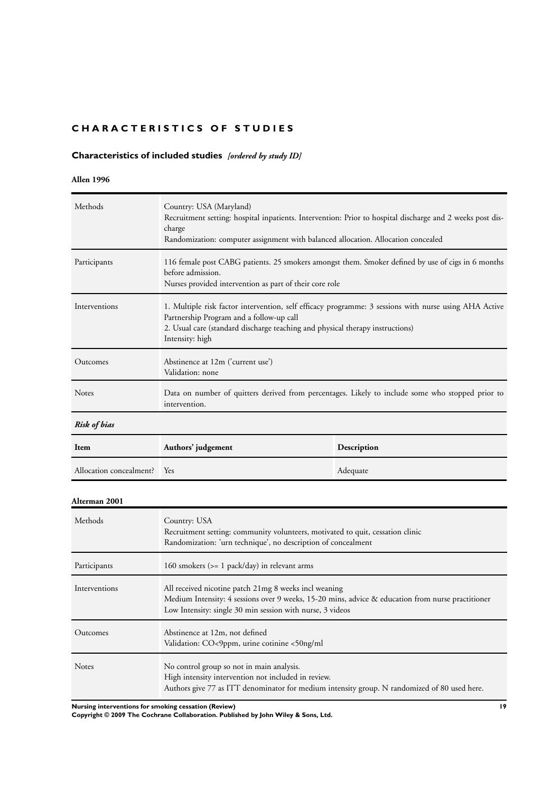# <span id="page-20-0"></span>**CHARACTERISTICS OF STUDIES**

# **Characteristics of included studies** *[ordered by study ID]*

**Allen 1996**

| Methods                 | Country: USA (Maryland)<br>Recruitment setting: hospital inpatients. Intervention: Prior to hospital discharge and 2 weeks post dis-<br>charge<br>Randomization: computer assignment with balanced allocation. Allocation concealed                   |             |  |
|-------------------------|-------------------------------------------------------------------------------------------------------------------------------------------------------------------------------------------------------------------------------------------------------|-------------|--|
| Participants            | 116 female post CABG patients. 25 smokers amongst them. Smoker defined by use of cigs in 6 months<br>before admission.<br>Nurses provided intervention as part of their core role                                                                     |             |  |
| Interventions           | 1. Multiple risk factor intervention, self efficacy programme: 3 sessions with nurse using AHA Active<br>Partnership Program and a follow-up call<br>2. Usual care (standard discharge teaching and physical therapy instructions)<br>Intensity: high |             |  |
| Outcomes                | Abstinence at 12m ('current use')<br>Validation: none                                                                                                                                                                                                 |             |  |
| <b>Notes</b>            | Data on number of quitters derived from percentages. Likely to include some who stopped prior to<br>intervention.                                                                                                                                     |             |  |
| <b>Risk of bias</b>     |                                                                                                                                                                                                                                                       |             |  |
| Item                    | Authors' judgement                                                                                                                                                                                                                                    | Description |  |
| Allocation concealment? | Yes                                                                                                                                                                                                                                                   | Adequate    |  |
| Alterman 2001           |                                                                                                                                                                                                                                                       |             |  |
| Methods                 | Country: USA<br>Recruitment setting: community volunteers, motivated to quit, cessation clinic<br>Randomization: 'urn technique', no description of concealment                                                                                       |             |  |
| Participants            | 160 smokers $(>= 1$ pack/day) in relevant arms                                                                                                                                                                                                        |             |  |
| Interventions           | All received nicotine patch 21mg 8 weeks incl weaning<br>Medium Intensity: 4 sessions over 9 weeks, 15-20 mins, advice & education from nurse practitioner<br>Low Intensity: single 30 min session with nurse, 3 videos                               |             |  |
| Outcomes                | Abstinence at 12m, not defined<br>Validation: CO<9ppm, urine cotinine <50ng/ml                                                                                                                                                                        |             |  |
| Notes                   | No control group so not in main analysis.<br>High intensity intervention not included in review.<br>Authors give 77 as ITT denominator for medium intensity group. N randomized of 80 used here.                                                      |             |  |

**Nursing interventions for smoking cessation (Review) 19 Copyright © 2009 The Cochrane Collaboration. Published by John Wiley & Sons, Ltd.**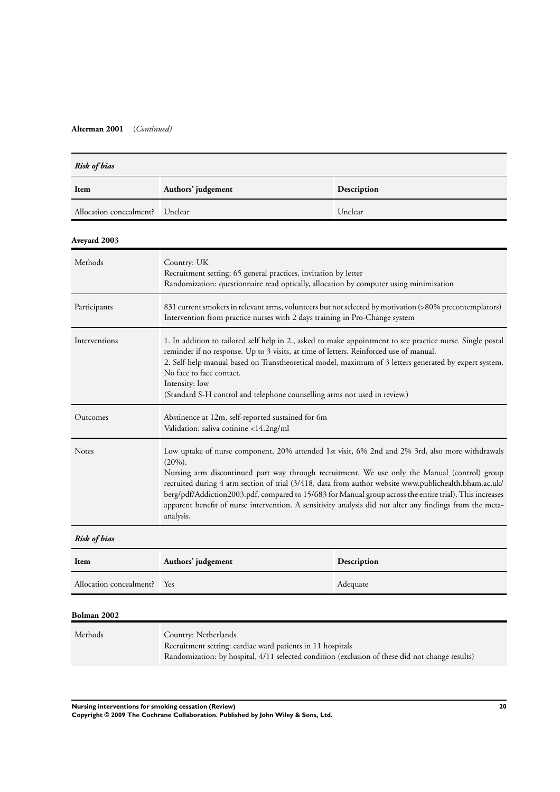### **Alterman 2001** (*Continued)*

| <b>Risk of bias</b>     |                                                                                                                                                                                                                                                                                                                                                                                                                                                                                                                                                             |             |  |
|-------------------------|-------------------------------------------------------------------------------------------------------------------------------------------------------------------------------------------------------------------------------------------------------------------------------------------------------------------------------------------------------------------------------------------------------------------------------------------------------------------------------------------------------------------------------------------------------------|-------------|--|
| Item                    | Authors' judgement                                                                                                                                                                                                                                                                                                                                                                                                                                                                                                                                          | Description |  |
| Allocation concealment? | Unclear                                                                                                                                                                                                                                                                                                                                                                                                                                                                                                                                                     | Unclear     |  |
| Aveyard 2003            |                                                                                                                                                                                                                                                                                                                                                                                                                                                                                                                                                             |             |  |
| Methods                 | Country: UK<br>Recruitment setting: 65 general practices, invitation by letter<br>Randomization: questionnaire read optically, allocation by computer using minimization                                                                                                                                                                                                                                                                                                                                                                                    |             |  |
| Participants            | 831 current smokers in relevant arms, volunteers but not selected by motivation (>80% precontemplators)<br>Intervention from practice nurses with 2 days training in Pro-Change system                                                                                                                                                                                                                                                                                                                                                                      |             |  |
| Interventions           | 1. In addition to tailored self help in 2., asked to make appointment to see practice nurse. Single postal<br>reminder if no response. Up to 3 visits, at time of letters. Reinforced use of manual.<br>2. Self-help manual based on Transtheoretical model, maximum of 3 letters generated by expert system.<br>No face to face contact.<br>Intensity: low<br>(Standard S-H control and telephone counselling arms not used in review.)                                                                                                                    |             |  |
| Outcomes                | Abstinence at 12m, self-reported sustained for 6m<br>Validation: saliva cotinine <14.2ng/ml                                                                                                                                                                                                                                                                                                                                                                                                                                                                 |             |  |
| Notes                   | Low uptake of nurse component, 20% attended 1st visit, 6% 2nd and 2% 3rd, also more withdrawals<br>$(20\%).$<br>Nursing arm discontinued part way through recruitment. We use only the Manual (control) group<br>recruited during 4 arm section of trial (3/418, data from author website www.publichealth.bham.ac.uk/<br>berg/pdf/Addiction2003.pdf, compared to 15/683 for Manual group across the entire trial). This increases<br>apparent benefit of nurse intervention. A sensitivity analysis did not alter any findings from the meta-<br>analysis. |             |  |
| <b>Risk of bias</b>     |                                                                                                                                                                                                                                                                                                                                                                                                                                                                                                                                                             |             |  |
| Item                    | Authors' judgement                                                                                                                                                                                                                                                                                                                                                                                                                                                                                                                                          | Description |  |
| Allocation concealment? | Yes                                                                                                                                                                                                                                                                                                                                                                                                                                                                                                                                                         | Adequate    |  |
| Bolman 2002             |                                                                                                                                                                                                                                                                                                                                                                                                                                                                                                                                                             |             |  |
| Methods                 | Country: Netherlands<br>Recruitment setting: cardiac ward patients in 11 hospitals<br>Randomization: by hospital, 4/11 selected condition (exclusion of these did not change results)                                                                                                                                                                                                                                                                                                                                                                       |             |  |

**Nursing interventions for smoking cessation (Review) 20**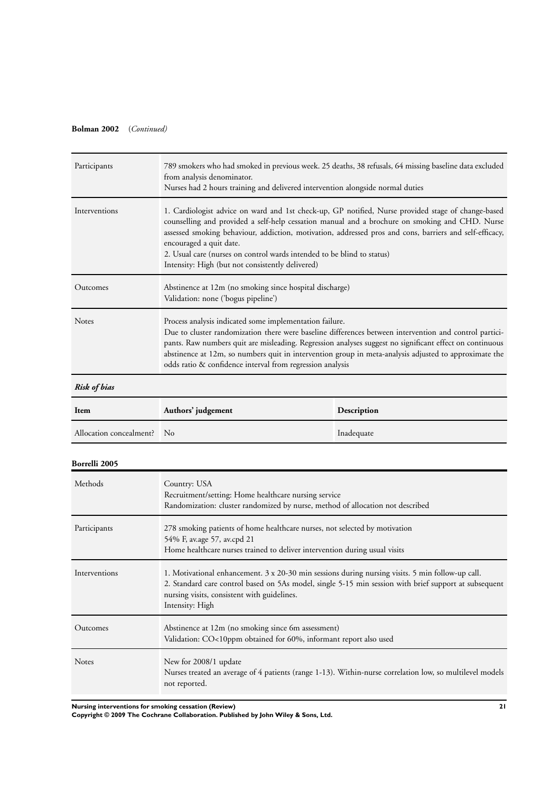### **Bolman 2002** (*Continued)*

| Participants        | 789 smokers who had smoked in previous week. 25 deaths, 38 refusals, 64 missing baseline data excluded<br>from analysis denominator.<br>Nurses had 2 hours training and delivered intervention alongside normal duties                                                                                                                                                                                                                                                   |
|---------------------|--------------------------------------------------------------------------------------------------------------------------------------------------------------------------------------------------------------------------------------------------------------------------------------------------------------------------------------------------------------------------------------------------------------------------------------------------------------------------|
| Interventions       | 1. Cardiologist advice on ward and 1st check-up, GP notified, Nurse provided stage of change-based<br>counselling and provided a self-help cessation manual and a brochure on smoking and CHD. Nurse<br>assessed smoking behaviour, addiction, motivation, addressed pros and cons, barriers and self-efficacy,<br>encouraged a quit date.<br>2. Usual care (nurses on control wards intended to be blind to status)<br>Intensity: High (but not consistently delivered) |
| Outcomes            | Abstinence at 12m (no smoking since hospital discharge)<br>Validation: none ('bogus pipeline')                                                                                                                                                                                                                                                                                                                                                                           |
| <b>Notes</b>        | Process analysis indicated some implementation failure.<br>Due to cluster randomization there were baseline differences between intervention and control partici-<br>pants. Raw numbers quit are misleading. Regression analyses suggest no significant effect on continuous<br>abstinence at 12m, so numbers quit in intervention group in meta-analysis adjusted to approximate the<br>odds ratio & confidence interval from regression analysis                       |
| <b>Risk of bias</b> |                                                                                                                                                                                                                                                                                                                                                                                                                                                                          |
|                     |                                                                                                                                                                                                                                                                                                                                                                                                                                                                          |

| Item                       | Authors' judgement | Description |
|----------------------------|--------------------|-------------|
| Allocation concealment? No |                    | Inadequate  |

### **Borrelli 2005**

| Methods       | Country: USA<br>Recruitment/setting: Home healthcare nursing service<br>Randomization: cluster randomized by nurse, method of allocation not described                                                                                                                      |
|---------------|-----------------------------------------------------------------------------------------------------------------------------------------------------------------------------------------------------------------------------------------------------------------------------|
| Participants  | 278 smoking patients of home healthcare nurses, not selected by motivation<br>54% F, av.age 57, av.cpd 21<br>Home healthcare nurses trained to deliver intervention during usual visits                                                                                     |
| Interventions | 1. Motivational enhancement. 3 x 20-30 min sessions during nursing visits. 5 min follow-up call.<br>2. Standard care control based on 5As model, single 5-15 min session with brief support at subsequent<br>nursing visits, consistent with guidelines.<br>Intensity: High |
| Outcomes      | Abstinence at 12m (no smoking since 6m assessment)<br>Validation: CO<10ppm obtained for 60%, informant report also used                                                                                                                                                     |
| <b>Notes</b>  | New for 2008/1 update<br>Nurses treated an average of 4 patients (range 1-13). Within-nurse correlation low, so multilevel models<br>not reported.                                                                                                                          |

**Nursing interventions for smoking cessation (Review) 21**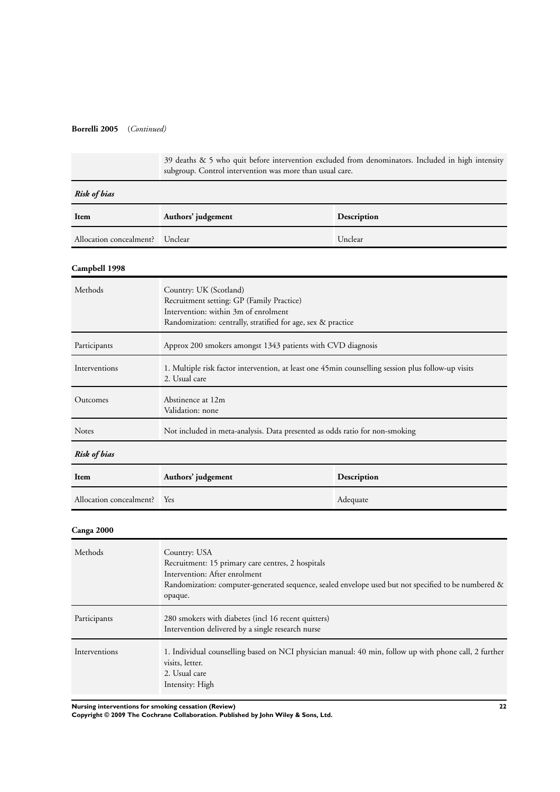### **Borrelli 2005** (*Continued)*

39 deaths & 5 who quit before intervention excluded from denominators. Included in high intensity subgroup. Control intervention was more than usual care.

## *Risk of bias*

| Item                            | Authors' judgement | Description |
|---------------------------------|--------------------|-------------|
| Allocation concealment? Unclear |                    | Unclear     |

## **Campbell 1998**

| Methods                     | Country: UK (Scotland)<br>Recruitment setting: GP (Family Practice)<br>Intervention: within 3m of enrolment<br>Randomization: centrally, stratified for age, sex & practice |             |  |
|-----------------------------|-----------------------------------------------------------------------------------------------------------------------------------------------------------------------------|-------------|--|
| Participants                | Approx 200 smokers amongst 1343 patients with CVD diagnosis                                                                                                                 |             |  |
| Interventions               | 1. Multiple risk factor intervention, at least one 45min counselling session plus follow-up visits<br>2. Usual care                                                         |             |  |
| Outcomes                    | Abstinence at 12m<br>Validation: none                                                                                                                                       |             |  |
| <b>Notes</b>                | Not included in meta-analysis. Data presented as odds ratio for non-smoking                                                                                                 |             |  |
| <b>Risk of bias</b>         |                                                                                                                                                                             |             |  |
| Item                        | Authors' judgement                                                                                                                                                          | Description |  |
| Allocation concealment? Yes |                                                                                                                                                                             | Adequate    |  |

## **Canga 2000**

| Methods       | Country: USA<br>Recruitment: 15 primary care centres, 2 hospitals<br>Intervention: After enrolment<br>Randomization: computer-generated sequence, sealed envelope used but not specified to be numbered &<br>opaque. |
|---------------|----------------------------------------------------------------------------------------------------------------------------------------------------------------------------------------------------------------------|
| Participants  | 280 smokers with diabetes (incl 16 recent quitters)<br>Intervention delivered by a single research nurse                                                                                                             |
| Interventions | 1. Individual counselling based on NCI physician manual: 40 min, follow up with phone call, 2 further<br>visits, letter.<br>2. Usual care<br>Intensity: High                                                         |

**Nursing interventions for smoking cessation (Review) 22**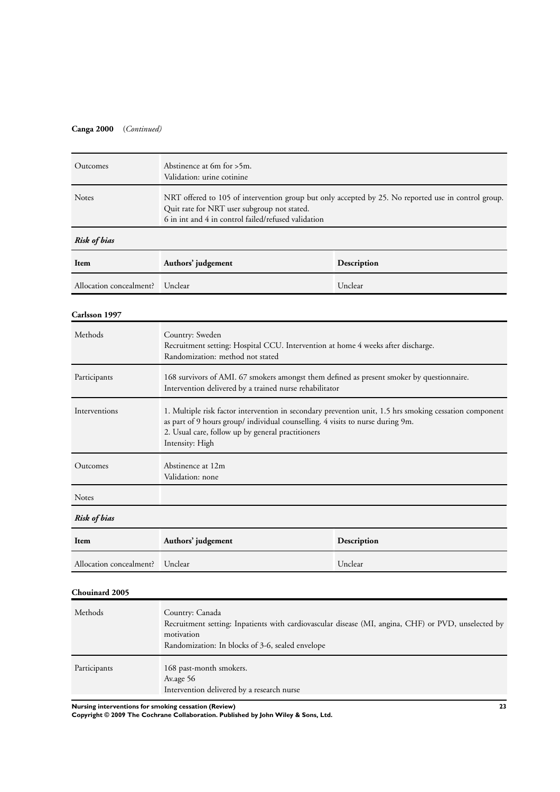## **Canga 2000** (*Continued)*

| Outcomes                | Abstinence at 6m for >5m.<br>Validation: urine cotinine                                                                                                                                                                                                          |             |
|-------------------------|------------------------------------------------------------------------------------------------------------------------------------------------------------------------------------------------------------------------------------------------------------------|-------------|
| Notes                   | NRT offered to 105 of intervention group but only accepted by 25. No reported use in control group.<br>Quit rate for NRT user subgroup not stated.<br>6 in int and 4 in control failed/refused validation                                                        |             |
| <b>Risk of bias</b>     |                                                                                                                                                                                                                                                                  |             |
| Item                    | Authors' judgement                                                                                                                                                                                                                                               | Description |
| Allocation concealment? | Unclear                                                                                                                                                                                                                                                          | Unclear     |
| Carlsson 1997           |                                                                                                                                                                                                                                                                  |             |
| Methods                 | Country: Sweden<br>Recruitment setting: Hospital CCU. Intervention at home 4 weeks after discharge.<br>Randomization: method not stated                                                                                                                          |             |
| Participants            | 168 survivors of AMI. 67 smokers amongst them defined as present smoker by questionnaire.<br>Intervention delivered by a trained nurse rehabilitator                                                                                                             |             |
| Interventions           | 1. Multiple risk factor intervention in secondary prevention unit, 1.5 hrs smoking cessation component<br>as part of 9 hours group/ individual counselling. 4 visits to nurse during 9m.<br>2. Usual care, follow up by general practitioners<br>Intensity: High |             |
| Outcomes                | Abstinence at 12m<br>Validation: none                                                                                                                                                                                                                            |             |
| Notes                   |                                                                                                                                                                                                                                                                  |             |
| <b>Risk of bias</b>     |                                                                                                                                                                                                                                                                  |             |
| Item                    | Authors' judgement                                                                                                                                                                                                                                               | Description |
| Allocation concealment? | Unclear                                                                                                                                                                                                                                                          | Unclear     |
| <b>Chouinard 2005</b>   |                                                                                                                                                                                                                                                                  |             |
| Methods                 | Country: Canada<br>Recruitment setting: Inpatients with cardiovascular disease (MI, angina, CHF) or PVD, unselected by<br>motivation<br>Randomization: In blocks of 3-6, sealed envelope                                                                         |             |
| Participants            | 168 past-month smokers.                                                                                                                                                                                                                                          |             |

**Nursing interventions for smoking cessation (Review) 23**

Av.age 56

**Copyright © 2009 The Cochrane Collaboration. Published by John Wiley & Sons, Ltd.**

Intervention delivered by a research nurse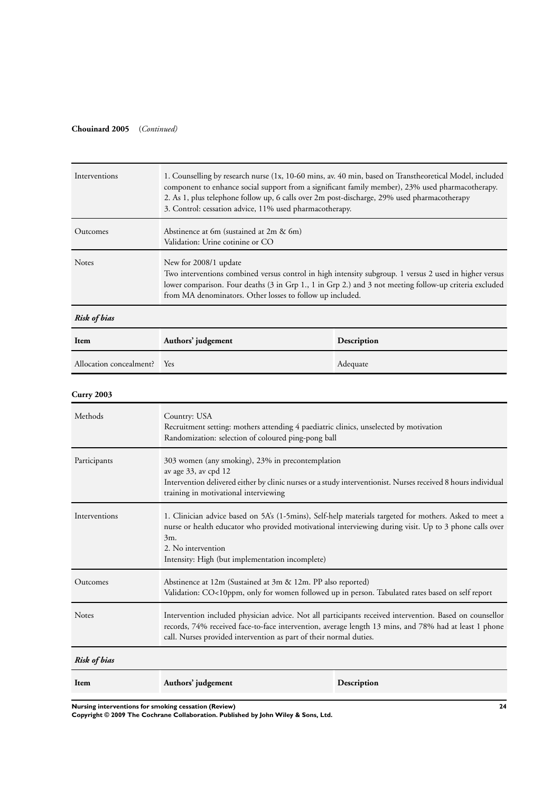### **Chouinard 2005** (*Continued)*

| Interventions           | 1. Counselling by research nurse (1x, 10-60 mins, av. 40 min, based on Transtheoretical Model, included<br>component to enhance social support from a significant family member), 23% used pharmacotherapy.<br>2. As 1, plus telephone follow up, 6 calls over 2m post-discharge, 29% used pharmacotherapy<br>3. Control: cessation advice, 11% used pharmacotherapy. |             |
|-------------------------|-----------------------------------------------------------------------------------------------------------------------------------------------------------------------------------------------------------------------------------------------------------------------------------------------------------------------------------------------------------------------|-------------|
| Outcomes                | Abstinence at 6m (sustained at 2m & 6m)<br>Validation: Urine cotinine or CO                                                                                                                                                                                                                                                                                           |             |
| <b>Notes</b>            | New for 2008/1 update<br>Two interventions combined versus control in high intensity subgroup. 1 versus 2 used in higher versus<br>lower comparison. Four deaths (3 in Grp 1., 1 in Grp 2.) and 3 not meeting follow-up criteria excluded<br>from MA denominators. Other losses to follow up included.                                                                |             |
| Risk of bias            |                                                                                                                                                                                                                                                                                                                                                                       |             |
| Item                    | Authors' judgement                                                                                                                                                                                                                                                                                                                                                    | Description |
| Allocation concealment? | <b>Yes</b>                                                                                                                                                                                                                                                                                                                                                            | Adequate    |

## **Curry 2003**

| Methods             | Country: USA<br>Recruitment setting: mothers attending 4 paediatric clinics, unselected by motivation<br>Randomization: selection of coloured ping-pong ball                                                                                                                                     |             |
|---------------------|--------------------------------------------------------------------------------------------------------------------------------------------------------------------------------------------------------------------------------------------------------------------------------------------------|-------------|
| Participants        | 303 women (any smoking), 23% in precontemplation<br>av age 33, av cpd 12<br>Intervention delivered either by clinic nurses or a study interventionist. Nurses received 8 hours individual<br>training in motivational interviewing                                                               |             |
| Interventions       | 1. Clinician advice based on 5A's (1-5mins), Self-help materials targeted for mothers. Asked to meet a<br>nurse or health educator who provided motivational interviewing during visit. Up to 3 phone calls over<br>3m.<br>2. No intervention<br>Intensity: High (but implementation incomplete) |             |
| Outcomes            | Abstinence at 12m (Sustained at 3m & 12m. PP also reported)<br>Validation: CO<10ppm, only for women followed up in person. Tabulated rates based on self report                                                                                                                                  |             |
| <b>Notes</b>        | Intervention included physician advice. Not all participants received intervention. Based on counsellor<br>records, 74% received face-to-face intervention, average length 13 mins, and 78% had at least 1 phone<br>call. Nurses provided intervention as part of their normal duties.           |             |
| <b>Risk of bias</b> |                                                                                                                                                                                                                                                                                                  |             |
| Item                | Authors' judgement                                                                                                                                                                                                                                                                               | Description |

**Nursing interventions for smoking cessation (Review) 24**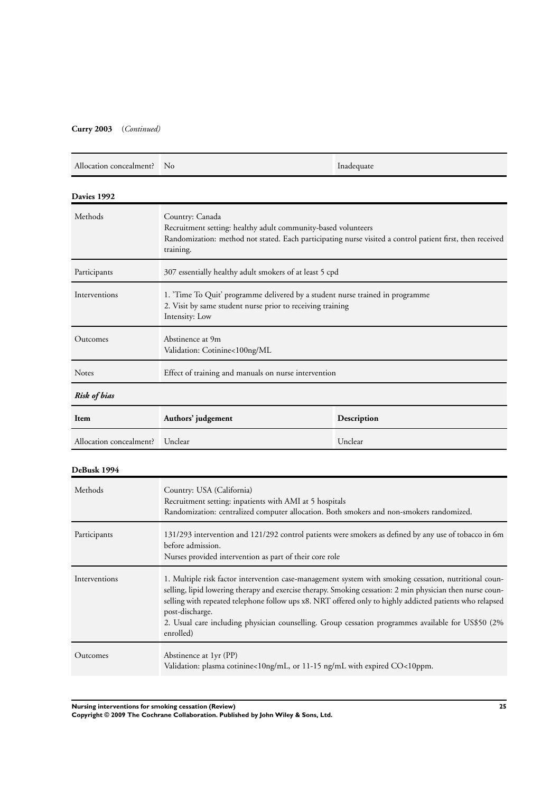## **Curry 2003** (*Continued)*

| Allocation concealment? | No                                                                                                                                                                                                                                                                                                                                                                                                                                                                   | Inadequate  |
|-------------------------|----------------------------------------------------------------------------------------------------------------------------------------------------------------------------------------------------------------------------------------------------------------------------------------------------------------------------------------------------------------------------------------------------------------------------------------------------------------------|-------------|
| Davies 1992             |                                                                                                                                                                                                                                                                                                                                                                                                                                                                      |             |
| Methods                 | Country: Canada<br>Recruitment setting: healthy adult community-based volunteers<br>Randomization: method not stated. Each participating nurse visited a control patient first, then received<br>training.                                                                                                                                                                                                                                                           |             |
| Participants            | 307 essentially healthy adult smokers of at least 5 cpd                                                                                                                                                                                                                                                                                                                                                                                                              |             |
| Interventions           | 1. 'Time To Quit' programme delivered by a student nurse trained in programme<br>2. Visit by same student nurse prior to receiving training<br>Intensity: Low                                                                                                                                                                                                                                                                                                        |             |
| Outcomes                | Abstinence at 9m<br>Validation: Cotinine<100ng/ML                                                                                                                                                                                                                                                                                                                                                                                                                    |             |
| <b>Notes</b>            | Effect of training and manuals on nurse intervention                                                                                                                                                                                                                                                                                                                                                                                                                 |             |
| <b>Risk of bias</b>     |                                                                                                                                                                                                                                                                                                                                                                                                                                                                      |             |
| Item                    | Authors' judgement                                                                                                                                                                                                                                                                                                                                                                                                                                                   | Description |
| Allocation concealment? | Unclear                                                                                                                                                                                                                                                                                                                                                                                                                                                              | Unclear     |
| DeBusk 1994             |                                                                                                                                                                                                                                                                                                                                                                                                                                                                      |             |
| Methods                 | Country: USA (California)<br>Recruitment setting: inpatients with AMI at 5 hospitals<br>Randomization: centralized computer allocation. Both smokers and non-smokers randomized.                                                                                                                                                                                                                                                                                     |             |
| Participants            | 131/293 intervention and 121/292 control patients were smokers as defined by any use of tobacco in 6m<br>before admission.<br>Nurses provided intervention as part of their core role                                                                                                                                                                                                                                                                                |             |
| Interventions           | 1. Multiple risk factor intervention case-management system with smoking cessation, nutritional coun-<br>selling, lipid lowering therapy and exercise therapy. Smoking cessation: 2 min physician then nurse coun-<br>selling with repeated telephone follow ups x8. NRT offered only to highly addicted patients who relapsed<br>post-discharge.<br>2. Usual care including physician counselling. Group cessation programmes available for US\$50 (2%<br>enrolled) |             |
| Outcomes                | Abstinence at 1yr (PP)<br>Validation: plasma cotinine<10ng/mL, or 11-15 ng/mL with expired CO<10ppm.                                                                                                                                                                                                                                                                                                                                                                 |             |

**Nursing interventions for smoking cessation (Review) 25**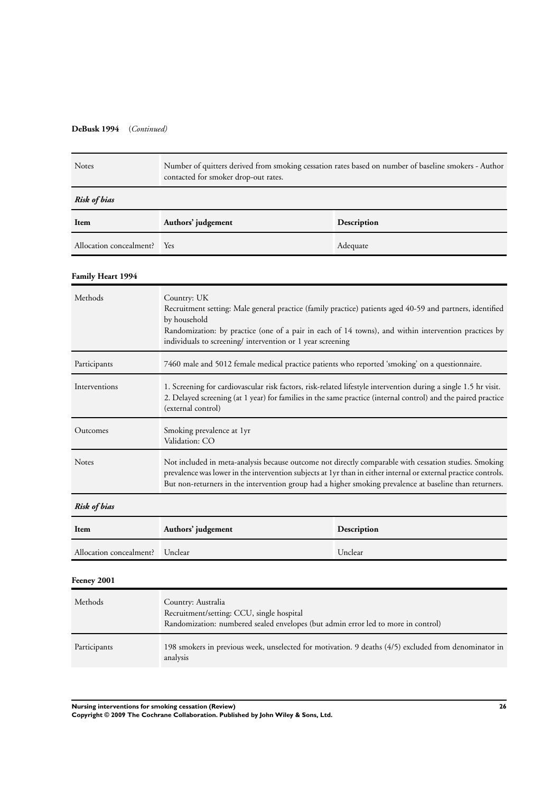### **DeBusk 1994** (*Continued)*

| <b>Notes</b>                | Number of quitters derived from smoking cessation rates based on number of baseline smokers - Author<br>contacted for smoker drop-out rates. |          |  |
|-----------------------------|----------------------------------------------------------------------------------------------------------------------------------------------|----------|--|
| Risk of bias                |                                                                                                                                              |          |  |
| Item                        | Authors' judgement<br>Description                                                                                                            |          |  |
| Allocation concealment? Yes |                                                                                                                                              | Adequate |  |

# **Family Heart 1994**

| Methods                 | Country: UK<br>Recruitment setting: Male general practice (family practice) patients aged 40-59 and partners, identified<br>by household<br>Randomization: by practice (one of a pair in each of 14 towns), and within intervention practices by<br>individuals to screening/ intervention or 1 year screening                      |             |
|-------------------------|-------------------------------------------------------------------------------------------------------------------------------------------------------------------------------------------------------------------------------------------------------------------------------------------------------------------------------------|-------------|
| Participants            | 7460 male and 5012 female medical practice patients who reported 'smoking' on a questionnaire.                                                                                                                                                                                                                                      |             |
| Interventions           | 1. Screening for cardiovascular risk factors, risk-related lifestyle intervention during a single 1.5 hr visit.<br>2. Delayed screening (at 1 year) for families in the same practice (internal control) and the paired practice<br>(external control)                                                                              |             |
| Outcomes                | Smoking prevalence at 1yr<br>Validation: CO                                                                                                                                                                                                                                                                                         |             |
| <b>Notes</b>            | Not included in meta-analysis because outcome not directly comparable with cessation studies. Smoking<br>prevalence was lower in the intervention subjects at 1yr than in either internal or external practice controls.<br>But non-returners in the intervention group had a higher smoking prevalence at baseline than returners. |             |
| <b>Risk of bias</b>     |                                                                                                                                                                                                                                                                                                                                     |             |
| Item                    | Authors' judgement                                                                                                                                                                                                                                                                                                                  | Description |
| Allocation concealment? | Unclear                                                                                                                                                                                                                                                                                                                             | Unclear     |
| Feeney 2001             |                                                                                                                                                                                                                                                                                                                                     |             |
| Methods                 | Country: Australia<br>Recruitment/setting: CCU, single hospital<br>Randomization: numbered sealed envelopes (but admin error led to more in control)                                                                                                                                                                                |             |
| Participants            | 198 smokers in previous week, unselected for motivation. 9 deaths (4/5) excluded from denominator in<br>analysis                                                                                                                                                                                                                    |             |

**Nursing interventions for smoking cessation (Review) 26**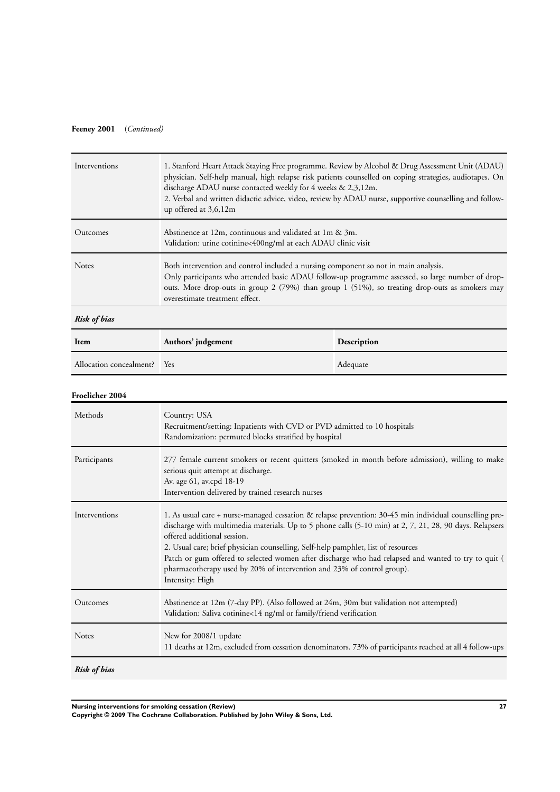## **Feeney 2001** (*Continued)*

| Interventions | 1. Stanford Heart Attack Staying Free programme. Review by Alcohol & Drug Assessment Unit (ADAU)<br>physician. Self-help manual, high relapse risk patients counselled on coping strategies, audiotapes. On<br>discharge ADAU nurse contacted weekly for 4 weeks & 2,3,12m.<br>2. Verbal and written didactic advice, video, review by ADAU nurse, supportive counselling and follow-<br>up offered at $3,6,12m$ |             |
|---------------|------------------------------------------------------------------------------------------------------------------------------------------------------------------------------------------------------------------------------------------------------------------------------------------------------------------------------------------------------------------------------------------------------------------|-------------|
| Outcomes      | Abstinence at 12m, continuous and validated at 1m & 3m.<br>Validation: urine cotinine<400ng/ml at each ADAU clinic visit                                                                                                                                                                                                                                                                                         |             |
| <b>Notes</b>  | Both intervention and control included a nursing component so not in main analysis.<br>Only participants who attended basic ADAU follow-up programme assessed, so large number of drop-<br>outs. More drop-outs in group 2 (79%) than group 1 (51%), so treating drop-outs as smokers may<br>overestimate treatment effect.                                                                                      |             |
| Risk of bias  |                                                                                                                                                                                                                                                                                                                                                                                                                  |             |
| Item          | Authors' judgement                                                                                                                                                                                                                                                                                                                                                                                               | Description |

| Item                        | Authors' judgement | Description |
|-----------------------------|--------------------|-------------|
| Allocation concealment? Yes |                    | Adequate    |

### **Froelicher 2004**

| Methods             | Country: USA<br>Recruitment/setting: Inpatients with CVD or PVD admitted to 10 hospitals<br>Randomization: permuted blocks stratified by hospital                                                                                                                                                                                                                                                                                                                                                                                         |
|---------------------|-------------------------------------------------------------------------------------------------------------------------------------------------------------------------------------------------------------------------------------------------------------------------------------------------------------------------------------------------------------------------------------------------------------------------------------------------------------------------------------------------------------------------------------------|
| Participants        | 277 female current smokers or recent quitters (smoked in month before admission), willing to make<br>serious quit attempt at discharge.<br>Av. age 61, av.cpd 18-19<br>Intervention delivered by trained research nurses                                                                                                                                                                                                                                                                                                                  |
| Interventions       | 1. As usual care + nurse-managed cessation & relapse prevention: 30-45 min individual counselling pre-<br>discharge with multimedia materials. Up to 5 phone calls (5-10 min) at 2, 7, 21, 28, 90 days. Relapsers<br>offered additional session.<br>2. Usual care; brief physician counselling, Self-help pamphlet, list of resources<br>Patch or gum offered to selected women after discharge who had relapsed and wanted to try to quit (<br>pharmacotherapy used by 20% of intervention and 23% of control group).<br>Intensity: High |
| Outcomes            | Abstinence at 12m (7-day PP). (Also followed at 24m, 30m but validation not attempted)<br>Validation: Saliva cotinine<14 ng/ml or family/friend verification                                                                                                                                                                                                                                                                                                                                                                              |
| <b>Notes</b>        | New for 2008/1 update<br>11 deaths at 12m, excluded from cessation denominators. 73% of participants reached at all 4 follow-ups                                                                                                                                                                                                                                                                                                                                                                                                          |
| <b>Risk of bias</b> |                                                                                                                                                                                                                                                                                                                                                                                                                                                                                                                                           |

**Nursing interventions for smoking cessation (Review) 27**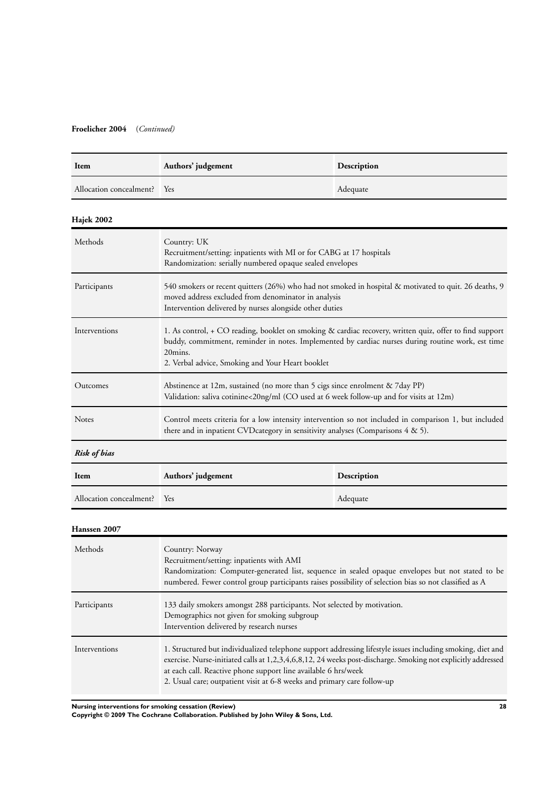### **Froelicher 2004** (*Continued)*

| Item                    | Authors' judgement                                                                                                                                                                                                                                                                                                                                                      | Description |
|-------------------------|-------------------------------------------------------------------------------------------------------------------------------------------------------------------------------------------------------------------------------------------------------------------------------------------------------------------------------------------------------------------------|-------------|
| Allocation concealment? | Yes                                                                                                                                                                                                                                                                                                                                                                     | Adequate    |
| Hajek 2002              |                                                                                                                                                                                                                                                                                                                                                                         |             |
| Methods                 | Country: UK<br>Recruitment/setting: inpatients with MI or for CABG at 17 hospitals<br>Randomization: serially numbered opaque sealed envelopes                                                                                                                                                                                                                          |             |
| Participants            | 540 smokers or recent quitters (26%) who had not smoked in hospital & motivated to quit. 26 deaths, 9<br>moved address excluded from denominator in analysis<br>Intervention delivered by nurses alongside other duties                                                                                                                                                 |             |
| Interventions           | 1. As control, + CO reading, booklet on smoking & cardiac recovery, written quiz, offer to find support<br>buddy, commitment, reminder in notes. Implemented by cardiac nurses during routine work, est time<br>20 mins.<br>2. Verbal advice, Smoking and Your Heart booklet                                                                                            |             |
| Outcomes                | Abstinence at 12m, sustained (no more than 5 cigs since enrolment & 7 day PP)<br>Validation: saliva cotinine<20ng/ml (CO used at 6 week follow-up and for visits at 12m)                                                                                                                                                                                                |             |
| Notes                   | Control meets criteria for a low intensity intervention so not included in comparison 1, but included<br>there and in inpatient CVD category in sensitivity analyses (Comparisons 4 & 5).                                                                                                                                                                               |             |
| <b>Risk of bias</b>     |                                                                                                                                                                                                                                                                                                                                                                         |             |
| Item                    | Authors' judgement                                                                                                                                                                                                                                                                                                                                                      | Description |
| Allocation concealment? | Yes                                                                                                                                                                                                                                                                                                                                                                     | Adequate    |
| Hanssen 2007            |                                                                                                                                                                                                                                                                                                                                                                         |             |
| Methods                 | Country: Norway<br>Recruitment/setting: inpatients with AMI<br>Randomization: Computer-generated list, sequence in sealed opaque envelopes but not stated to be<br>numbered. Fewer control group participants raises possibility of selection bias so not classified as A                                                                                               |             |
| Participants            | 133 daily smokers amongst 288 participants. Not selected by motivation.<br>Demographics not given for smoking subgroup<br>Intervention delivered by research nurses                                                                                                                                                                                                     |             |
| Interventions           | 1. Structured but individualized telephone support addressing lifestyle issues including smoking, diet and<br>exercise. Nurse-initiated calls at 1,2,3,4,6,8,12, 24 weeks post-discharge. Smoking not explicitly addressed<br>at each call. Reactive phone support line available 6 hrs/week<br>2. Usual care; outpatient visit at 6-8 weeks and primary care follow-up |             |

**Nursing interventions for smoking cessation (Review) 28**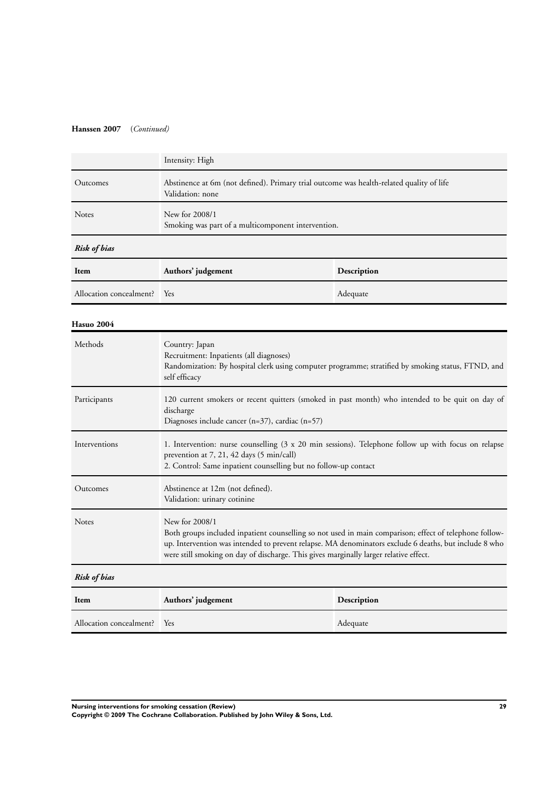### **Hanssen 2007** (*Continued)*

|                         | Intensity: High                                                                                                                                                                                                                                                                                                            |             |
|-------------------------|----------------------------------------------------------------------------------------------------------------------------------------------------------------------------------------------------------------------------------------------------------------------------------------------------------------------------|-------------|
| Outcomes                | Abstinence at 6m (not defined). Primary trial outcome was health-related quality of life<br>Validation: none                                                                                                                                                                                                               |             |
| Notes                   | New for 2008/1<br>Smoking was part of a multicomponent intervention.                                                                                                                                                                                                                                                       |             |
| <b>Risk of bias</b>     |                                                                                                                                                                                                                                                                                                                            |             |
| Item                    | Authors' judgement                                                                                                                                                                                                                                                                                                         | Description |
| Allocation concealment? | Yes                                                                                                                                                                                                                                                                                                                        | Adequate    |
| Hasuo 2004              |                                                                                                                                                                                                                                                                                                                            |             |
| Methods                 | Country: Japan<br>Recruitment: Inpatients (all diagnoses)<br>Randomization: By hospital clerk using computer programme; stratified by smoking status, FTND, and<br>self efficacy                                                                                                                                           |             |
| Participants            | 120 current smokers or recent quitters (smoked in past month) who intended to be quit on day of<br>discharge<br>Diagnoses include cancer (n=37), cardiac (n=57)                                                                                                                                                            |             |
| Interventions           | 1. Intervention: nurse counselling (3 x 20 min sessions). Telephone follow up with focus on relapse<br>prevention at 7, 21, 42 days (5 min/call)<br>2. Control: Same inpatient counselling but no follow-up contact                                                                                                        |             |
| Outcomes                | Abstinence at 12m (not defined).<br>Validation: urinary cotinine                                                                                                                                                                                                                                                           |             |
| Notes                   | New for 2008/1<br>Both groups included inpatient counselling so not used in main comparison; effect of telephone follow-<br>up. Intervention was intended to prevent relapse. MA denominators exclude 6 deaths, but include 8 who<br>were still smoking on day of discharge. This gives marginally larger relative effect. |             |
| <b>Risk of bias</b>     |                                                                                                                                                                                                                                                                                                                            |             |
| Item                    | Authors' judgement                                                                                                                                                                                                                                                                                                         | Description |
| Allocation concealment? | Yes<br>Adequate                                                                                                                                                                                                                                                                                                            |             |

**Nursing interventions for smoking cessation (Review) 29**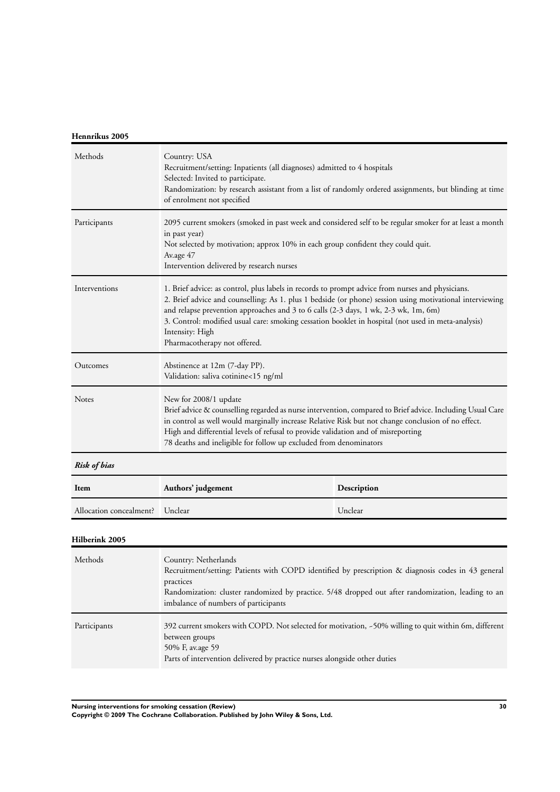## **Hennrikus 2005**

| Methods             | Country: USA<br>Recruitment/setting: Inpatients (all diagnoses) admitted to 4 hospitals<br>Selected: Invited to participate.<br>Randomization: by research assistant from a list of randomly ordered assignments, but blinding at time<br>of enrolment not specified                                                                                                                                                                                         |
|---------------------|--------------------------------------------------------------------------------------------------------------------------------------------------------------------------------------------------------------------------------------------------------------------------------------------------------------------------------------------------------------------------------------------------------------------------------------------------------------|
| Participants        | 2095 current smokers (smoked in past week and considered self to be regular smoker for at least a month<br>in past year)<br>Not selected by motivation; approx 10% in each group confident they could quit.<br>Av.age 47<br>Intervention delivered by research nurses                                                                                                                                                                                        |
| Interventions       | 1. Brief advice: as control, plus labels in records to prompt advice from nurses and physicians.<br>2. Brief advice and counselling: As 1. plus 1 bedside (or phone) session using motivational interviewing<br>and relapse prevention approaches and 3 to 6 calls (2-3 days, 1 wk, 2-3 wk, 1m, 6m)<br>3. Control: modified usual care: smoking cessation booklet in hospital (not used in meta-analysis)<br>Intensity: High<br>Pharmacotherapy not offered. |
| Outcomes            | Abstinence at 12m (7-day PP).<br>Validation: saliva cotinine<15 ng/ml                                                                                                                                                                                                                                                                                                                                                                                        |
| <b>Notes</b>        | New for 2008/1 update<br>Brief advice & counselling regarded as nurse intervention, compared to Brief advice. Including Usual Care<br>in control as well would marginally increase Relative Risk but not change conclusion of no effect.<br>High and differential levels of refusal to provide validation and of misreporting<br>78 deaths and ineligible for follow up excluded from denominators                                                           |
| <b>Risk of bias</b> |                                                                                                                                                                                                                                                                                                                                                                                                                                                              |

| Item                            | Authors' judgement | Description |
|---------------------------------|--------------------|-------------|
| Allocation concealment? Unclear |                    | Unclear     |

### **Hilberink 2005**

| Methods      | Country: Netherlands<br>Recruitment/setting: Patients with COPD identified by prescription & diagnosis codes in 43 general<br>practices<br>Randomization: cluster randomized by practice. 5/48 dropped out after randomization, leading to an<br>imbalance of numbers of participants |
|--------------|---------------------------------------------------------------------------------------------------------------------------------------------------------------------------------------------------------------------------------------------------------------------------------------|
| Participants | 392 current smokers with COPD. Not selected for motivation, ~50% willing to quit within 6m, different<br>between groups<br>50% F, av.age 59<br>Parts of intervention delivered by practice nurses alongside other duties                                                              |

**Nursing interventions for smoking cessation (Review) 30**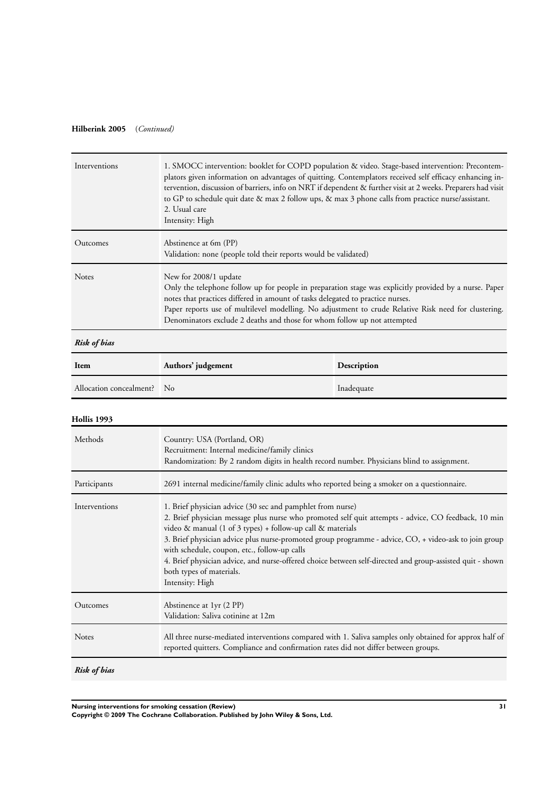# **Hilberink 2005** (*Continued)*

| Interventions       | 1. SMOCC intervention: booklet for COPD population & video. Stage-based intervention: Precontem-<br>plators given information on advantages of quitting. Contemplators received self efficacy enhancing in-<br>tervention, discussion of barriers, info on NRT if dependent & further visit at 2 weeks. Preparers had visit<br>to GP to schedule quit date & max 2 follow ups, & max 3 phone calls from practice nurse/assistant.<br>2. Usual care<br>Intensity: High |             |
|---------------------|-----------------------------------------------------------------------------------------------------------------------------------------------------------------------------------------------------------------------------------------------------------------------------------------------------------------------------------------------------------------------------------------------------------------------------------------------------------------------|-------------|
| Outcomes            | Abstinence at 6m (PP)<br>Validation: none (people told their reports would be validated)                                                                                                                                                                                                                                                                                                                                                                              |             |
| <b>Notes</b>        | New for 2008/1 update<br>Only the telephone follow up for people in preparation stage was explicitly provided by a nurse. Paper<br>notes that practices differed in amount of tasks delegated to practice nurses.<br>Paper reports use of multilevel modelling. No adjustment to crude Relative Risk need for clustering.<br>Denominators exclude 2 deaths and those for whom follow up not attempted                                                                 |             |
| <b>Risk of bias</b> |                                                                                                                                                                                                                                                                                                                                                                                                                                                                       |             |
| Item                | Authors' judgement                                                                                                                                                                                                                                                                                                                                                                                                                                                    | Description |

## **Hollis 1993**

| Methods             | Country: USA (Portland, OR)<br>Recruitment: Internal medicine/family clinics<br>Randomization: By 2 random digits in health record number. Physicians blind to assignment.                                                                                                                                                                                                                                                                                                                                                                           |
|---------------------|------------------------------------------------------------------------------------------------------------------------------------------------------------------------------------------------------------------------------------------------------------------------------------------------------------------------------------------------------------------------------------------------------------------------------------------------------------------------------------------------------------------------------------------------------|
| Participants        | 2691 internal medicine/family clinic adults who reported being a smoker on a questionnaire.                                                                                                                                                                                                                                                                                                                                                                                                                                                          |
| Interventions       | 1. Brief physician advice (30 sec and pamphlet from nurse)<br>2. Brief physician message plus nurse who promoted self quit attempts - advice, CO feedback, 10 min<br>video & manual (1 of 3 types) + follow-up call & materials<br>3. Brief physician advice plus nurse-promoted group programme - advice, CO, + video-ask to join group<br>with schedule, coupon, etc., follow-up calls<br>4. Brief physician advice, and nurse-offered choice between self-directed and group-assisted quit - shown<br>both types of materials.<br>Intensity: High |
| Outcomes            | Abstinence at 1yr (2 PP)<br>Validation: Saliva cotinine at 12m                                                                                                                                                                                                                                                                                                                                                                                                                                                                                       |
| <b>Notes</b>        | All three nurse-mediated interventions compared with 1. Saliva samples only obtained for approx half of<br>reported quitters. Compliance and confirmation rates did not differ between groups.                                                                                                                                                                                                                                                                                                                                                       |
| <b>Risk of bias</b> |                                                                                                                                                                                                                                                                                                                                                                                                                                                                                                                                                      |

**Nursing interventions for smoking cessation (Review) 31**

**Copyright © 2009 The Cochrane Collaboration. Published by John Wiley & Sons, Ltd.**

Allocation concealment? No Inadequate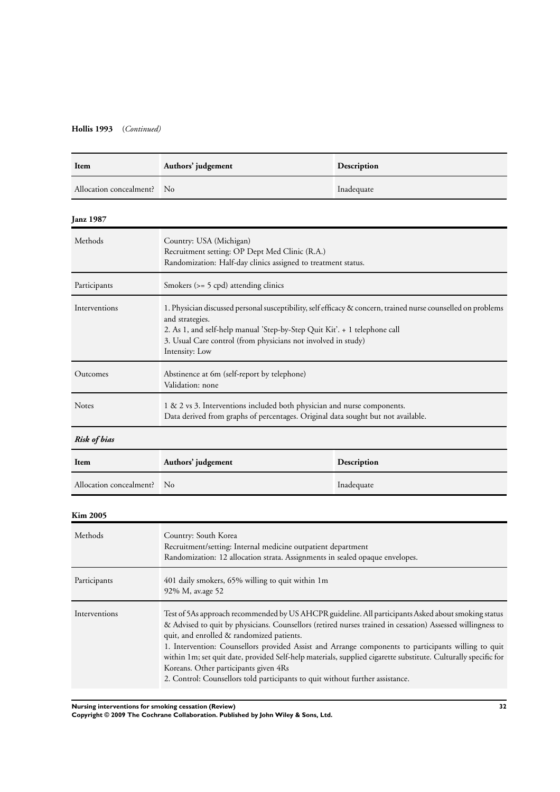### **Hollis 1993** (*Continued)*

| Item                    | Authors' judgement                                                                                                                                                                                                                                                                                                                                                                                                                                                                                                                                                                                                | Description |
|-------------------------|-------------------------------------------------------------------------------------------------------------------------------------------------------------------------------------------------------------------------------------------------------------------------------------------------------------------------------------------------------------------------------------------------------------------------------------------------------------------------------------------------------------------------------------------------------------------------------------------------------------------|-------------|
| Allocation concealment? | No                                                                                                                                                                                                                                                                                                                                                                                                                                                                                                                                                                                                                | Inadequate  |
| Janz 1987               |                                                                                                                                                                                                                                                                                                                                                                                                                                                                                                                                                                                                                   |             |
| Methods                 | Country: USA (Michigan)<br>Recruitment setting: OP Dept Med Clinic (R.A.)<br>Randomization: Half-day clinics assigned to treatment status.                                                                                                                                                                                                                                                                                                                                                                                                                                                                        |             |
| Participants            | Smokers $(>= 5$ cpd) attending clinics                                                                                                                                                                                                                                                                                                                                                                                                                                                                                                                                                                            |             |
| Interventions           | 1. Physician discussed personal susceptibility, self efficacy & concern, trained nurse counselled on problems<br>and strategies.<br>2. As 1, and self-help manual 'Step-by-Step Quit Kit'. + 1 telephone call<br>3. Usual Care control (from physicians not involved in study)<br>Intensity: Low                                                                                                                                                                                                                                                                                                                  |             |
| Outcomes                | Abstinence at 6m (self-report by telephone)<br>Validation: none                                                                                                                                                                                                                                                                                                                                                                                                                                                                                                                                                   |             |
| <b>Notes</b>            | 1 & 2 vs 3. Interventions included both physician and nurse components.<br>Data derived from graphs of percentages. Original data sought but not available.                                                                                                                                                                                                                                                                                                                                                                                                                                                       |             |
| <b>Risk of bias</b>     |                                                                                                                                                                                                                                                                                                                                                                                                                                                                                                                                                                                                                   |             |
| Item                    | Authors' judgement<br>Description                                                                                                                                                                                                                                                                                                                                                                                                                                                                                                                                                                                 |             |
| Allocation concealment? | No                                                                                                                                                                                                                                                                                                                                                                                                                                                                                                                                                                                                                | Inadequate  |
| <b>Kim 2005</b>         |                                                                                                                                                                                                                                                                                                                                                                                                                                                                                                                                                                                                                   |             |
| Methods                 | Country: South Korea<br>Recruitment/setting: Internal medicine outpatient department<br>Randomization: 12 allocation strata. Assignments in sealed opaque envelopes.                                                                                                                                                                                                                                                                                                                                                                                                                                              |             |
| Participants            | 401 daily smokers, 65% willing to quit within 1m<br>92% M, av.age 52                                                                                                                                                                                                                                                                                                                                                                                                                                                                                                                                              |             |
| Interventions           | Test of 5As approach recommended by US AHCPR guideline. All participants Asked about smoking status<br>& Advised to quit by physicians. Counsellors (retired nurses trained in cessation) Assessed willingness to<br>quit, and enrolled & randomized patients.<br>1. Intervention: Counsellors provided Assist and Arrange components to participants willing to quit<br>within 1m; set quit date, provided Self-help materials, supplied cigarette substitute. Culturally specific for<br>Koreans. Other participants given 4Rs<br>2. Control: Counsellors told participants to quit without further assistance. |             |

**Nursing interventions for smoking cessation (Review) 32**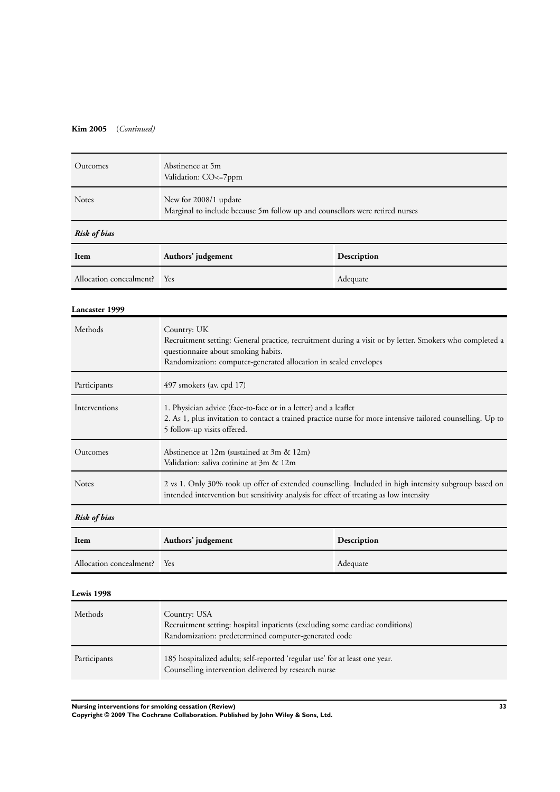### **Kim 2005** (*Continued)*

| Outcomes                | Abstinence at 5m<br>Validation: CO<=7ppm                                                                                                                                                                                          |             |
|-------------------------|-----------------------------------------------------------------------------------------------------------------------------------------------------------------------------------------------------------------------------------|-------------|
| <b>Notes</b>            | New for 2008/1 update<br>Marginal to include because 5m follow up and counsellors were retired nurses                                                                                                                             |             |
| <b>Risk of bias</b>     |                                                                                                                                                                                                                                   |             |
| Item                    | Authors' judgement                                                                                                                                                                                                                | Description |
| Allocation concealment? | Yes                                                                                                                                                                                                                               | Adequate    |
| Lancaster 1999          |                                                                                                                                                                                                                                   |             |
| Methods                 | Country: UK<br>Recruitment setting: General practice, recruitment during a visit or by letter. Smokers who completed a<br>questionnaire about smoking habits.<br>Randomization: computer-generated allocation in sealed envelopes |             |
| Participants            | 497 smokers (av. cpd 17)                                                                                                                                                                                                          |             |
| Interventions           | 1. Physician advice (face-to-face or in a letter) and a leaflet<br>2. As 1, plus invitation to contact a trained practice nurse for more intensive tailored counselling. Up to<br>5 follow-up visits offered.                     |             |
| Outcomes                | Abstinence at 12m (sustained at 3m & 12m)<br>Validation: saliva cotinine at 3m & 12m                                                                                                                                              |             |
| Notes                   | 2 vs 1. Only 30% took up offer of extended counselling. Included in high intensity subgroup based on<br>intended intervention but sensitivity analysis for effect of treating as low intensity                                    |             |
| <b>Risk of bias</b>     |                                                                                                                                                                                                                                   |             |
| Item                    | Authors' judgement                                                                                                                                                                                                                | Description |
| Allocation concealment? | Yes                                                                                                                                                                                                                               | Adequate    |
| Lewis 1998              |                                                                                                                                                                                                                                   |             |
| Methods                 | Country: USA<br>Recruitment setting: hospital inpatients (excluding some cardiac conditions)<br>Randomization: predetermined computer-generated code                                                                              |             |
| Participants            | 185 hospitalized adults; self-reported 'regular use' for at least one year.<br>Counselling intervention delivered by research nurse                                                                                               |             |

**Nursing interventions for smoking cessation (Review) 33**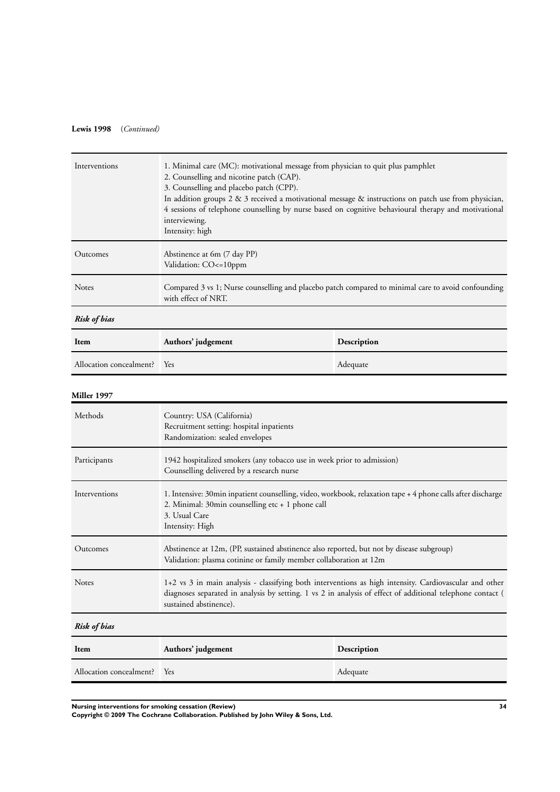### **Lewis 1998** (*Continued)*

| Interventions           | 1. Minimal care (MC): motivational message from physician to quit plus pamphlet<br>2. Counselling and nicotine patch (CAP).<br>3. Counselling and placebo patch (CPP).<br>In addition groups 2 & 3 received a motivational message $\&$ instructions on patch use from physician,<br>4 sessions of telephone counselling by nurse based on cognitive behavioural therapy and motivational<br>interviewing.<br>Intensity: high |             |  |
|-------------------------|-------------------------------------------------------------------------------------------------------------------------------------------------------------------------------------------------------------------------------------------------------------------------------------------------------------------------------------------------------------------------------------------------------------------------------|-------------|--|
| Outcomes                | Abstinence at 6m (7 day PP)<br>Validation: CO<=10ppm                                                                                                                                                                                                                                                                                                                                                                          |             |  |
| Notes                   | Compared 3 vs 1; Nurse counselling and placebo patch compared to minimal care to avoid confounding<br>with effect of NRT.                                                                                                                                                                                                                                                                                                     |             |  |
| <b>Risk of bias</b>     |                                                                                                                                                                                                                                                                                                                                                                                                                               |             |  |
| Item                    | Authors' judgement                                                                                                                                                                                                                                                                                                                                                                                                            | Description |  |
| Allocation concealment? | Yes                                                                                                                                                                                                                                                                                                                                                                                                                           | Adequate    |  |
| Miller 1997             |                                                                                                                                                                                                                                                                                                                                                                                                                               |             |  |
| Methods                 | Country: USA (California)<br>Recruitment setting: hospital inpatients<br>Randomization: sealed envelopes                                                                                                                                                                                                                                                                                                                      |             |  |
| Participants            | 1942 hospitalized smokers (any tobacco use in week prior to admission)<br>Counselling delivered by a research nurse                                                                                                                                                                                                                                                                                                           |             |  |
| Interventions           | 1. Intensive: 30min inpatient counselling, video, workbook, relaxation tape + 4 phone calls after discharge<br>2. Minimal: 30min counselling etc + 1 phone call<br>3. Usual Care<br>Intensity: High                                                                                                                                                                                                                           |             |  |
| Outcomes                | Abstinence at 12m, (PP, sustained abstinence also reported, but not by disease subgroup)<br>Validation: plasma cotinine or family member collaboration at 12m                                                                                                                                                                                                                                                                 |             |  |
| Notes                   | 1+2 vs 3 in main analysis - classifying both interventions as high intensity. Cardiovascular and other<br>diagnoses separated in analysis by setting. 1 vs 2 in analysis of effect of additional telephone contact (<br>sustained abstinence).                                                                                                                                                                                |             |  |
| <b>Risk of bias</b>     |                                                                                                                                                                                                                                                                                                                                                                                                                               |             |  |
| Item                    | Authors' judgement<br>Description                                                                                                                                                                                                                                                                                                                                                                                             |             |  |
| Allocation concealment? | Yes<br>Adequate                                                                                                                                                                                                                                                                                                                                                                                                               |             |  |

**Nursing interventions for smoking cessation (Review) 34**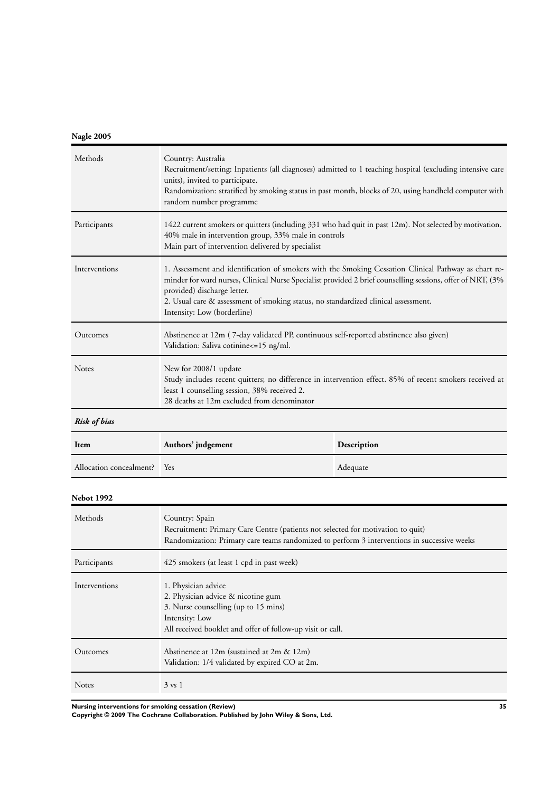## **Nagle 2005**

| Methods                 | Country: Australia<br>Recruitment/setting: Inpatients (all diagnoses) admitted to 1 teaching hospital (excluding intensive care<br>units), invited to participate.<br>Randomization: stratified by smoking status in past month, blocks of 20, using handheld computer with<br>random number programme                                                                 |             |  |
|-------------------------|------------------------------------------------------------------------------------------------------------------------------------------------------------------------------------------------------------------------------------------------------------------------------------------------------------------------------------------------------------------------|-------------|--|
| Participants            | 1422 current smokers or quitters (including 331 who had quit in past 12m). Not selected by motivation.<br>40% male in intervention group, 33% male in controls<br>Main part of intervention delivered by specialist                                                                                                                                                    |             |  |
| Interventions           | 1. Assessment and identification of smokers with the Smoking Cessation Clinical Pathway as chart re-<br>minder for ward nurses, Clinical Nurse Specialist provided 2 brief counselling sessions, offer of NRT, (3%<br>provided) discharge letter.<br>2. Usual care & assessment of smoking status, no standardized clinical assessment.<br>Intensity: Low (borderline) |             |  |
| Outcomes                | Abstinence at 12m (7-day validated PP, continuous self-reported abstinence also given)<br>Validation: Saliva cotinine <= 15 ng/ml.                                                                                                                                                                                                                                     |             |  |
| Notes                   | New for 2008/1 update<br>Study includes recent quitters; no difference in intervention effect. 85% of recent smokers received at<br>least 1 counselling session, 38% received 2.<br>28 deaths at 12m excluded from denominator                                                                                                                                         |             |  |
| <b>Risk of bias</b>     |                                                                                                                                                                                                                                                                                                                                                                        |             |  |
| Item                    | Authors' judgement                                                                                                                                                                                                                                                                                                                                                     | Description |  |
|                         |                                                                                                                                                                                                                                                                                                                                                                        |             |  |
| Allocation concealment? | Yes                                                                                                                                                                                                                                                                                                                                                                    | Adequate    |  |
| <b>Nebot 1992</b>       |                                                                                                                                                                                                                                                                                                                                                                        |             |  |
| Methods                 | Country: Spain<br>Recruitment: Primary Care Centre (patients not selected for motivation to quit)<br>Randomization: Primary care teams randomized to perform 3 interventions in successive weeks                                                                                                                                                                       |             |  |
| Participants            | 425 smokers (at least 1 cpd in past week)                                                                                                                                                                                                                                                                                                                              |             |  |
| Interventions           | 1. Physician advice<br>2. Physician advice & nicotine gum<br>3. Nurse counselling (up to 15 mins)<br>Intensity: Low<br>All received booklet and offer of follow-up visit or call.                                                                                                                                                                                      |             |  |
| Outcomes                | Abstinence at 12m (sustained at 2m & 12m)<br>Validation: 1/4 validated by expired CO at 2m.                                                                                                                                                                                                                                                                            |             |  |

**Nursing interventions for smoking cessation (Review) 35**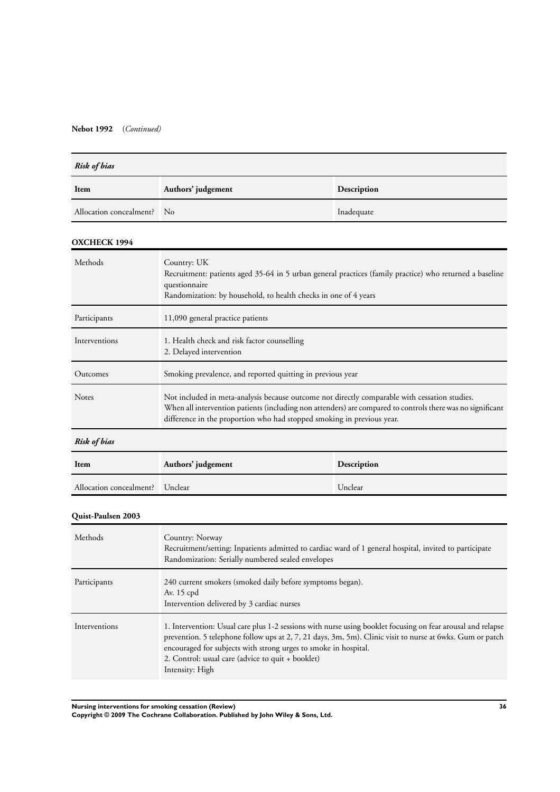### **Nebot 1992** (*Continued)*

| <b>Risk of bias</b>     |                                                                                                                                                                                                                                                                                                                                                                     |             |
|-------------------------|---------------------------------------------------------------------------------------------------------------------------------------------------------------------------------------------------------------------------------------------------------------------------------------------------------------------------------------------------------------------|-------------|
| Item                    | Authors' judgement                                                                                                                                                                                                                                                                                                                                                  | Description |
| Allocation concealment? | No                                                                                                                                                                                                                                                                                                                                                                  | Inadequate  |
| <b>OXCHECK 1994</b>     |                                                                                                                                                                                                                                                                                                                                                                     |             |
| Methods                 | Country: UK<br>Recruitment: patients aged 35-64 in 5 urban general practices (family practice) who returned a baseline<br>questionnaire<br>Randomization: by household, to health checks in one of 4 years                                                                                                                                                          |             |
| Participants            | 11,090 general practice patients                                                                                                                                                                                                                                                                                                                                    |             |
| Interventions           | 1. Health check and risk factor counselling<br>2. Delayed intervention                                                                                                                                                                                                                                                                                              |             |
| Outcomes                | Smoking prevalence, and reported quitting in previous year                                                                                                                                                                                                                                                                                                          |             |
| Notes                   | Not included in meta-analysis because outcome not directly comparable with cessation studies.<br>When all intervention patients (including non attenders) are compared to controls there was no significant<br>difference in the proportion who had stopped smoking in previous year.                                                                               |             |
| <b>Risk of bias</b>     |                                                                                                                                                                                                                                                                                                                                                                     |             |
| Item                    | Authors' judgement<br>Description                                                                                                                                                                                                                                                                                                                                   |             |
| Allocation concealment? | Unclear<br>Unclear                                                                                                                                                                                                                                                                                                                                                  |             |
| Quist-Paulsen 2003      |                                                                                                                                                                                                                                                                                                                                                                     |             |
| Methods                 | Country: Norway<br>Recruitment/setting: Inpatients admitted to cardiac ward of 1 general hospital, invited to participate<br>Randomization: Serially numbered sealed envelopes                                                                                                                                                                                      |             |
| Participants            | 240 current smokers (smoked daily before symptoms began).<br>Av. 15 cpd<br>Intervention delivered by 3 cardiac nurses                                                                                                                                                                                                                                               |             |
| Interventions           | 1. Intervention: Usual care plus 1-2 sessions with nurse using booklet focusing on fear arousal and relapse<br>prevention. 5 telephone follow ups at 2, 7, 21 days, 3m, 5m). Clinic visit to nurse at 6wks. Gum or patch<br>encouraged for subjects with strong urges to smoke in hospital.<br>2. Control: usual care (advice to quit + booklet)<br>Intensity: High |             |

**Nursing interventions for smoking cessation (Review) 36**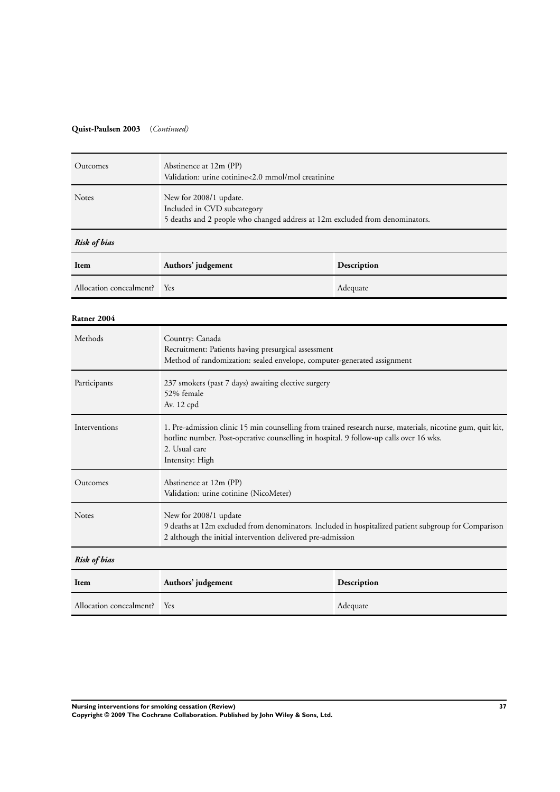# **Quist-Paulsen 2003** (*Continued)*

| Outcomes                | Abstinence at 12m (PP)<br>Validation: urine cotinine<2.0 mmol/mol creatinine                                                                                                                                                             |             |  |
|-------------------------|------------------------------------------------------------------------------------------------------------------------------------------------------------------------------------------------------------------------------------------|-------------|--|
| Notes                   | New for 2008/1 update.<br>Included in CVD subcategory<br>5 deaths and 2 people who changed address at 12m excluded from denominators.                                                                                                    |             |  |
| Risk of bias            |                                                                                                                                                                                                                                          |             |  |
| Item                    | Authors' judgement                                                                                                                                                                                                                       | Description |  |
| Allocation concealment? | Yes                                                                                                                                                                                                                                      | Adequate    |  |
| <b>Ratner 2004</b>      |                                                                                                                                                                                                                                          |             |  |
| Methods                 | Country: Canada<br>Recruitment: Patients having presurgical assessment<br>Method of randomization: sealed envelope, computer-generated assignment                                                                                        |             |  |
| Participants            | 237 smokers (past 7 days) awaiting elective surgery<br>52% female<br>Av. 12 cpd                                                                                                                                                          |             |  |
| Interventions           | 1. Pre-admission clinic 15 min counselling from trained research nurse, materials, nicotine gum, quit kit,<br>hotline number. Post-operative counselling in hospital. 9 follow-up calls over 16 wks.<br>2. Usual care<br>Intensity: High |             |  |
| Outcomes                | Abstinence at 12m (PP)<br>Validation: urine cotinine (NicoMeter)                                                                                                                                                                         |             |  |
| Notes                   | New for 2008/1 update<br>9 deaths at 12m excluded from denominators. Included in hospitalized patient subgroup for Comparison<br>2 although the initial intervention delivered pre-admission                                             |             |  |
| <b>Risk of bias</b>     |                                                                                                                                                                                                                                          |             |  |
| Item                    | Authors' judgement<br>Description                                                                                                                                                                                                        |             |  |
| Allocation concealment? | Yes                                                                                                                                                                                                                                      | Adequate    |  |

**Nursing interventions for smoking cessation (Review) 37**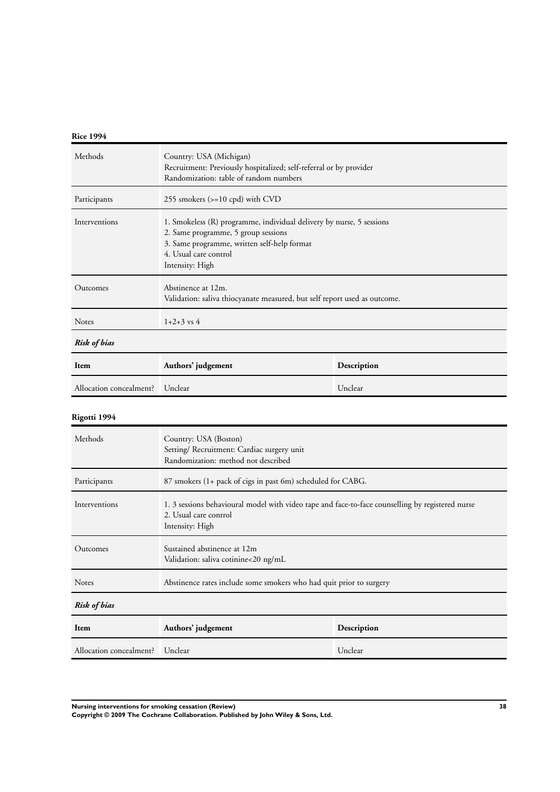# **Rice 1994**

| Methods                 | Country: USA (Michigan)<br>Recruitment: Previously hospitalized; self-referral or by provider<br>Randomization: table of random numbers                                                                |             |
|-------------------------|--------------------------------------------------------------------------------------------------------------------------------------------------------------------------------------------------------|-------------|
| Participants            | 255 smokers $(>=10 \text{ cpd})$ with CVD                                                                                                                                                              |             |
| Interventions           | 1. Smokeless (R) programme, individual delivery by nurse, 5 sessions<br>2. Same programme, 5 group sessions<br>3. Same programme, written self-help format<br>4. Usual care control<br>Intensity: High |             |
| Outcomes                | Abstinence at 12m.<br>Validation: saliva thiocyanate measured, but self report used as outcome.                                                                                                        |             |
| <b>Notes</b>            | $1+2+3$ vs 4                                                                                                                                                                                           |             |
| Risk of bias            |                                                                                                                                                                                                        |             |
| Item                    | Authors' judgement                                                                                                                                                                                     | Description |
| Allocation concealment? | Unclear                                                                                                                                                                                                | Unclear     |

# **Rigotti 1994**

| Methods                 | Country: USA (Boston)<br>Setting/ Recruitment: Cardiac surgery unit<br>Randomization: method not described                                   |  |  |  |
|-------------------------|----------------------------------------------------------------------------------------------------------------------------------------------|--|--|--|
| Participants            | 87 smokers (1+ pack of cigs in past 6m) scheduled for CABG.                                                                                  |  |  |  |
| Interventions           | 1. 3 sessions behavioural model with video tape and face-to-face counselling by registered nurse<br>2. Usual care control<br>Intensity: High |  |  |  |
| Outcomes                | Sustained abstinence at 12m<br>Validation: saliva cotinine<20 ng/mL                                                                          |  |  |  |
| <b>Notes</b>            | Abstinence rates include some smokers who had quit prior to surgery                                                                          |  |  |  |
| <b>Risk of bias</b>     |                                                                                                                                              |  |  |  |
| Item                    | Authors' judgement<br>Description                                                                                                            |  |  |  |
| Allocation concealment? | Unclear<br>Unclear                                                                                                                           |  |  |  |

**Nursing interventions for smoking cessation (Review) 38**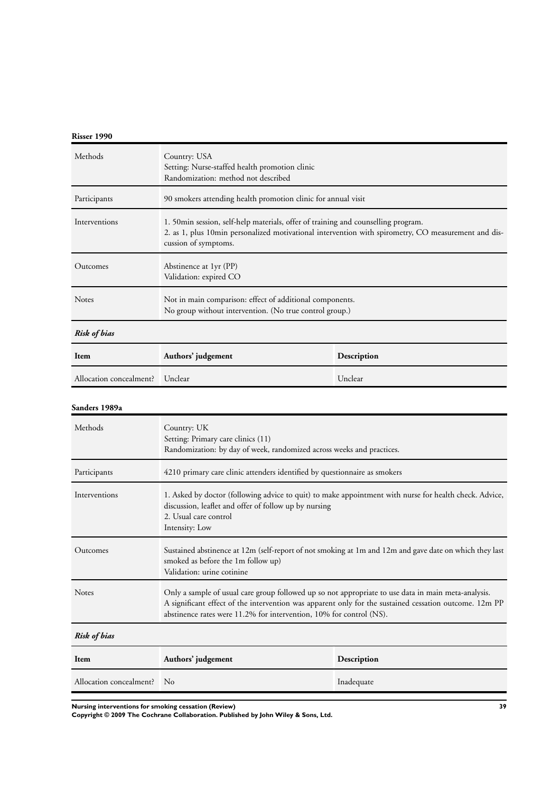### **Risser 1990**

| Methods                 | Country: USA<br>Setting: Nurse-staffed health promotion clinic<br>Randomization: method not described                                                                                                             |  |  |
|-------------------------|-------------------------------------------------------------------------------------------------------------------------------------------------------------------------------------------------------------------|--|--|
| Participants            | 90 smokers attending health promotion clinic for annual visit                                                                                                                                                     |  |  |
| Interventions           | 1. 50 min session, self-help materials, offer of training and counselling program.<br>2. as 1, plus 10min personalized motivational intervention with spirometry, CO measurement and dis-<br>cussion of symptoms. |  |  |
| Outcomes                | Abstinence at 1yr (PP)<br>Validation: expired CO                                                                                                                                                                  |  |  |
| <b>Notes</b>            | Not in main comparison: effect of additional components.<br>No group without intervention. (No true control group.)                                                                                               |  |  |
| <b>Risk of bias</b>     |                                                                                                                                                                                                                   |  |  |
| Item                    | Authors' judgement<br>Description                                                                                                                                                                                 |  |  |
| Allocation concealment? | Unclear<br>Unclear                                                                                                                                                                                                |  |  |

## **Sanders 1989a**

| Methods                 | Country: UK<br>Setting: Primary care clinics (11)<br>Randomization: by day of week, randomized across weeks and practices.                                                                                                                                                           |  |  |  |
|-------------------------|--------------------------------------------------------------------------------------------------------------------------------------------------------------------------------------------------------------------------------------------------------------------------------------|--|--|--|
| Participants            | 4210 primary care clinic attenders identified by questionnaire as smokers                                                                                                                                                                                                            |  |  |  |
| Interventions           | 1. Asked by doctor (following advice to quit) to make appointment with nurse for health check. Advice,<br>discussion, leaflet and offer of follow up by nursing<br>2. Usual care control<br>Intensity: Low                                                                           |  |  |  |
| Outcomes                | Sustained abstinence at 12m (self-report of not smoking at 1m and 12m and gave date on which they last<br>smoked as before the 1m follow up)<br>Validation: urine cotinine                                                                                                           |  |  |  |
| Notes                   | Only a sample of usual care group followed up so not appropriate to use data in main meta-analysis.<br>A significant effect of the intervention was apparent only for the sustained cessation outcome. 12m PP<br>abstinence rates were 11.2% for intervention, 10% for control (NS). |  |  |  |
| <b>Risk of bias</b>     |                                                                                                                                                                                                                                                                                      |  |  |  |
| Item                    | Authors' judgement<br>Description                                                                                                                                                                                                                                                    |  |  |  |
| Allocation concealment? | Inadequate<br>- No                                                                                                                                                                                                                                                                   |  |  |  |

**Nursing interventions for smoking cessation (Review) 39**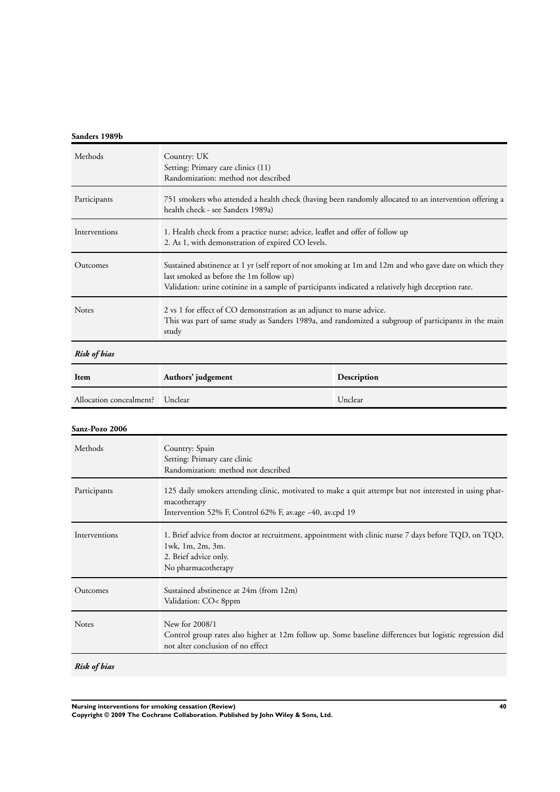## **Sanders 1989b**

| Methods                 | Country: UK<br>Setting: Primary care clinics (11)<br>Randomization: method not described                                                                                                                                                                |  |  |  |
|-------------------------|---------------------------------------------------------------------------------------------------------------------------------------------------------------------------------------------------------------------------------------------------------|--|--|--|
| Participants            | 751 smokers who attended a health check (having been randomly allocated to an intervention offering a<br>health check - see Sanders 1989a)                                                                                                              |  |  |  |
| Interventions           | 1. Health check from a practice nurse; advice, leaflet and offer of follow up<br>2. As 1, with demonstration of expired CO levels.                                                                                                                      |  |  |  |
| Outcomes                | Sustained abstinence at 1 yr (self report of not smoking at 1m and 12m and who gave date on which they<br>last smoked as before the 1m follow up)<br>Validation: urine cotinine in a sample of participants indicated a relatively high deception rate. |  |  |  |
| <b>Notes</b>            | 2 vs 1 for effect of CO demonstration as an adjunct to nurse advice.<br>This was part of same study as Sanders 1989a, and randomized a subgroup of participants in the main<br>study                                                                    |  |  |  |
| <b>Risk of bias</b>     |                                                                                                                                                                                                                                                         |  |  |  |
| Item                    | Authors' judgement<br>Description                                                                                                                                                                                                                       |  |  |  |
| Allocation concealment? | Unclear<br>Unclear                                                                                                                                                                                                                                      |  |  |  |

# **Sanz-Pozo 2006**

| Methods       | Country: Spain<br>Setting: Primary care clinic<br>Randomization: method not described                                                                                             |
|---------------|-----------------------------------------------------------------------------------------------------------------------------------------------------------------------------------|
| Participants  | 125 daily smokers attending clinic, motivated to make a quit attempt but not interested in using phar-<br>macotherapy<br>Intervention 52% F, Control 62% F, av.age -40, av.cpd 19 |
| Interventions | 1. Brief advice from doctor at recruitment, appointment with clinic nurse 7 days before TQD, on TQD,<br>1wk, 1m, 2m, 3m.<br>2. Brief advice only.<br>No pharmacotherapy           |
| Outcomes      | Sustained abstinence at 24m (from 12m)<br>Validation: CO< 8ppm                                                                                                                    |
| <b>Notes</b>  | New for 2008/1<br>Control group rates also higher at 12m follow up. Some baseline differences but logistic regression did<br>not alter conclusion of no effect                    |

# *Risk of bias*

**Nursing interventions for smoking cessation (Review) 40**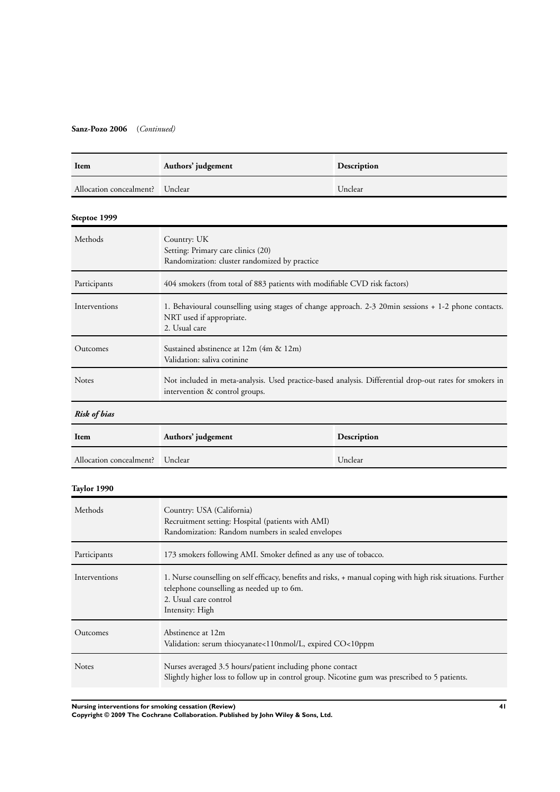### **Sanz-Pozo 2006** (*Continued)*

| Item                    | Authors' judgement                                                                                                                                                                                     | Description |  |
|-------------------------|--------------------------------------------------------------------------------------------------------------------------------------------------------------------------------------------------------|-------------|--|
| Allocation concealment? | Unclear                                                                                                                                                                                                | Unclear     |  |
| Steptoe 1999            |                                                                                                                                                                                                        |             |  |
| Methods                 | Country: UK<br>Setting: Primary care clinics (20)<br>Randomization: cluster randomized by practice                                                                                                     |             |  |
| Participants            | 404 smokers (from total of 883 patients with modifiable CVD risk factors)                                                                                                                              |             |  |
| Interventions           | 1. Behavioural counselling using stages of change approach. 2-3 20min sessions + 1-2 phone contacts.<br>NRT used if appropriate.<br>2. Usual care                                                      |             |  |
| Outcomes                | Sustained abstinence at 12m (4m & 12m)<br>Validation: saliva cotinine                                                                                                                                  |             |  |
| <b>Notes</b>            | Not included in meta-analysis. Used practice-based analysis. Differential drop-out rates for smokers in<br>intervention & control groups.                                                              |             |  |
| <b>Risk of bias</b>     |                                                                                                                                                                                                        |             |  |
| Item                    | Authors' judgement                                                                                                                                                                                     | Description |  |
| Allocation concealment? | Unclear                                                                                                                                                                                                | Unclear     |  |
| Taylor 1990             |                                                                                                                                                                                                        |             |  |
| Methods                 | Country: USA (California)<br>Recruitment setting: Hospital (patients with AMI)<br>Randomization: Random numbers in sealed envelopes                                                                    |             |  |
| Participants            | 173 smokers following AMI. Smoker defined as any use of tobacco.                                                                                                                                       |             |  |
| Interventions           | 1. Nurse counselling on self efficacy, benefits and risks, + manual coping with high risk situations. Further<br>telephone counselling as needed up to 6m.<br>2. Usual care control<br>Intensity: High |             |  |
| Outcomes                | Abstinence at 12m<br>Validation: serum thiocyanate<110nmol/L, expired CO<10ppm                                                                                                                         |             |  |
| Notes                   | Nurses averaged 3.5 hours/patient including phone contact<br>Slightly higher loss to follow up in control group. Nicotine gum was prescribed to 5 patients.                                            |             |  |

**Nursing interventions for smoking cessation (Review) 41**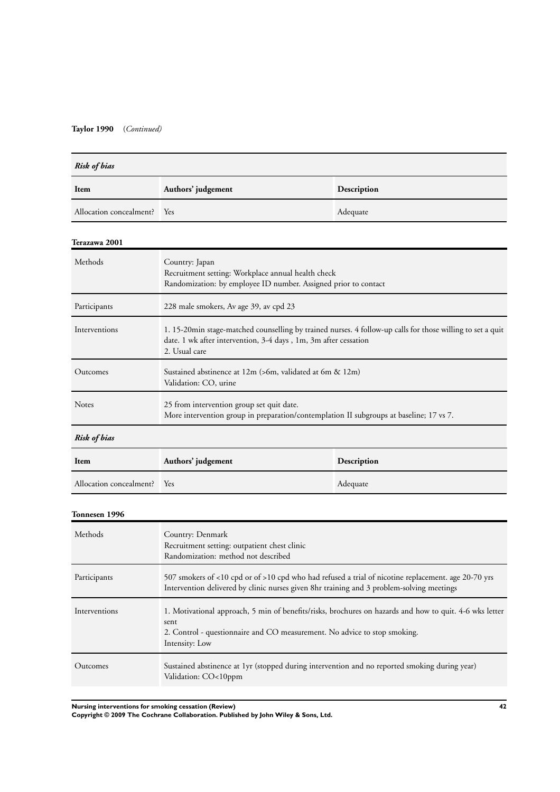## **Taylor 1990** (*Continued)*

| <b>Risk of bias</b>     |                                                                                                                                                                                                                |             |  |  |
|-------------------------|----------------------------------------------------------------------------------------------------------------------------------------------------------------------------------------------------------------|-------------|--|--|
| Item                    | Authors' judgement<br>Description                                                                                                                                                                              |             |  |  |
| Allocation concealment? | Yes                                                                                                                                                                                                            | Adequate    |  |  |
| Terazawa 2001           |                                                                                                                                                                                                                |             |  |  |
| Methods                 | Country: Japan<br>Recruitment setting: Workplace annual health check<br>Randomization: by employee ID number. Assigned prior to contact                                                                        |             |  |  |
| Participants            | 228 male smokers, Av age 39, av cpd 23                                                                                                                                                                         |             |  |  |
| Interventions           | 1. 15-20min stage-matched counselling by trained nurses. 4 follow-up calls for those willing to set a quit<br>date. 1 wk after intervention, 3-4 days, 1m, 3m after cessation<br>2. Usual care                 |             |  |  |
| Outcomes                | Sustained abstinence at 12m (>6m, validated at 6m & 12m)<br>Validation: CO, urine                                                                                                                              |             |  |  |
| Notes                   | 25 from intervention group set quit date.<br>More intervention group in preparation/contemplation II subgroups at baseline; 17 vs 7.                                                                           |             |  |  |
| <b>Risk of bias</b>     |                                                                                                                                                                                                                |             |  |  |
| Item                    | Authors' judgement                                                                                                                                                                                             | Description |  |  |
| Allocation concealment? | Yes                                                                                                                                                                                                            | Adequate    |  |  |
| Tonnesen 1996           |                                                                                                                                                                                                                |             |  |  |
| Methods                 | Country: Denmark<br>Recruitment setting: outpatient chest clinic<br>Randomization: method not described                                                                                                        |             |  |  |
| Participants            | 507 smokers of <10 cpd or of >10 cpd who had refused a trial of nicotine replacement. age 20-70 yrs<br>Intervention delivered by clinic nurses given 8hr training and 3 problem-solving meetings               |             |  |  |
| Interventions           | 1. Motivational approach, 5 min of benefits/risks, brochures on hazards and how to quit. 4-6 wks letter<br>sent<br>2. Control - questionnaire and CO measurement. No advice to stop smoking.<br>Intensity: Low |             |  |  |
| Outcomes                | Sustained abstinence at 1yr (stopped during intervention and no reported smoking during year)<br>Validation: CO<10ppm                                                                                          |             |  |  |

**Nursing interventions for smoking cessation (Review) 42**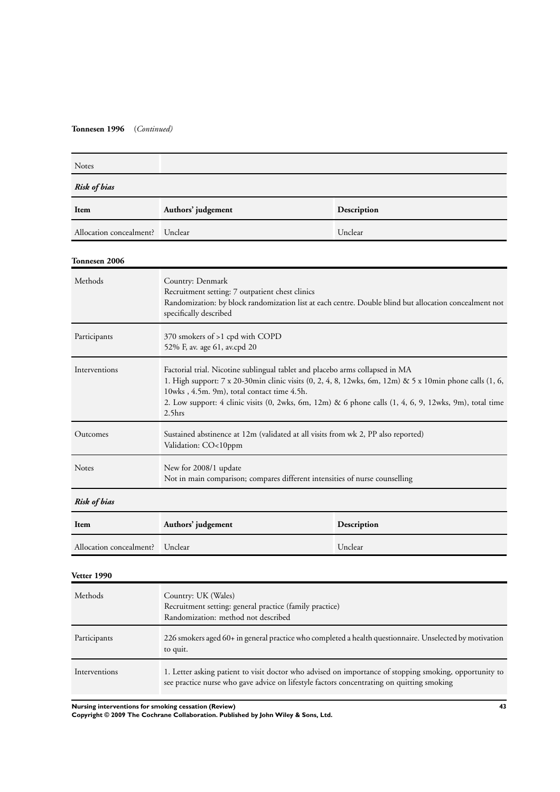### **Tonnesen 1996** (*Continued)*

| <b>Notes</b>            |                                                                                                                                                                                                                                                                                                                                                                       |             |  |  |
|-------------------------|-----------------------------------------------------------------------------------------------------------------------------------------------------------------------------------------------------------------------------------------------------------------------------------------------------------------------------------------------------------------------|-------------|--|--|
| <b>Risk of bias</b>     |                                                                                                                                                                                                                                                                                                                                                                       |             |  |  |
| Item                    | Authors' judgement<br>Description                                                                                                                                                                                                                                                                                                                                     |             |  |  |
| Allocation concealment? | Unclear                                                                                                                                                                                                                                                                                                                                                               | Unclear     |  |  |
| Tonnesen 2006           |                                                                                                                                                                                                                                                                                                                                                                       |             |  |  |
| Methods                 | Country: Denmark<br>Recruitment setting: 7 outpatient chest clinics<br>Randomization: by block randomization list at each centre. Double blind but allocation concealment not<br>specifically described                                                                                                                                                               |             |  |  |
| Participants            | 370 smokers of >1 cpd with COPD<br>52% F, av. age 61, av.cpd 20                                                                                                                                                                                                                                                                                                       |             |  |  |
| Interventions           | Factorial trial. Nicotine sublingual tablet and placebo arms collapsed in MA<br>1. High support: 7 x 20-30min clinic visits (0, 2, 4, 8, 12wks, 6m, 12m) & 5 x 10min phone calls (1, 6,<br>10wks, 4.5m. 9m), total contact time 4.5h.<br>2. Low support: 4 clinic visits (0, 2wks, 6m, 12m) & 6 phone calls (1, 4, 6, 9, 12wks, 9m), total time<br>2.5 <sub>hrs</sub> |             |  |  |
| Outcomes                | Sustained abstinence at 12m (validated at all visits from wk 2, PP also reported)<br>Validation: CO<10ppm                                                                                                                                                                                                                                                             |             |  |  |
| Notes                   | New for 2008/1 update<br>Not in main comparison; compares different intensities of nurse counselling                                                                                                                                                                                                                                                                  |             |  |  |
| <b>Risk of bias</b>     |                                                                                                                                                                                                                                                                                                                                                                       |             |  |  |
| Item                    | Authors' judgement                                                                                                                                                                                                                                                                                                                                                    | Description |  |  |
| Allocation concealment? | Unclear<br>Unclear                                                                                                                                                                                                                                                                                                                                                    |             |  |  |
| Vetter 1990             |                                                                                                                                                                                                                                                                                                                                                                       |             |  |  |
| Methods                 | Country: UK (Wales)<br>Recruitment setting: general practice (family practice)<br>Randomization: method not described                                                                                                                                                                                                                                                 |             |  |  |
| Participants            | 226 smokers aged 60+ in general practice who completed a health questionnaire. Unselected by motivation<br>to quit.                                                                                                                                                                                                                                                   |             |  |  |
| Interventions           | 1. Letter asking patient to visit doctor who advised on importance of stopping smoking, opportunity to<br>see practice nurse who gave advice on lifestyle factors concentrating on quitting smoking                                                                                                                                                                   |             |  |  |

**Nursing interventions for smoking cessation (Review) 43**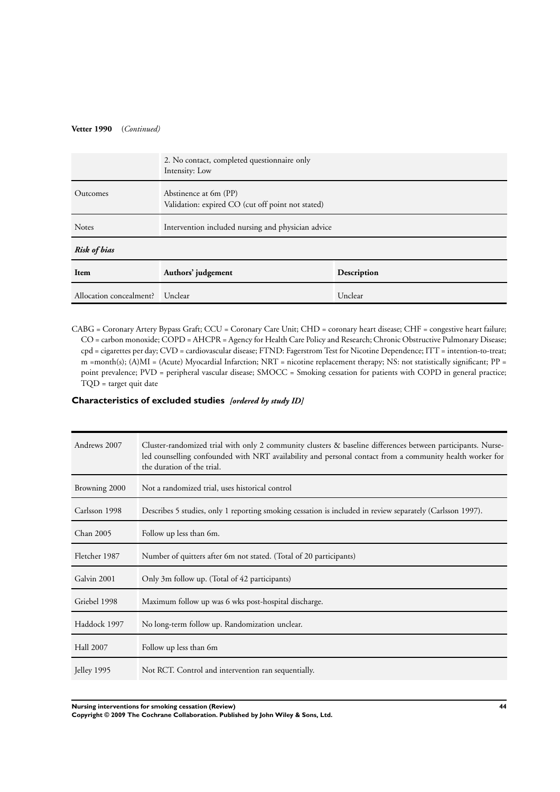#### <span id="page-45-0"></span>**Vetter 1990** (*Continued)*

|                         | 2. No contact, completed questionnaire only<br>Intensity: Low              |  |  |  |  |
|-------------------------|----------------------------------------------------------------------------|--|--|--|--|
| <b>Outcomes</b>         | Abstinence at 6m (PP)<br>Validation: expired CO (cut off point not stated) |  |  |  |  |
| <b>Notes</b>            | Intervention included nursing and physician advice                         |  |  |  |  |
| Risk of bias            |                                                                            |  |  |  |  |
| Item                    | Authors' judgement<br>Description                                          |  |  |  |  |
| Allocation concealment? | Unclear<br>Unclear                                                         |  |  |  |  |

CABG = Coronary Artery Bypass Graft; CCU = Coronary Care Unit; CHD = coronary heart disease; CHF = congestive heart failure; CO = carbon monoxide; COPD = AHCPR = Agency for Health Care Policy and Research; Chronic Obstructive Pulmonary Disease; cpd = cigarettes per day; CVD = cardiovascular disease; FTND: Fagerstrom Test for Nicotine Dependence; ITT = intention-to-treat; m =month(s); (A)MI = (Acute) Myocardial Infarction; NRT = nicotine replacement therapy; NS: not statistically significant; PP = point prevalence; PVD = peripheral vascular disease; SMOCC = Smoking cessation for patients with COPD in general practice; TQD = target quit date

### **Characteristics of excluded studies** *[ordered by study ID]*

| Andrews 2007     | Cluster-randomized trial with only 2 community clusters & baseline differences between participants. Nurse-<br>led counselling confounded with NRT availability and personal contact from a community health worker for<br>the duration of the trial. |
|------------------|-------------------------------------------------------------------------------------------------------------------------------------------------------------------------------------------------------------------------------------------------------|
| Browning 2000    | Not a randomized trial, uses historical control                                                                                                                                                                                                       |
| Carlsson 1998    | Describes 5 studies, only 1 reporting smoking cessation is included in review separately (Carlsson 1997).                                                                                                                                             |
| Chan 2005        | Follow up less than 6m.                                                                                                                                                                                                                               |
| Fletcher 1987    | Number of quitters after 6m not stated. (Total of 20 participants)                                                                                                                                                                                    |
| Galvin 2001      | Only 3m follow up. (Total of 42 participants)                                                                                                                                                                                                         |
| Griebel 1998     | Maximum follow up was 6 wks post-hospital discharge.                                                                                                                                                                                                  |
| Haddock 1997     | No long-term follow up. Randomization unclear.                                                                                                                                                                                                        |
| <b>Hall 2007</b> | Follow up less than 6m                                                                                                                                                                                                                                |
| Jelley 1995      | Not RCT. Control and intervention ran sequentially.                                                                                                                                                                                                   |

**Nursing interventions for smoking cessation (Review) 44**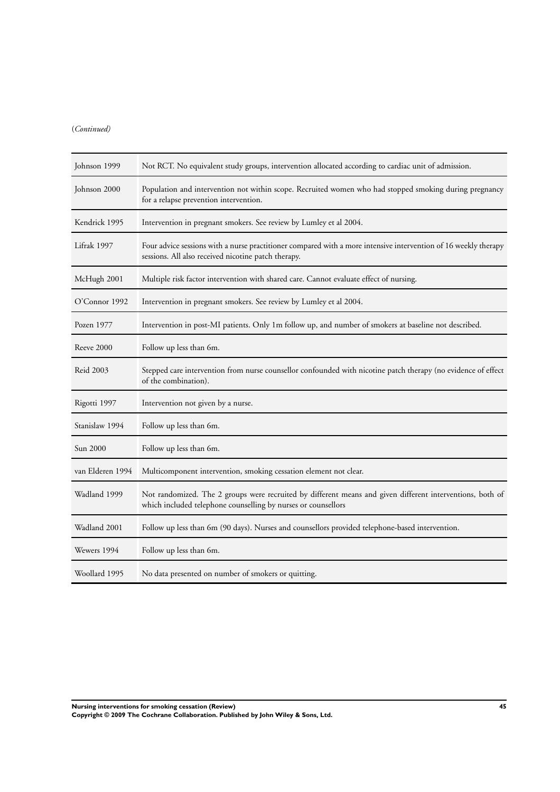### (*Continued)*

| Johnson 1999     | Not RCT. No equivalent study groups, intervention allocated according to cardiac unit of admission.                                                                        |
|------------------|----------------------------------------------------------------------------------------------------------------------------------------------------------------------------|
| Johnson 2000     | Population and intervention not within scope. Recruited women who had stopped smoking during pregnancy<br>for a relapse prevention intervention.                           |
| Kendrick 1995    | Intervention in pregnant smokers. See review by Lumley et al 2004.                                                                                                         |
| Lifrak 1997      | Four advice sessions with a nurse practitioner compared with a more intensive intervention of 16 weekly therapy<br>sessions. All also received nicotine patch therapy.     |
| McHugh 2001      | Multiple risk factor intervention with shared care. Cannot evaluate effect of nursing.                                                                                     |
| O'Connor 1992    | Intervention in pregnant smokers. See review by Lumley et al 2004.                                                                                                         |
| Pozen 1977       | Intervention in post-MI patients. Only 1m follow up, and number of smokers at baseline not described.                                                                      |
| Reeve 2000       | Follow up less than 6m.                                                                                                                                                    |
| <b>Reid 2003</b> | Stepped care intervention from nurse counsellor confounded with nicotine patch therapy (no evidence of effect<br>of the combination).                                      |
| Rigotti 1997     | Intervention not given by a nurse.                                                                                                                                         |
| Stanislaw 1994   | Follow up less than 6m.                                                                                                                                                    |
| Sun 2000         | Follow up less than 6m.                                                                                                                                                    |
| van Elderen 1994 | Multicomponent intervention, smoking cessation element not clear.                                                                                                          |
| Wadland 1999     | Not randomized. The 2 groups were recruited by different means and given different interventions, both of<br>which included telephone counselling by nurses or counsellors |
| Wadland 2001     | Follow up less than 6m (90 days). Nurses and counsellors provided telephone-based intervention.                                                                            |
| Wewers 1994      | Follow up less than 6m.                                                                                                                                                    |
| Woollard 1995    | No data presented on number of smokers or quitting.                                                                                                                        |

**Nursing interventions for smoking cessation (Review) 45**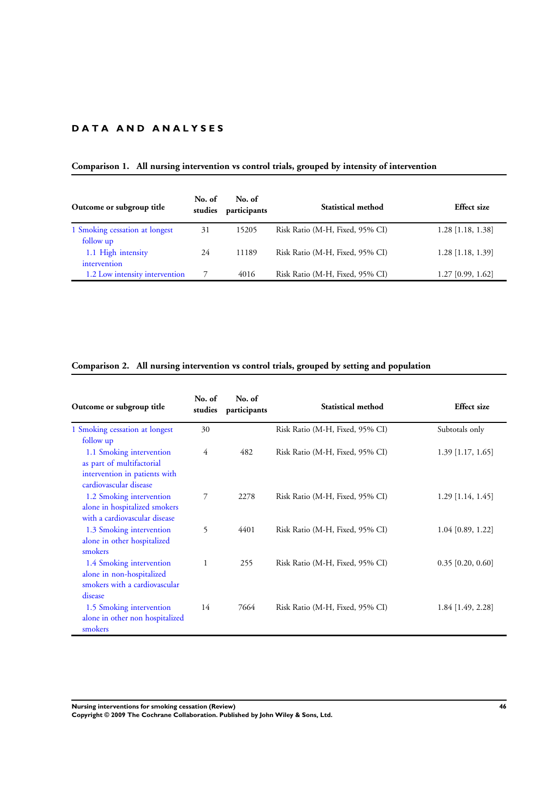## **D A T A A N D A N A L Y S E S**

# **Comparison 1. All nursing intervention vs control trials, grouped by intensity of intervention**

| Outcome or subgroup title                   | No. of<br>studies | No. of<br>participants | Statistical method              | <b>Effect size</b>  |
|---------------------------------------------|-------------------|------------------------|---------------------------------|---------------------|
| 1 Smoking cessation at longest<br>follow up | 31                | 15205                  | Risk Ratio (M-H, Fixed, 95% CI) | $1.28$ [1.18, 1.38] |
| 1.1 High intensity<br>intervention          | 24                | 11189                  | Risk Ratio (M-H, Fixed, 95% CI) | $1.28$ [1.18, 1.39] |
| 1.2 Low intensity intervention              |                   | 4016                   | Risk Ratio (M-H, Fixed, 95% CI) | $1.27$ [0.99, 1.62] |

# **Comparison 2. All nursing intervention vs control trials, grouped by setting and population**

| No. of<br>Outcome or subgroup title<br>studies                                                                   |    | No. of<br>participants | <b>Statistical method</b>       | <b>Effect size</b>  |  |
|------------------------------------------------------------------------------------------------------------------|----|------------------------|---------------------------------|---------------------|--|
| 1 Smoking cessation at longest<br>follow up                                                                      | 30 |                        | Risk Ratio (M-H, Fixed, 95% CI) | Subtotals only      |  |
| 1.1 Smoking intervention<br>as part of multifactorial<br>intervention in patients with<br>cardiovascular disease | 4  | 482                    | Risk Ratio (M-H, Fixed, 95% CI) | $1.39$ [1.17, 1.65] |  |
| 1.2 Smoking intervention<br>alone in hospitalized smokers<br>with a cardiovascular disease                       | 7  | 2278                   | Risk Ratio (M-H, Fixed, 95% CI) | $1.29$ [1.14, 1.45] |  |
| 1.3 Smoking intervention<br>alone in other hospitalized<br>smokers                                               | 5  | 4401                   | Risk Ratio (M-H, Fixed, 95% CI) | 1.04 [0.89, 1.22]   |  |
| 1.4 Smoking intervention<br>alone in non-hospitalized<br>smokers with a cardiovascular<br>disease                | 1  | 255                    | Risk Ratio (M-H, Fixed, 95% CI) | $0.35$ [0.20, 0.60] |  |
| 1.5 Smoking intervention<br>alone in other non hospitalized<br>smokers                                           | 14 | 7664                   | Risk Ratio (M-H, Fixed, 95% CI) | 1.84 [1.49, 2.28]   |  |

**Nursing interventions for smoking cessation (Review) 46**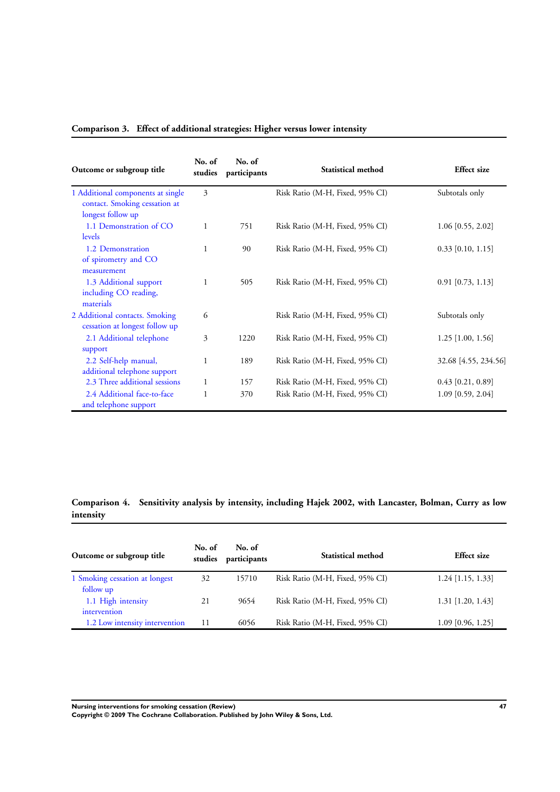| Outcome or subgroup title                                                               | No. of<br>studies | No. of<br>participants | Statistical method              | <b>Effect</b> size   |
|-----------------------------------------------------------------------------------------|-------------------|------------------------|---------------------------------|----------------------|
| 1 Additional components at single<br>contact. Smoking cessation at<br>longest follow up | 3                 |                        | Risk Ratio (M-H, Fixed, 95% CI) | Subtotals only       |
| 1.1 Demonstration of CO<br>levels                                                       | $\mathbf{1}$      | 751                    | Risk Ratio (M-H, Fixed, 95% CI) | $1.06$ [0.55, 2.02]  |
| 1.2 Demonstration<br>of spirometry and CO<br>measurement                                | 1                 | 90                     | Risk Ratio (M-H, Fixed, 95% CI) | $0.33$ [0.10, 1.15]  |
| 1.3 Additional support<br>including CO reading,<br>materials                            | $\mathbf{1}$      | 505                    | Risk Ratio (M-H, Fixed, 95% CI) | $0.91$ [0.73, 1.13]  |
| 2 Additional contacts. Smoking<br>cessation at longest follow up                        | 6                 |                        | Risk Ratio (M-H, Fixed, 95% CI) | Subtotals only       |
| 2.1 Additional telephone<br>support                                                     | 3                 | 1220                   | Risk Ratio (M-H, Fixed, 95% CI) | $1.25$ [1.00, 1.56]  |
| 2.2 Self-help manual,<br>additional telephone support                                   | 1                 | 189                    | Risk Ratio (M-H, Fixed, 95% CI) | 32.68 [4.55, 234.56] |
| 2.3 Three additional sessions                                                           | $\mathbf{1}$      | 157                    | Risk Ratio (M-H, Fixed, 95% CI) | $0.43$ [0.21, 0.89]  |
| 2.4 Additional face-to-face<br>and telephone support                                    | 1                 | 370                    | Risk Ratio (M-H, Fixed, 95% CI) | $1.09$ [0.59, 2.04]  |

# **Comparison 3. Effect of additional strategies: Higher versus lower intensity**

# **Comparison 4. Sensitivity analysis by intensity, including Hajek 2002, with Lancaster, Bolman, Curry as low intensity**

| No. of<br>Outcome or subgroup title<br>studies |    | No. of<br>participants | Statistical method              | Effect size         |
|------------------------------------------------|----|------------------------|---------------------------------|---------------------|
| 1 Smoking cessation at longest<br>follow up    | 32 | 15710                  | Risk Ratio (M-H, Fixed, 95% CI) | $1.24$ [1.15, 1.33] |
| 1.1 High intensity<br>intervention             | 21 | 9654                   | Risk Ratio (M-H, Fixed, 95% CI) | $1.31$ [1.20, 1.43] |
| 1.2 Low intensity intervention                 | 11 | 6056                   | Risk Ratio (M-H, Fixed, 95% CI) | $1.09$ [0.96, 1.25] |

**Nursing interventions for smoking cessation (Review) 47**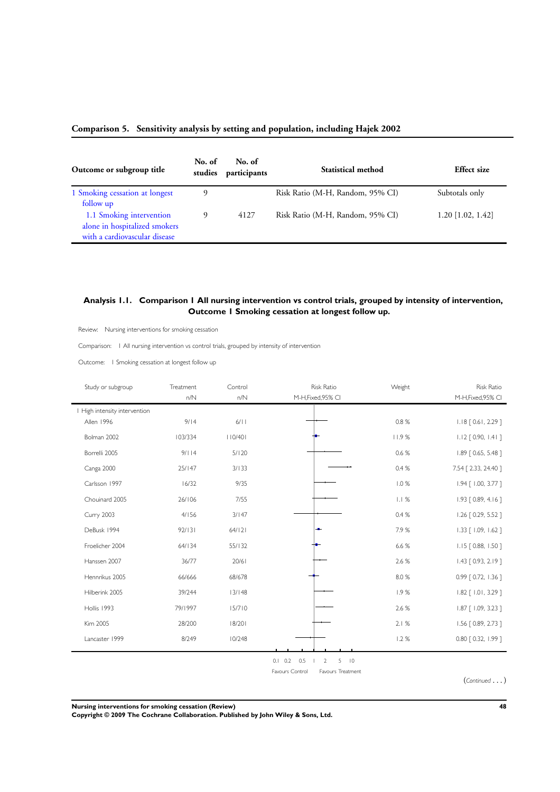### **Comparison 5. Sensitivity analysis by setting and population, including Hajek 2002**

| Outcome or subgroup title                                                                  | No. of<br>studies | No. of<br>participants | Statistical method               | Effect size         |
|--------------------------------------------------------------------------------------------|-------------------|------------------------|----------------------------------|---------------------|
| 1 Smoking cessation at longest<br>follow up                                                |                   |                        | Risk Ratio (M-H, Random, 95% CI) | Subtotals only      |
| 1.1 Smoking intervention<br>alone in hospitalized smokers<br>with a cardiovascular disease |                   | 4127                   | Risk Ratio (M-H, Random, 95% CI) | $1.20$ [1.02, 1.42] |

### **Analysis 1.1. Comparison 1 All nursing intervention vs control trials, grouped by intensity of intervention, Outcome 1 Smoking cessation at longest follow up.**

Review: Nursing interventions for smoking cessation

Comparison: 1 All nursing intervention vs control trials, grouped by intensity of intervention

Outcome: 1 Smoking cessation at longest follow up

| Study or subgroup             | Treatment | Control | <b>Risk Ratio</b> | Weight | <b>Risk Ratio</b>        |
|-------------------------------|-----------|---------|-------------------|--------|--------------------------|
|                               | n/N       | n/N     | M-H,Fixed,95% CI  |        | M-H,Fixed,95% Cl         |
| I High intensity intervention |           |         |                   |        |                          |
| Allen 1996                    | 9/14      | 6/11    |                   | 0.8 %  | $1.18$ $[0.61, 2.29]$    |
| Bolman 2002                   | 103/334   | 110/401 |                   | 11.9%  | $1.12$ $[0.90, 1.41]$    |
| Borrelli 2005                 | 9/114     | 5/120   |                   | 0.6 %  | 1.89   0.65, 5.48 ]      |
| Canga 2000                    | 25/147    | 3/133   |                   | 0.4 %  | 7.54 [ 2.33, 24.40 ]     |
| Carlsson 1997                 | 16/32     | 9/35    |                   | 1.0%   | 1.94 [ 1.00, 3.77 ]      |
| Chouinard 2005                | 26/106    | 7/55    |                   | 1.1%   | $1.93$ $[0.89, 4.16]$    |
| Curry 2003                    | 4/156     | 3/147   |                   | 0.4%   | 1.26 [ 0.29, 5.52 ]      |
| DeBusk 1994                   | 92/131    | 64/121  | ÷                 | 7.9%   | 1.33 [ 1.09, 1.62 ]      |
| Froelicher 2004               | 64/134    | 55/132  |                   | 6.6 %  | $1.15$ [ 0.88, 1.50 ]    |
| Hanssen 2007                  | 36/77     | 20/61   |                   | 2.6 %  | $1.43$ [ 0.93, 2.19 ]    |
| Hennrikus 2005                | 66/666    | 68/678  |                   | 8.0 %  | 0.99 [ 0.72, 1.36 ]      |
| Hilberink 2005                | 39/244    | 13/148  |                   | 1.9%   | $1.82$ [ $1.01$ , 3.29 ] |
| Hollis 1993                   | 79/1997   | 15/710  |                   | 2.6 %  | $1.87$ [ 1.09, 3.23 ]    |
| Kim 2005                      | 28/200    | 18/201  |                   | 2.1%   | 1.56 [ 0.89, 2.73 ]      |
| Lancaster 1999                | 8/249     | 10/248  |                   | 1.2%   | 0.80 [ 0.32, 1.99 ]      |

 $0.1$   $0.2$   $0.5$   $2$   $5$   $10$ 

Favours Control | Favours Treatment

(*Continued* ... )

**Nursing interventions for smoking cessation (Review) 48**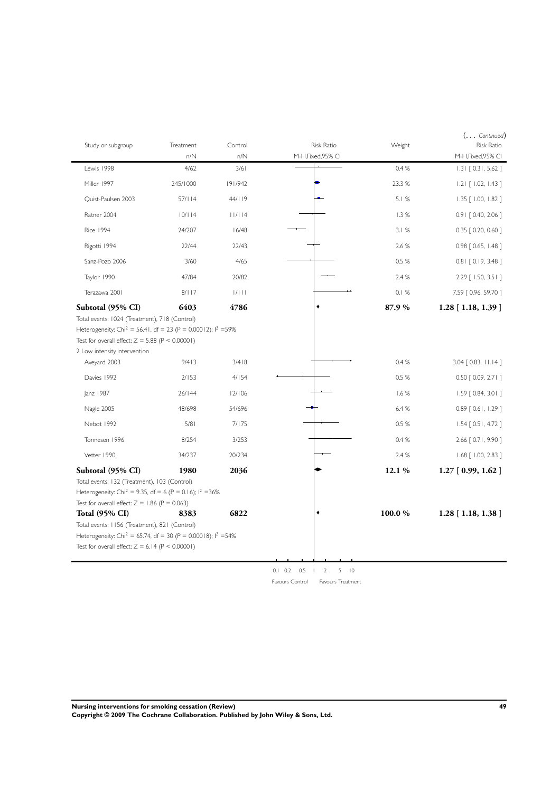<span id="page-50-0"></span>

| Study or subgroup                                                                                                                                                                                                                               | Treatment | Control | <b>Risk Ratio</b>                                                                       | Weight | $(\ldots$ Continued)<br><b>Risk Ratio</b> |
|-------------------------------------------------------------------------------------------------------------------------------------------------------------------------------------------------------------------------------------------------|-----------|---------|-----------------------------------------------------------------------------------------|--------|-------------------------------------------|
|                                                                                                                                                                                                                                                 | n/N       | n/N     | M-H,Fixed,95% Cl                                                                        |        | M-H,Fixed,95% Cl                          |
| Lewis 1998                                                                                                                                                                                                                                      | 4/62      | 3/61    |                                                                                         | 0.4 %  | $1.31$ [ 0.31, 5.62 ]                     |
| Miller 1997                                                                                                                                                                                                                                     | 245/1000  | 191/942 |                                                                                         | 23.3 % | $1.21$ $[1.02, 1.43]$                     |
| Quist-Paulsen 2003                                                                                                                                                                                                                              | 57/114    | 44/119  |                                                                                         | 5.1%   | $1.35$ $[$ 1.00, 1.82 ]                   |
| Ratner 2004                                                                                                                                                                                                                                     | 10/114    | 11/114  |                                                                                         | 1.3%   | $0.91$ $[0.40, 2.06]$                     |
| <b>Rice 1994</b>                                                                                                                                                                                                                                | 24/207    | 16/48   |                                                                                         | 3.1%   | $0.35$ $[0.20, 0.60]$                     |
| Rigotti 1994                                                                                                                                                                                                                                    | 22/44     | 22/43   |                                                                                         | 2.6 %  | $0.98$ $[0.65, 1.48]$                     |
| Sanz-Pozo 2006                                                                                                                                                                                                                                  | 3/60      | 4/65    |                                                                                         | 0.5 %  | $0.81$ $[0.19, 3.48]$                     |
| Taylor 1990                                                                                                                                                                                                                                     | 47/84     | 20/82   |                                                                                         | 2.4%   | $2.29$ [ 1.50, 3.51 ]                     |
| Terazawa 2001                                                                                                                                                                                                                                   | 8/117     | 1/111   |                                                                                         | 0.1%   | 7.59 [0.96, 59.70]                        |
| Subtotal (95% CI)<br>Total events: 1024 (Treatment), 718 (Control)<br>Heterogeneity: Chi <sup>2</sup> = 56.41, df = 23 (P = 0.00012); l <sup>2</sup> = 59%<br>Test for overall effect: $Z = 5.88$ (P < 0.00001)<br>2 Low intensity intervention | 6403      | 4786    | ٠                                                                                       | 87.9 % | $1.28$ [ 1.18, 1.39 ]                     |
| Aveyard 2003                                                                                                                                                                                                                                    | 9/413     | 3/418   |                                                                                         | 0.4%   | 3.04 [ 0.83, 11.14 ]                      |
| Davies 1992                                                                                                                                                                                                                                     | 2/153     | 4/154   |                                                                                         | 0.5 %  | $0.50$ $[0.09, 2.71]$                     |
| Janz 1987                                                                                                                                                                                                                                       | 26/144    | 12/106  |                                                                                         | 1.6%   | $1.59$ [ 0.84, 3.01 ]                     |
| Nagle 2005                                                                                                                                                                                                                                      | 48/698    | 54/696  |                                                                                         | 6.4 %  | $0.89$ $[0.61, 1.29]$                     |
| Nebot 1992                                                                                                                                                                                                                                      | 5/81      | 7/175   |                                                                                         | 0.5%   | $1.54$ [ 0.51, 4.72 ]                     |
| Tonnesen 1996                                                                                                                                                                                                                                   | 8/254     | 3/253   |                                                                                         | 0.4%   | 2.66 [ 0.71, 9.90 ]                       |
| Vetter 1990                                                                                                                                                                                                                                     | 34/237    | 20/234  |                                                                                         | 2.4 %  | $1.68$ $[ 1.00, 2.83 ]$                   |
| Subtotal (95% CI)<br>Total events: 132 (Treatment), 103 (Control)<br>Heterogeneity: Chi <sup>2</sup> = 9.35, df = 6 (P = 0.16); $1^2$ = 36%<br>Test for overall effect: $Z = 1.86$ (P = 0.063)                                                  | 1980      | 2036    |                                                                                         | 12.1 % | $1.27$ [ 0.99, 1.62 ]                     |
| <b>Total (95% CI)</b><br>Total events: 1156 (Treatment), 821 (Control)<br>Heterogeneity: Chi <sup>2</sup> = 65.74, df = 30 (P = 0.00018); l <sup>2</sup> = 54%<br>Test for overall effect: $Z = 6.14$ (P < 0.00001)                             | 8383      | 6822    | ۰                                                                                       | 100.0% | $1.28$ [ 1.18, 1.38 ]                     |
|                                                                                                                                                                                                                                                 |           |         | $0.1$ $0.2$ $0.5$<br>$\overline{2}$<br>$5$ $10$<br>Favours Control<br>Favours Treatment |        |                                           |

**Nursing interventions for smoking cessation (Review) 49**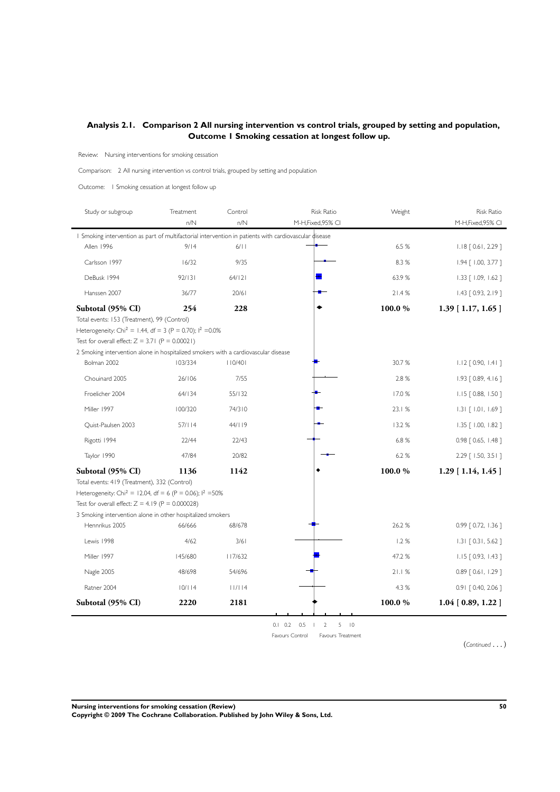### **Analysis 2.1. Comparison 2 All nursing intervention vs control trials, grouped by setting and population, Outcome 1 Smoking cessation at longest follow up.**

Review: Nursing interventions for smoking cessation

Comparison: 2 All nursing intervention vs control trials, grouped by setting and population

Outcome: 1 Smoking cessation at longest follow up

| Study or subgroup                                                                                                                                                                                                                           | Treatment<br>n/N | Control<br>n/N | Risk Ratio<br>M-H, Fixed, 95% CI               | Weight | <b>Risk Ratio</b><br>M-H, Fixed, 95% CI |
|---------------------------------------------------------------------------------------------------------------------------------------------------------------------------------------------------------------------------------------------|------------------|----------------|------------------------------------------------|--------|-----------------------------------------|
| Smoking intervention as part of multifactorial intervention in patients with cardiovascular disease                                                                                                                                         |                  |                |                                                |        |                                         |
| Allen 1996                                                                                                                                                                                                                                  | 9/14             | 6/11           |                                                | 6.5 %  | $1.18$ $[0.61, 2.29]$                   |
| Carlsson 1997                                                                                                                                                                                                                               | 16/32            | 9/35           |                                                | 8.3 %  | 1.94 [ 1.00, 3.77 ]                     |
| DeBusk 1994                                                                                                                                                                                                                                 | 92/131           | 64/121         |                                                | 63.9%  | $1.33$ $[1.09, 1.62]$                   |
| Hanssen 2007                                                                                                                                                                                                                                | 36/77            | 20/61          |                                                | 21.4%  | $1.43$ [ 0.93, 2.19 ]                   |
| Subtotal (95% CI)                                                                                                                                                                                                                           | 254              | 228            | ٠                                              | 100.0% | $1.39$ [ $1.17, 1.65$ ]                 |
| Total events: 153 (Treatment), 99 (Control)<br>Heterogeneity: Chi <sup>2</sup> = 1.44, df = 3 (P = 0.70); $1^2$ = 0.0%<br>Test for overall effect: $Z = 3.71$ (P = 0.00021)                                                                 |                  |                |                                                |        |                                         |
| 2 Smoking intervention alone in hospitalized smokers with a cardiovascular disease<br>Bolman 2002                                                                                                                                           | 103/334          | 10/401         |                                                | 30.7 % | $1.12$ [ 0.90, 1.41 ]                   |
| Chouinard 2005                                                                                                                                                                                                                              | 26/106           | 7/55           |                                                | 2.8 %  | 1.93 [ 0.89, 4.16 ]                     |
| Froelicher 2004                                                                                                                                                                                                                             | 64/134           | 55/132         |                                                | 17.0 % | $1.15$ $[0.88, 1.50]$                   |
| Miller 1997                                                                                                                                                                                                                                 | 100/320          | 74/310         |                                                | 23.1 % | $1.31$ [ $1.01$ , $1.69$ ]              |
| Quist-Paulsen 2003                                                                                                                                                                                                                          | 57/114           | 44/119         |                                                | 13.2 % | 1.35 [ 1.00, 1.82 ]                     |
| Rigotti 1994                                                                                                                                                                                                                                | 22/44            | 22/43          |                                                | 6.8 %  | 0.98 [ 0.65, 1.48 ]                     |
| Taylor 1990                                                                                                                                                                                                                                 | 47/84            | 20/82          |                                                | 6.2 %  | 2.29 [ 1.50, 3.5   ]                    |
| Subtotal (95% CI)                                                                                                                                                                                                                           | 1136             | 1142           |                                                | 100.0% | $1.29$ [ $1.14$ , $1.45$ ]              |
| Total events: 419 (Treatment), 332 (Control)<br>Heterogeneity: Chi <sup>2</sup> = 12.04, df = 6 (P = 0.06); $1^2$ = 50%<br>Test for overall effect: $Z = 4.19$ (P = 0.000028)<br>3 Smoking intervention alone in other hospitalized smokers |                  |                |                                                |        |                                         |
| Hennrikus 2005                                                                                                                                                                                                                              | 66/666           | 68/678         |                                                | 26.2 % | 0.99 [ 0.72, 1.36 ]                     |
| Lewis 1998                                                                                                                                                                                                                                  | 4/62             | 3/61           |                                                | 1.2%   | 1.31 [ 0.31, 5.62 ]                     |
| Miller 1997                                                                                                                                                                                                                                 | 145/680          | 117/632        |                                                | 47.2 % | $1.15$ $[0.93, 1.43]$                   |
| Nagle 2005                                                                                                                                                                                                                                  | 48/698           | 54/696         |                                                | 21.1%  | $0.89$ $[0.61, 1.29]$                   |
| Ratner 2004                                                                                                                                                                                                                                 | 10/114           | 11/114         |                                                | 4.3 %  | $0.91$ $[0.40, 2.06]$                   |
| Subtotal (95% CI)                                                                                                                                                                                                                           | 2220             | 2181           |                                                | 100.0% | $1.04$ [ 0.89, 1.22 ]                   |
|                                                                                                                                                                                                                                             |                  |                | $0.1$ $0.2$ $0.5$<br>$\overline{2}$<br>5<br> 0 |        |                                         |

Favours Control Favours Treatment

(*Continued* ... )

**Nursing interventions for smoking cessation (Review) 50**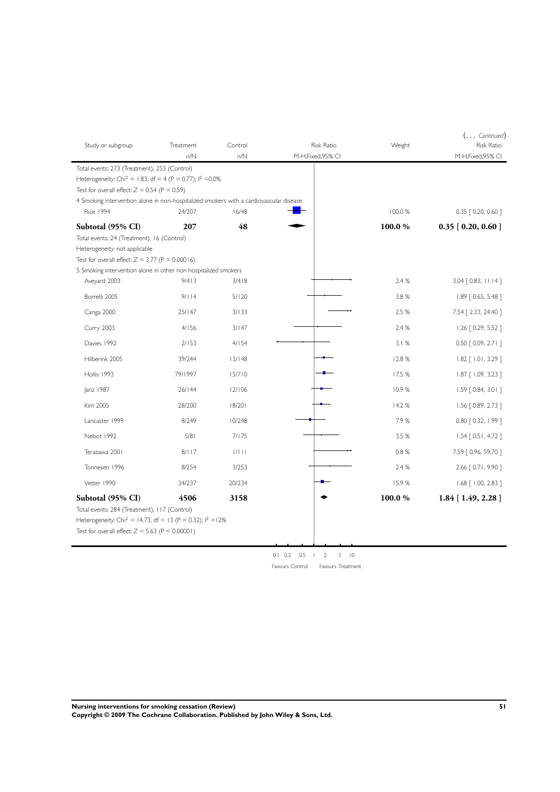| Study or subgroup                                                                                                                                                                                  | Treatment<br>n/N | Control<br>n/N | <b>Risk Ratio</b><br>M-H,Fixed,95% Cl                               | Weight  | $(\ldots$ Continued)<br><b>Risk Ratio</b><br>M-H,Fixed,95% Cl |
|----------------------------------------------------------------------------------------------------------------------------------------------------------------------------------------------------|------------------|----------------|---------------------------------------------------------------------|---------|---------------------------------------------------------------|
| Total events: 273 (Treatment), 253 (Control)<br>Heterogeneity: Chi <sup>2</sup> = 1.83, df = 4 (P = 0.77); l <sup>2</sup> = 0.0%                                                                   |                  |                |                                                                     |         |                                                               |
| Test for overall effect: $Z = 0.54$ (P = 0.59)                                                                                                                                                     |                  |                |                                                                     |         |                                                               |
| 4 Smoking intervention alone in non-hospitalized smokers with a cardiovascular disease<br><b>Rice 1994</b>                                                                                         | 24/207           | 16/48          |                                                                     | 100.0 % | $0.35$ $[0.20, 0.60]$                                         |
| Subtotal (95% CI)                                                                                                                                                                                  | 207              | 48             |                                                                     | 100.0%  | $0.35$ [ $0.20, 0.60$ ]                                       |
| Total events: 24 (Treatment), 16 (Control)                                                                                                                                                         |                  |                |                                                                     |         |                                                               |
| Heterogeneity: not applicable                                                                                                                                                                      |                  |                |                                                                     |         |                                                               |
| Test for overall effect: $Z = 3.77$ (P = 0.00016)                                                                                                                                                  |                  |                |                                                                     |         |                                                               |
| 5 Smoking intervention alone in other non hospitalized smokers<br>Aveyard 2003                                                                                                                     | 9/413            | 3/418          |                                                                     | 2.4 %   | 3.04 [ 0.83, 11.14 ]                                          |
| Borrelli 2005                                                                                                                                                                                      | 9/114            | 5/120          |                                                                     | 3.8 %   | 1.89   0.65, 5.48 ]                                           |
| Canga 2000                                                                                                                                                                                         | 25/147           | 3/133          |                                                                     | 2.5 %   | 7.54 [ 2.33, 24.40 ]                                          |
| Curry 2003                                                                                                                                                                                         | 4/156            | 3/147          |                                                                     | 2.4 %   | $1.26$ $[0.29, 5.52]$                                         |
| Davies 1992                                                                                                                                                                                        | 2/153            | 4/154          |                                                                     | 3.1%    | $0.50$ $[0.09, 2.71]$                                         |
| Hilberink 2005                                                                                                                                                                                     | 39/244           | 13/148         |                                                                     | 12.8%   | $1.82$ [ $1.01$ , 3.29 ]                                      |
| Hollis 1993                                                                                                                                                                                        | 79/1997          | 15/710         |                                                                     | 17.5 %  | $1.87$ [ 1.09, 3.23 ]                                         |
| Janz 1987                                                                                                                                                                                          | 26/144           | 12/106         |                                                                     | 10.9%   | 1.59 [ 0.84, 3.01 ]                                           |
| Kim 2005                                                                                                                                                                                           | 28/200           | 18/201         |                                                                     | 14.2 %  | 1.56 [ 0.89, 2.73 ]                                           |
| Lancaster 1999                                                                                                                                                                                     | 8/249            | 10/248         |                                                                     | 7.9%    | 0.80 [ 0.32, 1.99 ]                                           |
| Nebot 1992                                                                                                                                                                                         | 5/81             | 7/175          |                                                                     | 3.5 %   | $1.54$ [ 0.51, 4.72 ]                                         |
| Terazawa 2001                                                                                                                                                                                      | 8/117            | 1/111          |                                                                     | 0.8 %   | 7.59 [ 0.96, 59.70 ]                                          |
| Tonnesen 1996                                                                                                                                                                                      | 8/254            | 3/253          |                                                                     | 2.4%    | 2.66 [ 0.71, 9.90 ]                                           |
| Vetter 1990                                                                                                                                                                                        | 34/237           | 20/234         |                                                                     | 15.9%   | $1.68$ [ $1.00$ , 2.83 ]                                      |
| Subtotal (95% CI)<br>Total events: 284 (Treatment), 117 (Control)<br>Heterogeneity: Chi <sup>2</sup> = 14.73, df = 13 (P = 0.32); $1^2$ = 12%<br>Test for overall effect: $Z = 5.63$ (P < 0.00001) | 4506             | 3158           |                                                                     | 100.0%  | $1.84$ [ $1.49, 2.28$ ]                                       |
|                                                                                                                                                                                                    |                  |                | $0.1$ $0.2$ $0.5$<br>2 5 10<br>Favours Control<br>Favours Treatment |         |                                                               |
|                                                                                                                                                                                                    |                  |                |                                                                     |         |                                                               |
|                                                                                                                                                                                                    |                  |                |                                                                     |         |                                                               |
|                                                                                                                                                                                                    |                  |                |                                                                     |         |                                                               |

**Nursing interventions for smoking cessation (Review) 51**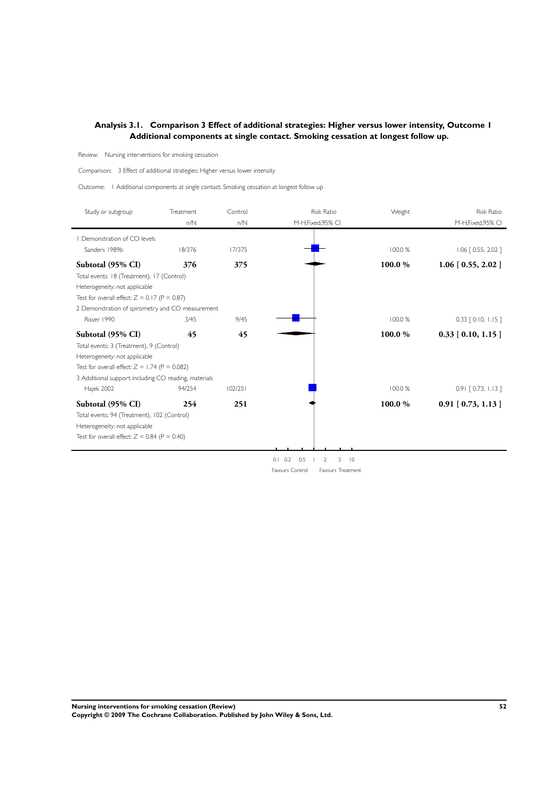### <span id="page-53-0"></span>**Analysis 3.1. Comparison 3 Effect of additional strategies: Higher versus lower intensity, Outcome 1 Additional components at single contact. Smoking cessation at longest follow up.**

Review: Nursing interventions for smoking cessation

Comparison: 3 Effect of additional strategies: Higher versus lower intensity

Outcome: 1 Additional components at single contact. Smoking cessation at longest follow up

| Study or subgroup                                    | Treatment | Control | <b>Risk Ratio</b>                                   | Weight  | <b>Risk Ratio</b>        |
|------------------------------------------------------|-----------|---------|-----------------------------------------------------|---------|--------------------------|
|                                                      | n/N       | n/N     | M-H, Fixed, 95% CI                                  |         | M-H, Fixed, 95% CI       |
| Demonstration of CO levels                           |           |         |                                                     |         |                          |
| Sanders 1989b                                        | 18/376    | 17/375  |                                                     | 100.0 % | $1.06$ $[0.55, 2.02]$    |
| Subtotal (95% CI)                                    | 376       | 375     |                                                     | 100.0 % | $1.06$ [ 0.55, 2.02 ]    |
| Total events: 18 (Treatment), 17 (Control)           |           |         |                                                     |         |                          |
| Heterogeneity: not applicable                        |           |         |                                                     |         |                          |
| Test for overall effect: $Z = 0.17$ (P = 0.87)       |           |         |                                                     |         |                          |
| 2 Demonstration of spirometry and CO measurement     |           |         |                                                     |         |                          |
| Risser 1990                                          | 3/45      | 9/45    |                                                     | 100.0%  | $0.33$ [ 0.10, 1.15 ]    |
| Subtotal (95% CI)                                    | 45        | 45      |                                                     | 100.0%  | $0.33$ [ 0.10, 1.15 ]    |
| Total events: 3 (Treatment), 9 (Control)             |           |         |                                                     |         |                          |
| Heterogeneity: not applicable                        |           |         |                                                     |         |                          |
| Test for overall effect: $Z = 1.74$ (P = 0.082)      |           |         |                                                     |         |                          |
| 3 Additional support including CO reading, materials |           |         |                                                     |         |                          |
| Hajek 2002                                           | 94/254    | 102/251 |                                                     | 100.0 % | $0.91$ $[0.73, 1.13]$    |
| Subtotal (95% CI)                                    | 254       | 251     |                                                     | 100.0 % | $0.91$ [ $0.73$ , 1.13 ] |
| Total events: 94 (Treatment), 102 (Control)          |           |         |                                                     |         |                          |
| Heterogeneity: not applicable                        |           |         |                                                     |         |                          |
| Test for overall effect: $Z = 0.84$ (P = 0.40)       |           |         |                                                     |         |                          |
|                                                      |           |         |                                                     |         |                          |
|                                                      |           |         | $0.1 \quad 0.2$<br>0.5<br>5<br>$\overline{10}$<br>2 |         |                          |

Favours Control Favours Treatment

**Nursing interventions for smoking cessation (Review) 52**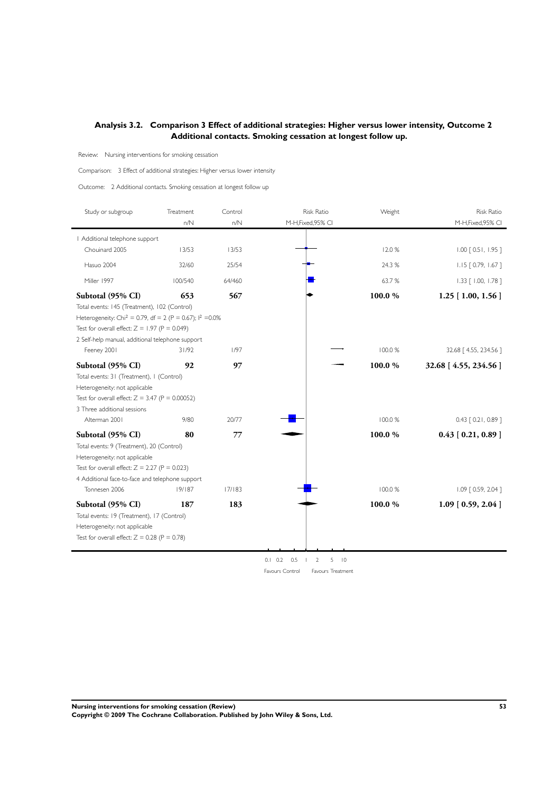### <span id="page-54-0"></span>**Analysis 3.2. Comparison 3 Effect of additional strategies: Higher versus lower intensity, Outcome 2 Additional contacts. Smoking cessation at longest follow up.**

Review: Nursing interventions for smoking cessation

Comparison: 3 Effect of additional strategies: Higher versus lower intensity

Outcome: 2 Additional contacts. Smoking cessation at longest follow up

| Study or subgroup                                                                  | Treatment | Control | <b>Risk Ratio</b>                                                                | Weight  | Risk Ratio                 |
|------------------------------------------------------------------------------------|-----------|---------|----------------------------------------------------------------------------------|---------|----------------------------|
|                                                                                    | n/N       | n/N     | M-H,Fixed,95% CI                                                                 |         | M-H, Fixed, 95% CI         |
| Additional telephone support                                                       |           |         |                                                                                  |         |                            |
| Chouinard 2005                                                                     | 13/53     | 13/53   |                                                                                  | 12.0 %  | $1.00$ $[0.51, 1.95]$      |
| Hasuo 2004                                                                         | 32/60     | 25/54   |                                                                                  | 24.3 %  | $1.15$ [ 0.79, 1.67 ]      |
| Miller 1997                                                                        | 100/540   | 64/460  |                                                                                  | 63.7 %  | $1.33$ [ $1.00$ , $1.78$ ] |
| Subtotal (95% CI)                                                                  | 653       | 567     |                                                                                  | 100.0%  | $1.25$ [ 1.00, 1.56 ]      |
| Total events: 145 (Treatment), 102 (Control)                                       |           |         |                                                                                  |         |                            |
| Heterogeneity: Chi <sup>2</sup> = 0.79, df = 2 (P = 0.67); $1^2$ = 0.0%            |           |         |                                                                                  |         |                            |
| Test for overall effect: $Z = 1.97$ (P = 0.049)                                    |           |         |                                                                                  |         |                            |
| 2 Self-help manual, additional telephone support                                   | 31/92     | 1/97    |                                                                                  | 100.0 % |                            |
| Feeney 2001                                                                        |           |         |                                                                                  |         | 32.68   4.55, 234.56 ]     |
| Subtotal (95% CI)                                                                  | 92        | 97      |                                                                                  | 100.0%  | 32.68 [4.55, 234.56]       |
| Total events: 31 (Treatment), 1 (Control)                                          |           |         |                                                                                  |         |                            |
| Heterogeneity: not applicable<br>Test for overall effect: $Z = 3.47$ (P = 0.00052) |           |         |                                                                                  |         |                            |
| 3 Three additional sessions                                                        |           |         |                                                                                  |         |                            |
| Alterman 2001                                                                      | 9/80      | 20/77   |                                                                                  | 100.0 % | $0.43$ $[0.21, 0.89]$      |
| Subtotal (95% CI)                                                                  | 80        | 77      |                                                                                  | 100.0%  | $0.43$ [ $0.21, 0.89$ ]    |
| Total events: 9 (Treatment), 20 (Control)                                          |           |         |                                                                                  |         |                            |
| Heterogeneity: not applicable                                                      |           |         |                                                                                  |         |                            |
| Test for overall effect: $Z = 2.27$ (P = 0.023)                                    |           |         |                                                                                  |         |                            |
| 4 Additional face-to-face and telephone support                                    |           |         |                                                                                  |         |                            |
| Tonnesen 2006                                                                      | 19/187    | 17/183  |                                                                                  | 100.0 % | $1.09$ $[0.59, 2.04]$      |
| Subtotal (95% CI)                                                                  | 187       | 183     |                                                                                  | 100.0%  | $1.09$ [ 0.59, 2.04 ]      |
| Total events: 19 (Treatment), 17 (Control)                                         |           |         |                                                                                  |         |                            |
| Heterogeneity: not applicable                                                      |           |         |                                                                                  |         |                            |
| Test for overall effect: $Z = 0.28$ (P = 0.78)                                     |           |         |                                                                                  |         |                            |
|                                                                                    |           |         |                                                                                  |         |                            |
|                                                                                    |           |         | $\overline{10}$<br>$0.1 \quad 0.2$<br>0.5<br>$\overline{2}$<br>5<br>$\mathbf{I}$ |         |                            |
|                                                                                    |           |         | Favours Control<br>Favours Treatment                                             |         |                            |
|                                                                                    |           |         |                                                                                  |         |                            |
|                                                                                    |           |         |                                                                                  |         |                            |
|                                                                                    |           |         |                                                                                  |         |                            |
|                                                                                    |           |         |                                                                                  |         |                            |
|                                                                                    |           |         |                                                                                  |         |                            |
|                                                                                    |           |         |                                                                                  |         |                            |
|                                                                                    |           |         |                                                                                  |         |                            |
|                                                                                    |           |         |                                                                                  |         |                            |

**Nursing interventions for smoking cessation (Review) 53**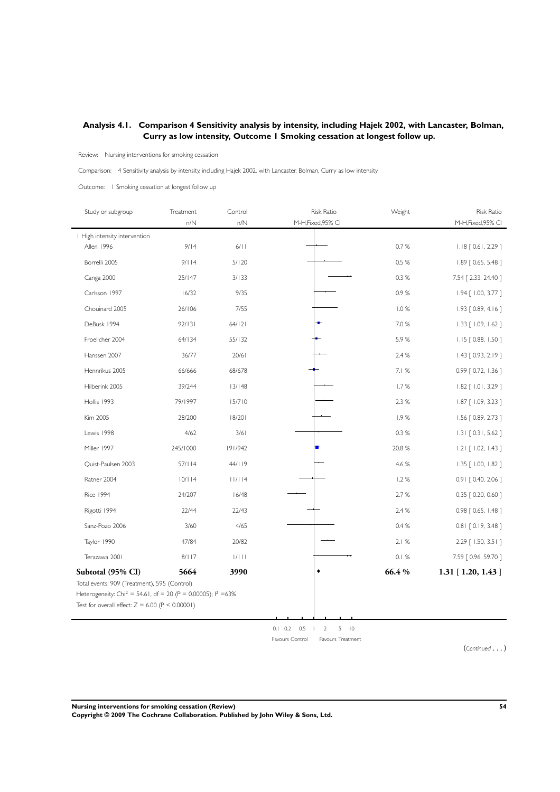### **Analysis 4.1. Comparison 4 Sensitivity analysis by intensity, including Hajek 2002, with Lancaster, Bolman, Curry as low intensity, Outcome 1 Smoking cessation at longest follow up.**

Review: Nursing interventions for smoking cessation

Comparison: 4 Sensitivity analysis by intensity, including Hajek 2002, with Lancaster, Bolman, Curry as low intensity

Outcome: 1 Smoking cessation at longest follow up

| Study or subgroup                                                                                                                                                               | Treatment<br>n/N | Control<br>n/N | Risk Ratio<br>M-H,Fixed,95% CI | Weight | Risk Ratio<br>M-H,Fixed,95% Cl |
|---------------------------------------------------------------------------------------------------------------------------------------------------------------------------------|------------------|----------------|--------------------------------|--------|--------------------------------|
| I High intensity intervention                                                                                                                                                   |                  |                |                                |        |                                |
| Allen 1996                                                                                                                                                                      | 9/14             | 6/11           |                                | 0.7%   | $1.18$ $[0.61, 2.29]$          |
| Borrelli 2005                                                                                                                                                                   | 9/114            | 5/120          |                                | 0.5 %  | 1.89 [ 0.65, 5.48 ]            |
| Canga 2000                                                                                                                                                                      | 25/147           | 3/133          |                                | 0.3 %  | 7.54 [ 2.33, 24.40 ]           |
| Carlsson 1997                                                                                                                                                                   | 16/32            | 9/35           |                                | 0.9%   | 1.94 [ 1.00, 3.77 ]            |
| Chouinard 2005                                                                                                                                                                  | 26/106           | 7/55           |                                | 1.0%   | 1.93 [ 0.89, 4.16 ]            |
| DeBusk 1994                                                                                                                                                                     | 92/131           | 64/121         |                                | 7.0 %  | 1.33 [ 1.09, 1.62 ]            |
| Froelicher 2004                                                                                                                                                                 | 64/134           | 55/132         |                                | 5.9%   | $1.15$ [ 0.88, 1.50 ]          |
| Hanssen 2007                                                                                                                                                                    | 36/77            | 20/61          |                                | 2.4 %  | 1.43 [ 0.93, 2.19 ]            |
| Hennrikus 2005                                                                                                                                                                  | 66/666           | 68/678         |                                | 7.1%   | 0.99 [ 0.72, 1.36 ]            |
| Hilberink 2005                                                                                                                                                                  | 39/244           | 13/148         |                                | 1.7%   | $1.82$ [ $1.01$ , 3.29 ]       |
| Hollis 1993                                                                                                                                                                     | 79/1997          | 15/710         |                                | 2.3 %  | 1.87 [1.09, 3.23]              |
| Kim 2005                                                                                                                                                                        | 28/200           | 18/201         |                                | 1.9%   | $1.56$ [ 0.89, 2.73 ]          |
| Lewis 1998                                                                                                                                                                      | 4/62             | 3/61           |                                | 0.3 %  | $1.31$ $[0.31, 5.62]$          |
| Miller 1997                                                                                                                                                                     | 245/1000         | 191/942        |                                | 20.8 % | $1.21$ $[1.02, 1.43]$          |
| Quist-Paulsen 2003                                                                                                                                                              | 57/114           | 44/119         |                                | 4.6 %  | 1.35 [ 1.00, 1.82 ]            |
| Ratner 2004                                                                                                                                                                     | 10/114           | 11/114         |                                | 1.2%   | 0.91 [0.40, 2.06]              |
| <b>Rice 1994</b>                                                                                                                                                                | 24/207           | 16/48          |                                | 2.7 %  | 0.35 [ 0.20, 0.60 ]            |
| Rigotti 1994                                                                                                                                                                    | 22/44            | 22/43          |                                | 2.4 %  | $0.98$ $[0.65, 1.48]$          |
| Sanz-Pozo 2006                                                                                                                                                                  | 3/60             | 4/65           |                                | 0.4 %  | $0.81$ $[0.19, 3.48]$          |
| Taylor 1990                                                                                                                                                                     | 47/84            | 20/82          |                                | 2.1%   | $2.29$ [ 1.50, 3.51 ]          |
| Terazawa 2001                                                                                                                                                                   | 8/117            | 1/111          |                                | 0.1%   | 7.59 [ 0.96, 59.70 ]           |
| Subtotal (95% CI)                                                                                                                                                               | 5664             | 3990           | ٠                              | 66.4 % | $1.31$ [ $1.20, 1.43$ ]        |
| Total events: 909 (Treatment), 595 (Control)<br>Heterogeneity: Chi <sup>2</sup> = 54.61, df = 20 (P = 0.00005); $1^2$ =63%<br>Test for overall effect: $Z = 6.00$ (P < 0.00001) |                  |                |                                |        |                                |

 $0.1$   $0.2$   $0.5$   $2$   $5$   $10$ Favours Control Favours Treatment

(*Continued* ... )

**Nursing interventions for smoking cessation (Review) 54**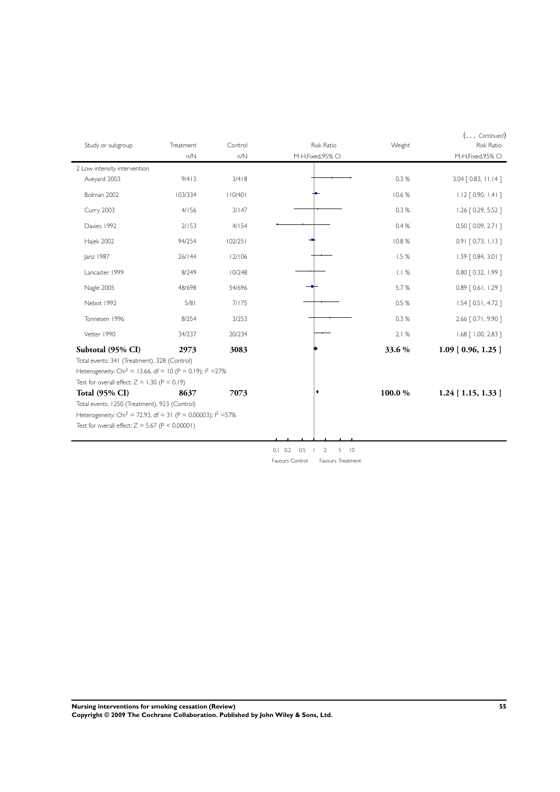| Study or subgroup                                                                                                                                                                                               | Treatment<br>n/N | Control<br>n/N | <b>Risk Ratio</b><br>M-H,Fixed,95% CI                                                       | Weight | $(\ldots$ Continued)<br>Risk Ratio<br>M-H,Fixed,95% Cl |
|-----------------------------------------------------------------------------------------------------------------------------------------------------------------------------------------------------------------|------------------|----------------|---------------------------------------------------------------------------------------------|--------|--------------------------------------------------------|
| 2 Low intensity intervention                                                                                                                                                                                    |                  |                |                                                                                             |        |                                                        |
| Aveyard 2003                                                                                                                                                                                                    | 9/413            | 3/418          |                                                                                             | 0.3 %  | 3.04 [ 0.83, 11.14 ]                                   |
| Bolman 2002                                                                                                                                                                                                     | 103/334          | 110/401        |                                                                                             | 10.6 % | $1.12$ [ 0.90, 1.41 ]                                  |
| Curry 2003                                                                                                                                                                                                      | 4/156            | 3/147          |                                                                                             | 0.3 %  | $1.26$ [ 0.29, 5.52 ]                                  |
| Davies 1992                                                                                                                                                                                                     | 2/153            | 4/154          |                                                                                             | 0.4 %  | $0.50$ $[0.09, 2.71]$                                  |
| Hajek 2002                                                                                                                                                                                                      | 94/254           | 102/251        |                                                                                             | 10.8%  | 0.91 [0.73, 1.13]                                      |
| Janz 1987                                                                                                                                                                                                       | 26/144           | 12/106         |                                                                                             | 1.5%   | $1.59$ [ 0.84, 3.01 ]                                  |
| Lancaster 1999                                                                                                                                                                                                  | 8/249            | 10/248         |                                                                                             | 1.1%   | $0.80$ $[0.32, 1.99]$                                  |
| Nagle 2005                                                                                                                                                                                                      | 48/698           | 54/696         |                                                                                             | 5.7 %  | $0.89$ $[0.61, 1.29]$                                  |
| Nebot 1992                                                                                                                                                                                                      | 5/8              | 7/175          |                                                                                             | 0.5 %  | $1.54$ $[0.51, 4.72]$                                  |
| Tonnesen 1996                                                                                                                                                                                                   | 8/254            | 3/253          |                                                                                             | 0.3%   | 2.66 [ 0.71, 9.90 ]                                    |
| Vetter 1990                                                                                                                                                                                                     | 34/237           | 20/234         |                                                                                             | 2.1%   | $1.68$ $[ 1.00, 2.83 ]$                                |
| Subtotal (95% CI)<br>3083<br>2973<br>Total events: 341 (Treatment), 328 (Control)<br>Heterogeneity: Chi <sup>2</sup> = 13.66, df = 10 (P = 0.19); $1^2$ = 27%<br>Test for overall effect: $Z = 1.30$ (P = 0.19) |                  |                |                                                                                             | 33.6 % | $1.09$ [ 0.96, 1.25 ]                                  |
| <b>Total (95% CI)</b><br>Total events: 1250 (Treatment), 923 (Control)<br>Heterogeneity: Chi <sup>2</sup> = 72.93, df = 31 (P = 0.00003); $1^2$ =57%<br>Test for overall effect: $Z = 5.67$ (P < 0.00001)       | 8637             | 7073           |                                                                                             | 100.0% | $1.24$ [ 1.15, 1.33 ]                                  |
|                                                                                                                                                                                                                 |                  |                | $0.1$ $0.2$ $0.5$<br>$5 \quad 10$<br>$\overline{2}$<br>Favours Control<br>Favours Treatment |        |                                                        |

**Nursing interventions for smoking cessation (Review) 55**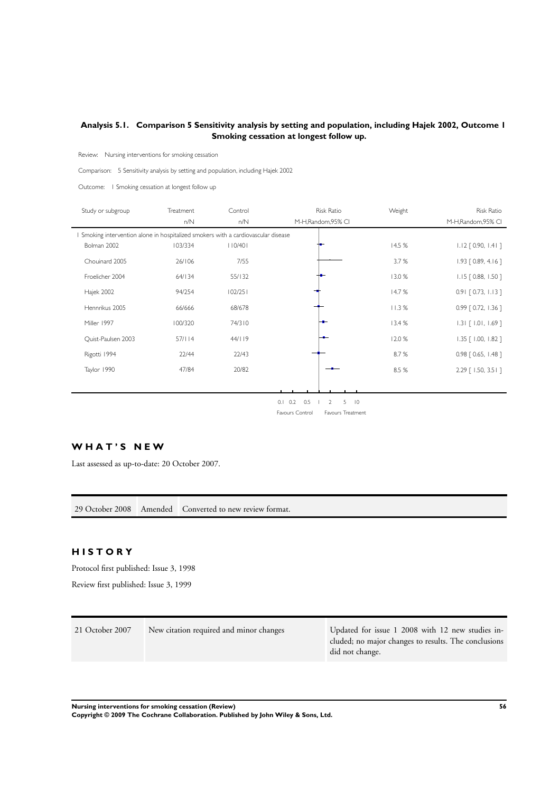### <span id="page-57-0"></span>**Analysis 5.1. Comparison 5 Sensitivity analysis by setting and population, including Hajek 2002, Outcome 1 Smoking cessation at longest follow up.**

Review: Nursing interventions for smoking cessation

Comparison: 5 Sensitivity analysis by setting and population, including Hajek 2002

Outcome: 1 Smoking cessation at longest follow up

| Study or subgroup                                                                | Treatment | Control | <b>Risk Ratio</b>   | Weight | <b>Risk Ratio</b>       |
|----------------------------------------------------------------------------------|-----------|---------|---------------------|--------|-------------------------|
|                                                                                  | n/N       | n/N     | M-H, Random, 95% CI |        | M-H, Random, 95% CI     |
| Smoking intervention alone in hospitalized smokers with a cardiovascular disease |           |         |                     |        |                         |
| Bolman 2002                                                                      | 103/334   | 110/401 |                     | 14.5 % | $1.12$ $[0.90, 1.41]$   |
| Chouinard 2005                                                                   | 26/106    | 7/55    |                     | 3.7%   | $1.93$ $[0.89, 4.16]$   |
| Froelicher 2004                                                                  | 64/134    | 55/132  |                     | 13.0%  | $1.15$ [ 0.88, 1.50 ]   |
| Hajek 2002                                                                       | 94/254    | 102/251 |                     | 14.7 % | $0.91$ $[0.73, 1.13]$   |
| Hennrikus 2005                                                                   | 66/666    | 68/678  |                     | 11.3%  | $0.99$ $[0.72, 1.36]$   |
| Miller 1997                                                                      | 100/320   | 74/310  |                     | 13.4 % | $1.31$ $[1.01, 1.69]$   |
| Quist-Paulsen 2003                                                               | 57/114    | 44/119  |                     | 12.0 % | $1.35$ $[$ 1.00, 1.82 ] |
| Rigotti 1994                                                                     | 22/44     | 22/43   |                     | 8.7%   | $0.98$ $[0.65, 1.48]$   |
| Taylor 1990                                                                      | 47/84     | 20/82   |                     | 8.5 %  | $2.29$ [ 1.50, 3.51 ]   |
|                                                                                  |           |         |                     |        |                         |

0.1 0.2 0.5 1 2 5 10

Favours Control Favours Treatment

#### **W H A T ' S N E W**

Last assessed as up-to-date: 20 October 2007.

29 October 2008 Amended Converted to new review format.

### **H I S T O R Y**

Protocol first published: Issue 3, 1998

Review first published: Issue 3, 1999

| 21 October 2007 |  |  |
|-----------------|--|--|

New citation required and minor changes Updated for issue 1 2008 with 12 new studies included; no major changes to results. The conclusions did not change.

**Nursing interventions for smoking cessation (Review) 56**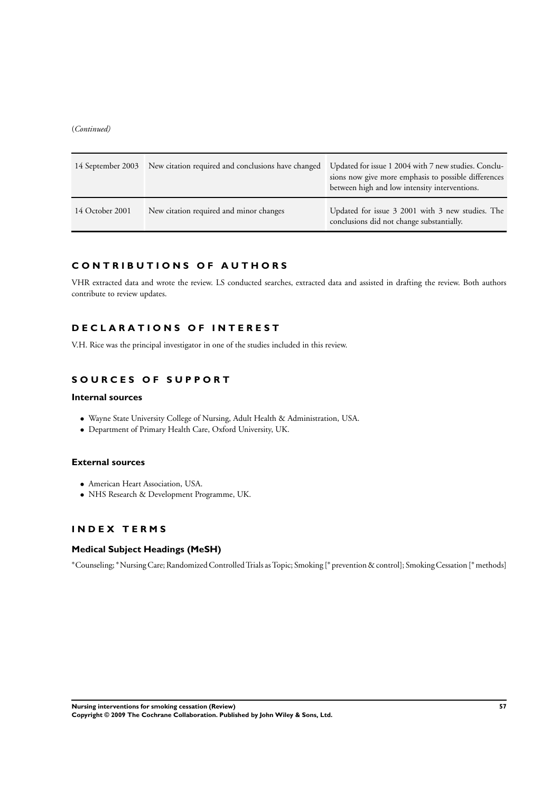(*Continued)*

| 14 September 2003 | New citation required and conclusions have changed | Updated for issue 1 2004 with 7 new studies. Conclu-<br>sions now give more emphasis to possible differences<br>between high and low intensity interventions. |
|-------------------|----------------------------------------------------|---------------------------------------------------------------------------------------------------------------------------------------------------------------|
| 14 October 2001   | New citation required and minor changes            | Updated for issue 3 2001 with 3 new studies. The<br>conclusions did not change substantially.                                                                 |

# **C O N T R I B U T I O N S O F A U T H O R S**

VHR extracted data and wrote the review. LS conducted searches, extracted data and assisted in drafting the review. Both authors contribute to review updates.

# **D E C L A R A T I O N S O F I N T E R E S T**

V.H. Rice was the principal investigator in one of the studies included in this review.

# **S O U R C E S O F S U P P O R T**

# **Internal sources**

- Wayne State University College of Nursing, Adult Health & Administration, USA.
- Department of Primary Health Care, Oxford University, UK.

### **External sources**

- American Heart Association, USA.
- NHS Research & Development Programme, UK.

# **I N D E X T E R M S**

## **Medical Subject Headings (MeSH)**

<sup>∗</sup>Counseling; <sup>∗</sup>Nursing Care; Randomized Controlled Trials as Topic; Smoking [<sup>∗</sup> prevention & control]; Smoking Cessation [∗methods]